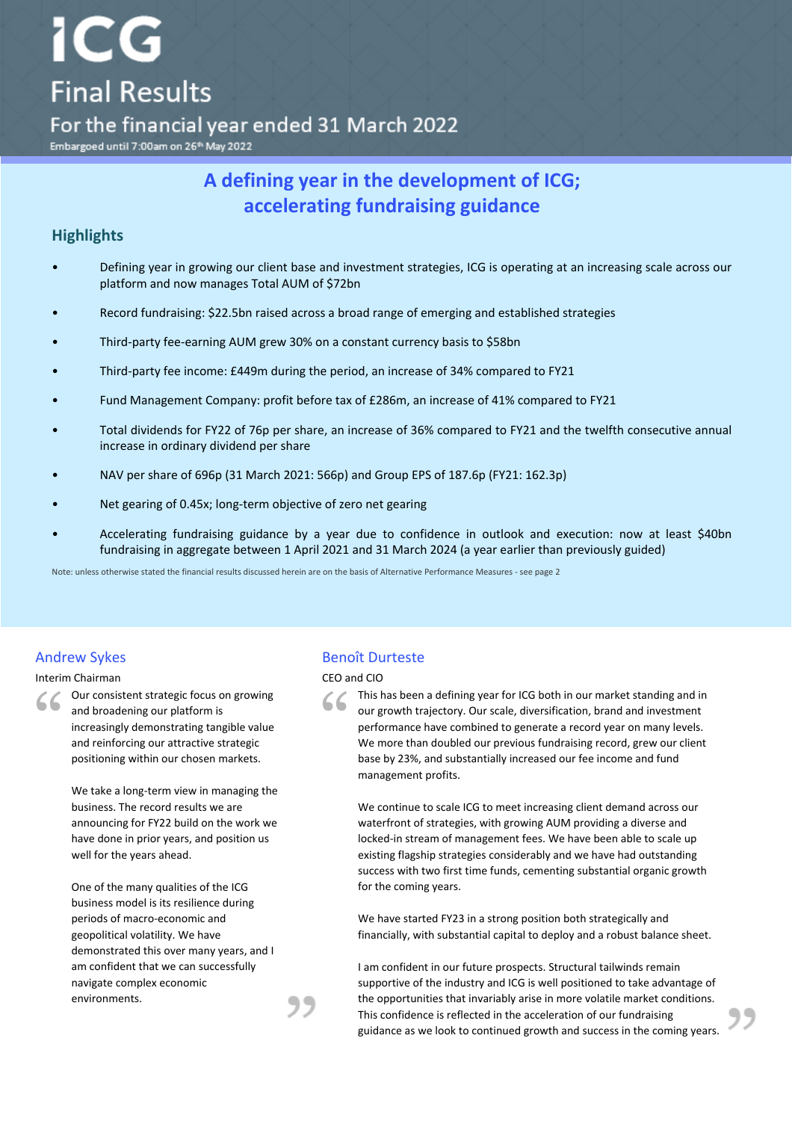# For the financial year ended 31 March 2022

Embargoed until 7:00am on 26<sup>th</sup> May 2022

CG

**Final Results** 

# A defining year in the development of ICG; **accelerating fundraising guidance**

# **Highlights**

- Defining year in growing our client base and investment strategies, ICG is operating at an increasing scale across our platform and now manages Total AUM of \$72bn
- Record fundraising: \$22.5bn raised across a broad range of emerging and established strategies
- Third-party fee-earning AUM grew 30% on a constant currency basis to \$58bn
- Third-party fee income: £449m during the period, an increase of 34% compared to FY21
- Fund Management Company: profit before tax of £286m, an increase of 41% compared to FY21
- Total dividends for FY22 of 76p per share, an increase of 36% compared to FY21 and the twelfth consecutive annual increase in ordinary dividend per share
- NAV per share of 696p (31 March 2021: 566p) and Group EPS of 187.6p (FY21: 162.3p)
- Net gearing of 0.45x; long-term objective of zero net gearing
- Accelerating fundraising guidance by a year due to confidence in outlook and execution: now at least \$40bn fundraising in aggregate between 1 April 2021 and 31 March 2024 (a year earlier than previously guided)

Note: unless otherwise stated the financial results discussed herein are on the basis of Alternative Performance Measures - see page 2

#### Interim Chairman CEO and CIO

" Our consistent strategic focus on growing and broadening our platform is increasingly demonstrating tangible value and reinforcing our attractive strategic positioning within our chosen markets.

> We take a long-term view in managing the business. The record results we are announcing for FY22 build on the work we have done in prior years, and position us well for the years ahead.

One of the many qualities of the ICG business model is its resilience during periods of macro-economic and geopolitical volatility. We have demonstrated this over many years, and I am confident that we can successfully navigate complex economic environments.

### Andrew Sykes **Benoît** Durteste

" This has been a defining year for ICG both in our market standing and in our growth trajectory. Our scale, diversification, brand and investment performance have combined to generate a record year on many levels. We more than doubled our previous fundraising record, grew our client base by 23%, and substantially increased our fee income and fund management profits.

We continue to scale ICG to meet increasing client demand across our waterfront of strategies, with growing AUM providing a diverse and locked-in stream of management fees. We have been able to scale up existing flagship strategies considerably and we have had outstanding success with two first time funds, cementing substantial organic growth for the coming years.

We have started FY23 in a strong position both strategically and financially, with substantial capital to deploy and a robust balance sheet.

I am confident in our future prospects. Structural tailwinds remain supportive of the industry and ICG is well positioned to take advantage of the opportunities that invariably arise in more volatile market conditions. This confidence is reflected in the acceleration of our fundraising guidance as we look to continued growth and success in the coming years.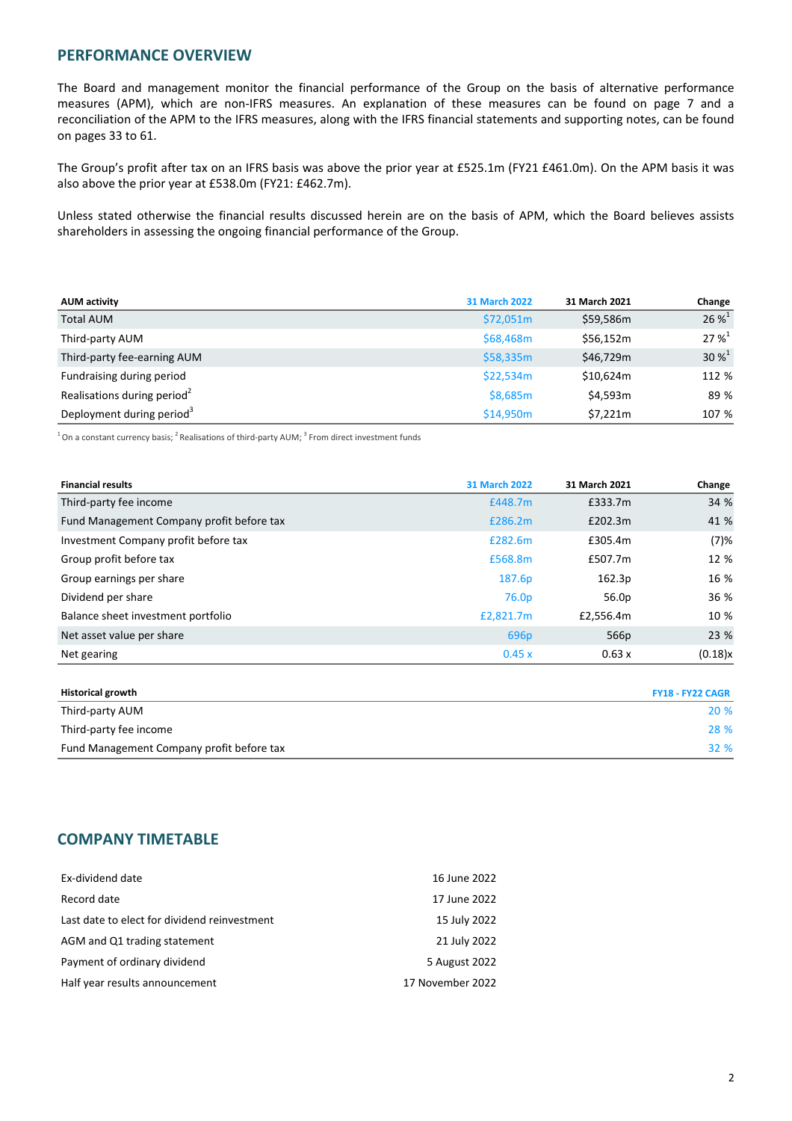# **PERFORMANCE OVERVIEW**

The Board and management monitor the financial performance of the Group on the basis of alternative performance measures (APM), which are non-IFRS measures. An explanation of these measures can be found on page 7 and a reconciliation of the APM to the IFRS measures, along with the IFRS financial statements and supporting notes, can be found on pages 33 to 61.

The Group's profit after tax on an IFRS basis was above the prior year at £525.1m (FY21 £461.0m). On the APM basis it was also above the prior year at £538.0m (FY21: £462.7m).

Unless stated otherwise the financial results discussed herein are on the basis of APM, which the Board believes assists shareholders in assessing the ongoing financial performance of the Group.

| <b>AUM activity</b>                     | <b>31 March 2022</b> | 31 March 2021 | Change      |
|-----------------------------------------|----------------------|---------------|-------------|
| <b>Total AUM</b>                        | \$72,051m            | \$59,586m     | $26%^{1}$   |
| Third-party AUM                         | \$68,468m            | \$56.152m     | $27 \%^{1}$ |
| Third-party fee-earning AUM             | \$58,335m            | \$46,729m     | $30\%^{1}$  |
| Fundraising during period               | \$22,534m            | \$10.624m     | 112 %       |
| Realisations during period <sup>2</sup> | \$8,685m             | \$4,593m      | 89 %        |
| Deployment during period <sup>3</sup>   | \$14,950m            | \$7,221m      | 107 %       |

 $^1$  On a constant currency basis; <sup>2</sup> Realisations of third-party AUM; <sup>3</sup> From direct investment funds

| <b>31 March 2022</b> | 31 March 2021 | Change  |
|----------------------|---------------|---------|
| £448.7m              | £333.7m       | 34 %    |
| £286.2m              | £202.3m       | 41 %    |
| £282.6m              | £305.4m       | (7)%    |
| £568.8m              | £507.7m       | 12 %    |
| 187.6p               | 162.3p        | 16 %    |
| 76.0 <sub>p</sub>    | 56.0p         | 36 %    |
| £2,821.7m            | £2,556.4m     | 10 %    |
| 696 <sub>p</sub>     | 566p          | 23 %    |
| 0.45x                | 0.63 x        | (0.18)x |
|                      |               |         |

| <b>Historical growth</b>                  | <b>FY18 - FY22 CAGR</b> |
|-------------------------------------------|-------------------------|
| Third-party AUM                           | <b>20 %</b>             |
| Third-party fee income                    | 28 %                    |
| Fund Management Company profit before tax | 32 %                    |

# **COMPANY TIMETABLE**

| Ex-dividend date                             | 16 June 2022     |
|----------------------------------------------|------------------|
| Record date                                  | 17 June 2022     |
| Last date to elect for dividend reinvestment | 15 July 2022     |
| AGM and Q1 trading statement                 | 21 July 2022     |
| Payment of ordinary dividend                 | 5 August 2022    |
| Half year results announcement               | 17 November 2022 |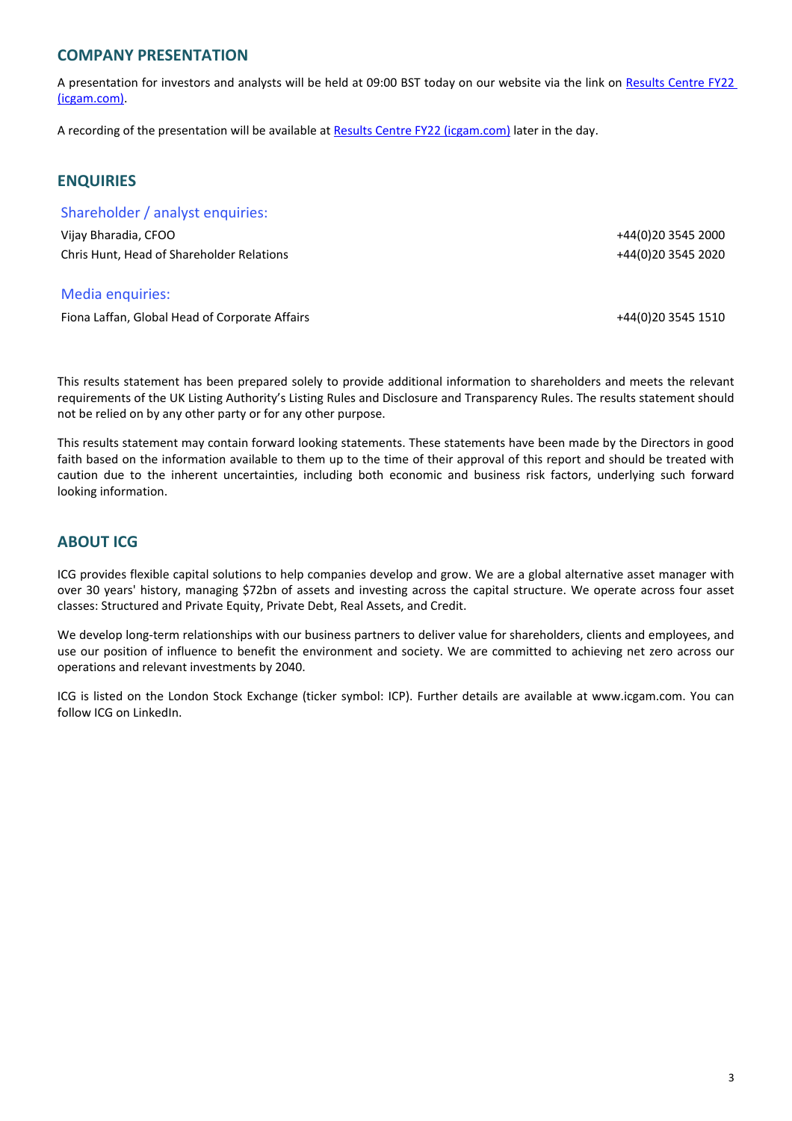# **COMPANY PRESENTATION**

A presentation for investors and analysts will be held at 09:00 BST today on our website via the link on Results Centre FY22 [\(icgam.com\)](https://www.icgam.com/shareholders/results-centre/fy22).

A recording of the presentation will be available at Results Centre FY22 (icgam.com) later in the day.

# **ENQUIRIES**

Shareholder / analyst enquiries:

Vijay Bharadia, CFOO +44(0)20 3545 2000 Chris Hunt, Head of Shareholder Relations +44(0)20 3545 2020

# Media enquiries:

Fiona Laffan, Global Head of Corporate Affairs +44(0)20 3545 1510

This results statement has been prepared solely to provide additional information to shareholders and meets the relevant requirements of the UK Listing Authority's Listing Rules and Disclosure and Transparency Rules. The results statement should not be relied on by any other party or for any other purpose.

This results statement may contain forward looking statements. These statements have been made by the Directors in good faith based on the information available to them up to the time of their approval of this report and should be treated with caution due to the inherent uncertainties, including both economic and business risk factors, underlying such forward looking information.

# **ABOUT ICG**

ICG provides flexible capital solutions to help companies develop and grow. We are a global alternative asset manager with over 30 years' history, managing \$72bn of assets and investing across the capital structure. We operate across four asset classes: Structured and Private Equity, Private Debt, Real Assets, and Credit.

We develop long-term relationships with our business partners to deliver value for shareholders, clients and employees, and use our position of influence to benefit the environment and society. We are committed to achieving net zero across our operations and relevant investments by 2040.

ICG is listed on the London Stock Exchange (ticker symbol: ICP). Further details are available at www.icgam.com. You can follow ICG on LinkedIn.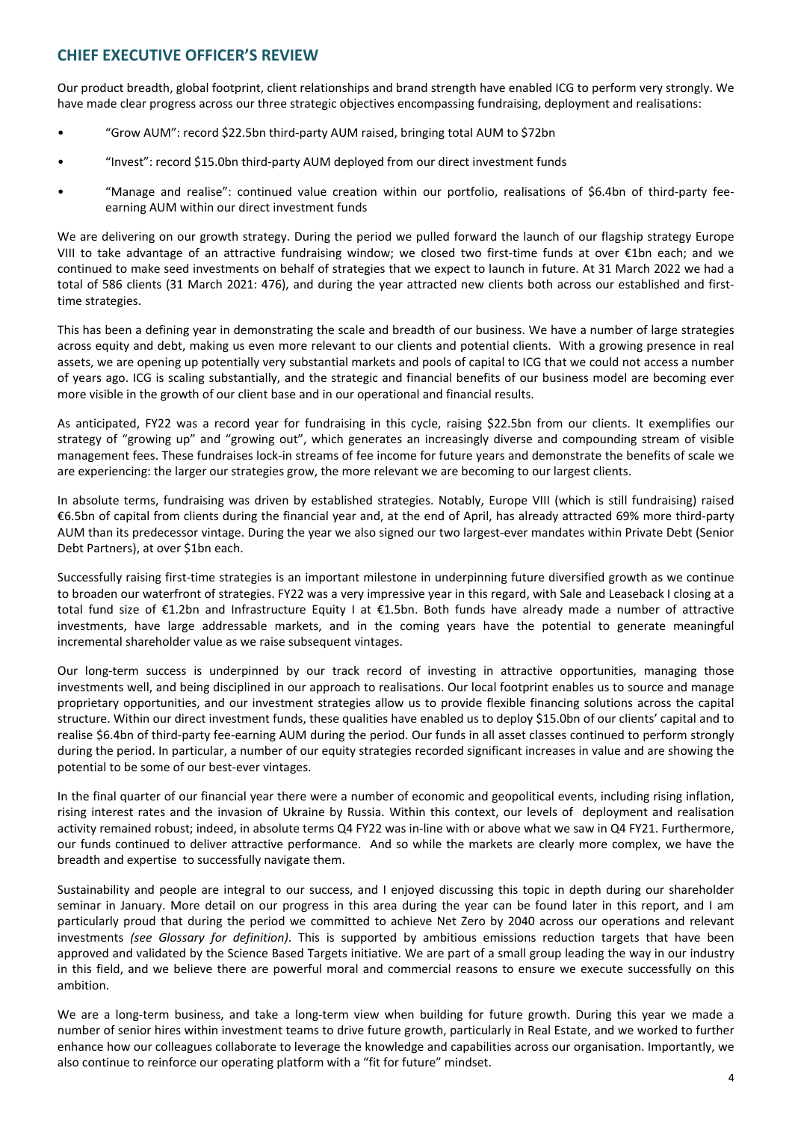# **CHIEF EXECUTIVE OFFICER'S REVIEW**

Our product breadth, global footprint, client relationships and brand strength have enabled ICG to perform very strongly. We have made clear progress across our three strategic objectives encompassing fundraising, deployment and realisations:

- "Grow AUM": record \$22.5bn third-party AUM raised, bringing total AUM to \$72bn
- "Invest": record \$15.0bn third-party AUM deployed from our direct investment funds
- "Manage and realise": continued value creation within our portfolio, realisations of \$6.4bn of third-party feeearning AUM within our direct investment funds

We are delivering on our growth strategy. During the period we pulled forward the launch of our flagship strategy Europe VIII to take advantage of an attractive fundraising window; we closed two first-time funds at over €1bn each; and we continued to make seed investments on behalf of strategies that we expect to launch in future. At 31 March 2022 we had a total of 586 clients (31 March 2021: 476), and during the year attracted new clients both across our established and firsttime strategies.

This has been a defining year in demonstrating the scale and breadth of our business. We have a number of large strategies across equity and debt, making us even more relevant to our clients and potential clients. With a growing presence in real assets, we are opening up potentially very substantial markets and pools of capital to ICG that we could not access a number of years ago. ICG is scaling substantially, and the strategic and financial benefits of our business model are becoming ever more visible in the growth of our client base and in our operational and financial results.

As anticipated, FY22 was a record year for fundraising in this cycle, raising \$22.5bn from our clients. It exemplifies our strategy of "growing up" and "growing out", which generates an increasingly diverse and compounding stream of visible management fees. These fundraises lock-in streams of fee income for future years and demonstrate the benefits of scale we are experiencing: the larger our strategies grow, the more relevant we are becoming to our largest clients.

In absolute terms, fundraising was driven by established strategies. Notably, Europe VIII (which is still fundraising) raised €6.5bn of capital from clients during the financial year and, at the end of April, has already attracted 69% more third-party AUM than its predecessor vintage. During the year we also signed our two largest-ever mandates within Private Debt (Senior Debt Partners), at over \$1bn each.

Successfully raising first-time strategies is an important milestone in underpinning future diversified growth as we continue to broaden our waterfront of strategies. FY22 was a very impressive year in this regard, with Sale and Leaseback I closing at a total fund size of  $\epsilon$ 1.2bn and Infrastructure Equity I at  $\epsilon$ 1.5bn. Both funds have already made a number of attractive investments, have large addressable markets, and in the coming years have the potential to generate meaningful incremental shareholder value as we raise subsequent vintages.

Our long-term success is underpinned by our track record of investing in attractive opportunities, managing those investments well, and being disciplined in our approach to realisations. Our local footprint enables us to source and manage proprietary opportunities, and our investment strategies allow us to provide flexible financing solutions across the capital structure. Within our direct investment funds, these qualities have enabled us to deploy \$15.0bn of our clients' capital and to realise \$6.4bn of third-party fee-earning AUM during the period. Our funds in all asset classes continued to perform strongly during the period. In particular, a number of our equity strategies recorded significant increases in value and are showing the potential to be some of our best-ever vintages.

In the final quarter of our financial year there were a number of economic and geopolitical events, including rising inflation, rising interest rates and the invasion of Ukraine by Russia. Within this context, our levels of deployment and realisation activity remained robust; indeed, in absolute terms Q4 FY22 was in-line with or above what we saw in Q4 FY21. Furthermore, our funds continued to deliver attractive performance. And so while the markets are clearly more complex, we have the breadth and expertise to successfully navigate them.

Sustainability and people are integral to our success, and I enjoyed discussing this topic in depth during our shareholder seminar in January. More detail on our progress in this area during the year can be found later in this report, and I am particularly proud that during the period we committed to achieve Net Zero by 2040 across our operations and relevant investments (see Glossary for definition). This is supported by ambitious emissions reduction targets that have been approved and validated by the Science Based Targets initiative. We are part of a small group leading the way in our industry in this field, and we believe there are powerful moral and commercial reasons to ensure we execute successfully on this ambition.

We are a long-term business, and take a long-term view when building for future growth. During this year we made a number of senior hires within investment teams to drive future growth, particularly in Real Estate, and we worked to further enhance how our colleagues collaborate to leverage the knowledge and capabilities across our organisation. Importantly, we also continue to reinforce our operating platform with a "fit for future" mindset.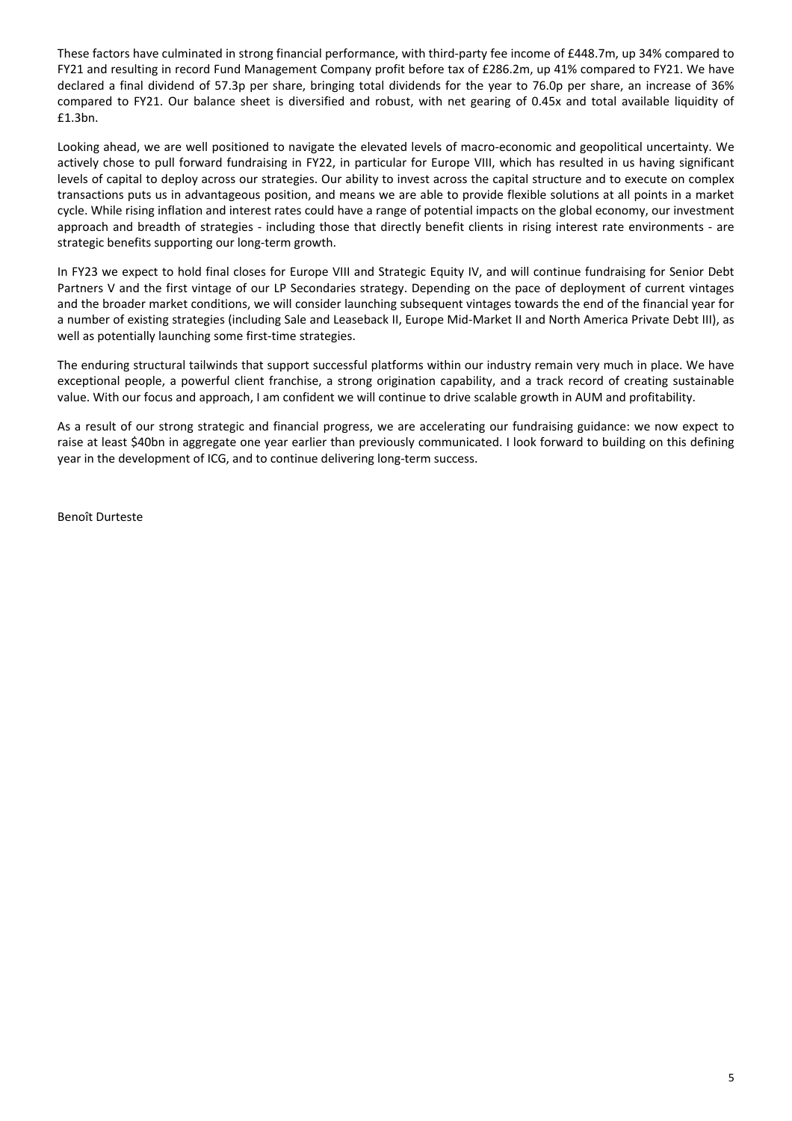These factors have culminated in strong financial performance, with third-party fee income of £448.7m, up 34% compared to FY21 and resulting in record Fund Management Company profit before tax of £286.2m, up 41% compared to FY21. We have declared a final dividend of 57.3p per share, bringing total dividends for the year to 76.0p per share, an increase of 36% compared to FY21. Our balance sheet is diversified and robust, with net gearing of 0.45x and total available liquidity of £1.3bn.

Looking ahead, we are well positioned to navigate the elevated levels of macro-economic and geopolitical uncertainty. We actively chose to pull forward fundraising in FY22, in particular for Europe VIII, which has resulted in us having significant levels of capital to deploy across our strategies. Our ability to invest across the capital structure and to execute on complex transactions puts us in advantageous position, and means we are able to provide flexible solutions at all points in a market cycle. While rising inflation and interest rates could have a range of potential impacts on the global economy, our investment approach and breadth of strategies - including those that directly benefit clients in rising interest rate environments - are strategic benefits supporting our long-term growth.

In FY23 we expect to hold final closes for Europe VIII and Strategic Equity IV, and will continue fundraising for Senior Debt Partners V and the first vintage of our LP Secondaries strategy. Depending on the pace of deployment of current vintages and the broader market conditions, we will consider launching subsequent vintages towards the end of the financial year for a number of existing strategies (including Sale and Leaseback II, Europe Mid-Market II and North America Private Debt III), as well as potentially launching some first-time strategies.

The enduring structural tailwinds that support successful platforms within our industry remain very much in place. We have exceptional people, a powerful client franchise, a strong origination capability, and a track record of creating sustainable value. With our focus and approach, I am confident we will continue to drive scalable growth in AUM and profitability.

As a result of our strong strategic and financial progress, we are accelerating our fundraising guidance: we now expect to raise at least \$40bn in aggregate one year earlier than previously communicated. I look forward to building on this defining year in the development of ICG, and to continue delivering long-term success.

Benoît Durteste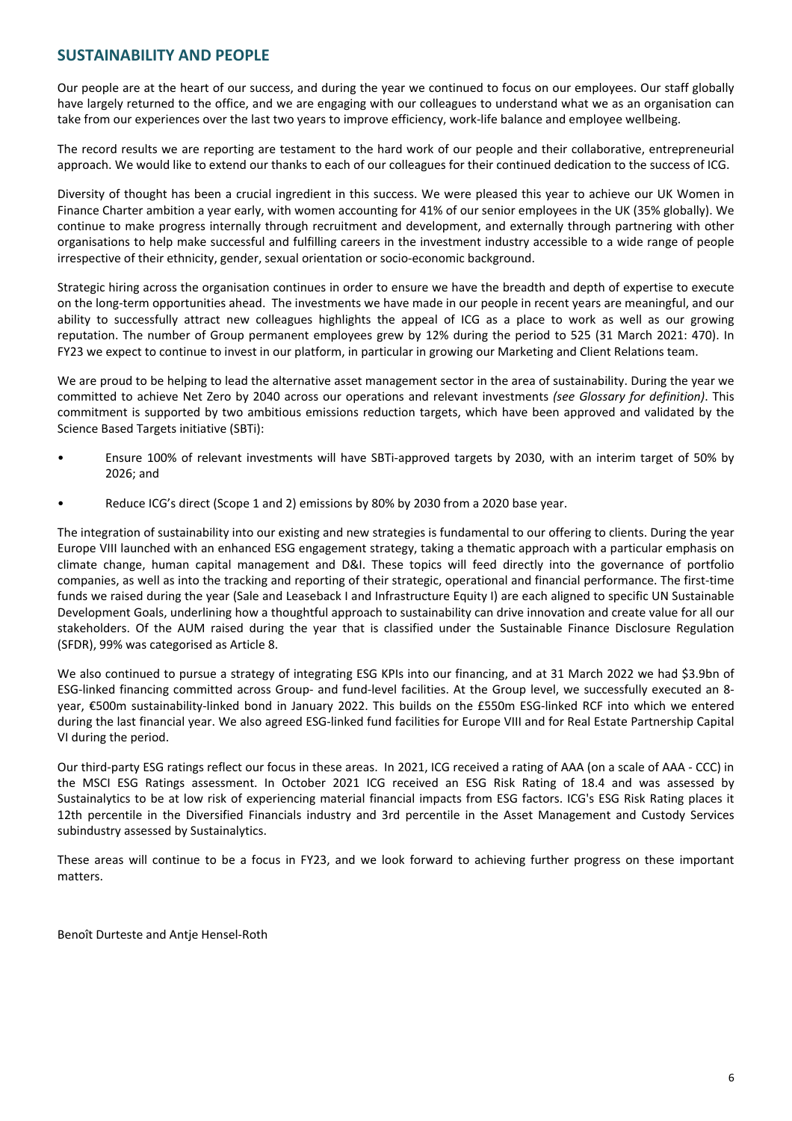# **SUSTAINABILITY AND PEOPLE**

Our people are at the heart of our success, and during the year we continued to focus on our employees. Our staff globally have largely returned to the office, and we are engaging with our colleagues to understand what we as an organisation can take from our experiences over the last two years to improve efficiency, work-life balance and employee wellbeing.

The record results we are reporting are testament to the hard work of our people and their collaborative, entrepreneurial approach. We would like to extend our thanks to each of our colleagues for their continued dedication to the success of ICG.

Diversity of thought has been a crucial ingredient in this success. We were pleased this year to achieve our UK Women in Finance Charter ambition a year early, with women accounting for 41% of our senior employees in the UK (35% globally). We continue to make progress internally through recruitment and development, and externally through partnering with other organisations to help make successful and fulfilling careers in the investment industry accessible to a wide range of people irrespective of their ethnicity, gender, sexual orientation or socio-economic background.

Strategic hiring across the organisation continues in order to ensure we have the breadth and depth of expertise to execute on the long-term opportunities ahead. The investments we have made in our people in recent years are meaningful, and our ability to successfully attract new colleagues highlights the appeal of ICG as a place to work as well as our growing reputation. The number of Group permanent employees grew by 12% during the period to 525 (31 March 2021: 470). In FY23 we expect to continue to invest in our platform, in particular in growing our Marketing and Client Relations team.

We are proud to be helping to lead the alternative asset management sector in the area of sustainability. During the year we committed to achieve Net Zero by 2040 across our operations and relevant investments (see Glossary for definition). This commitment is supported by two ambitious emissions reduction targets, which have been approved and validated by the Science Based Targets initiative (SBTi):

- Ensure 100% of relevant investments will have SBTi-approved targets by 2030, with an interim target of 50% by 2026; and
- Reduce ICG's direct (Scope 1 and 2) emissions by 80% by 2030 from a 2020 base year.

The integration of sustainability into our existing and new strategies is fundamental to our offering to clients. During the year Europe VIII launched with an enhanced ESG engagement strategy, taking a thematic approach with a particular emphasis on climate change, human capital management and D&I. These topics will feed directly into the governance of portfolio companies, as well as into the tracking and reporting of their strategic, operational and financial performance. The first-time funds we raised during the year (Sale and Leaseback I and Infrastructure Equity I) are each aligned to specific UN Sustainable Development Goals, underlining how a thoughtful approach to sustainability can drive innovation and create value for all our stakeholders. Of the AUM raised during the year that is classified under the Sustainable Finance Disclosure Regulation (SFDR), 99% was categorised as Article 8.

We also continued to pursue a strategy of integrating ESG KPIs into our financing, and at 31 March 2022 we had \$3.9bn of ESG-linked financing committed across Group- and fund-level facilities. At the Group level, we successfully executed an 8year, €500m sustainability-linked bond in January 2022. This builds on the £550m ESG-linked RCF into which we entered during the last financial year. We also agreed ESG-linked fund facilities for Europe VIII and for Real Estate Partnership Capital VI during the period.

Our third-party ESG ratings reflect our focus in these areas. In 2021, ICG received a rating of AAA (on a scale of AAA - CCC) in the MSCI ESG Ratings assessment. In October 2021 ICG received an ESG Risk Rating of 18.4 and was assessed by Sustainalytics to be at low risk of experiencing material financial impacts from ESG factors. ICG's ESG Risk Rating places it 12th percentile in the Diversified Financials industry and 3rd percentile in the Asset Management and Custody Services subindustry assessed by Sustainalytics.

These areas will continue to be a focus in FY23, and we look forward to achieving further progress on these important matters.

Benoît Durteste and Antje Hensel-Roth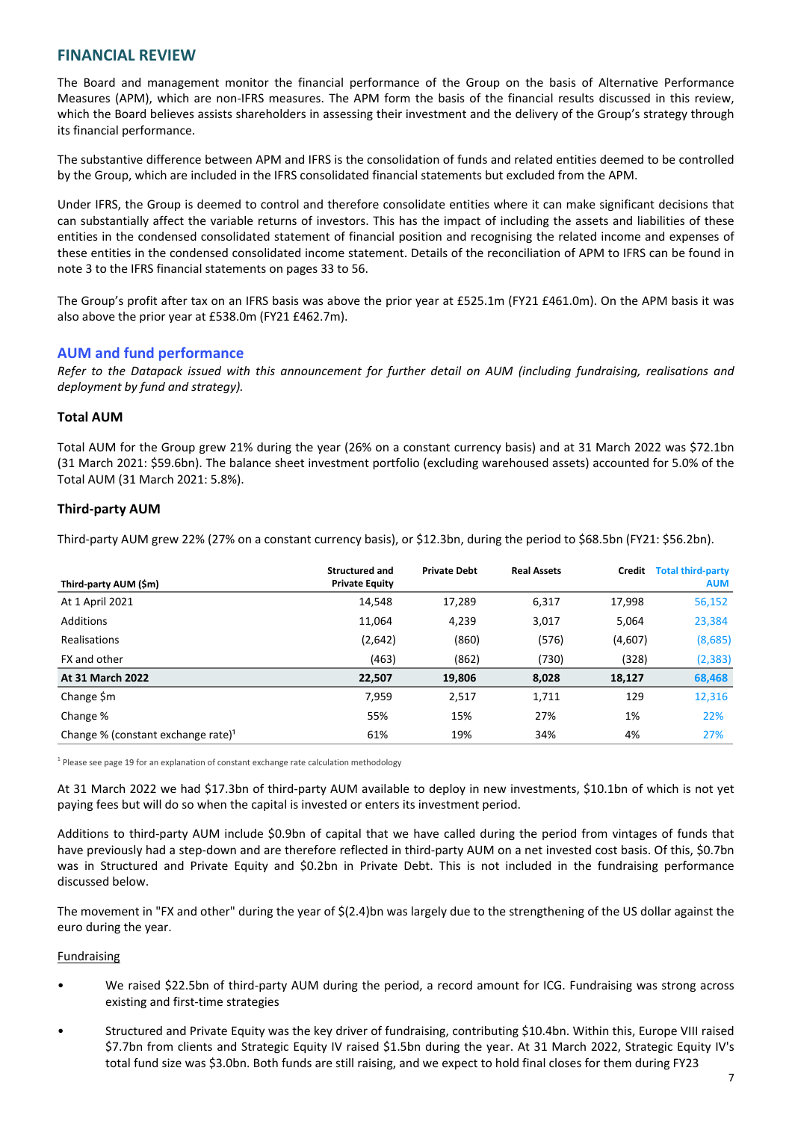# **FINANCIAL REVIEW**

The Board and management monitor the financial performance of the Group on the basis of Alternative Performance Measures (APM), which are non-IFRS measures. The APM form the basis of the financial results discussed in this review, which the Board believes assists shareholders in assessing their investment and the delivery of the Group's strategy through its financial performance.

The substantive difference between APM and IFRS is the consolidation of funds and related entities deemed to be controlled by the Group, which are included in the IFRS consolidated financial statements but excluded from the APM.

Under IFRS, the Group is deemed to control and therefore consolidate entities where it can make significant decisions that can substantially affect the variable returns of investors. This has the impact of including the assets and liabilities of these entities in the condensed consolidated statement of financial position and recognising the related income and expenses of these entities in the condensed consolidated income statement. Details of the reconciliation of APM to IFRS can be found in note 3 to the IFRS financial statements on pages 33 to 56.

The Group's profit after tax on an IFRS basis was above the prior year at £525.1m (FY21 £461.0m). On the APM basis it was also above the prior year at £538.0m (FY21 £462.7m).

# **AUM and fund performance**

Refer to the Datapack issued with this announcement for further detail on AUM (including fundraising, realisations and deployment by fund and strategy).

## **Total AUM**

Total AUM for the Group grew 21% during the year (26% on a constant currency basis) and at 31 March 2022 was \$72.1bn (31 March 2021: \$59.6bn). The balance sheet investment portfolio (excluding warehoused assets) accounted for 5.0% of the Total AUM (31 March 2021: 5.8%).

# **Third-party AUM**

Third-party AUM grew 22% (27% on a constant currency basis), or \$12.3bn, during the period to \$68.5bn (FY21: \$56.2bn).

| Third-party AUM (\$m)                          | <b>Structured and</b><br><b>Private Equity</b> | <b>Private Debt</b> | <b>Real Assets</b> | Credit  | <b>Total third-party</b><br><b>AUM</b> |
|------------------------------------------------|------------------------------------------------|---------------------|--------------------|---------|----------------------------------------|
| At 1 April 2021                                | 14,548                                         | 17,289              | 6,317              | 17,998  | 56,152                                 |
| Additions                                      | 11,064                                         | 4,239               | 3,017              | 5,064   | 23,384                                 |
| Realisations                                   | (2,642)                                        | (860)               | (576)              | (4,607) | (8,685)                                |
| FX and other                                   | (463)                                          | (862)               | (730)              | (328)   | (2, 383)                               |
| <b>At 31 March 2022</b>                        | 22,507                                         | 19,806              | 8,028              | 18,127  | 68,468                                 |
| Change \$m                                     | 7,959                                          | 2,517               | 1,711              | 129     | 12,316                                 |
| Change %                                       | 55%                                            | 15%                 | 27%                | 1%      | 22%                                    |
| Change % (constant exchange rate) <sup>1</sup> | 61%                                            | 19%                 | 34%                | 4%      | 27%                                    |

 $<sup>1</sup>$  Please see page 19 for an explanation of constant exchange rate calculation methodology</sup>

At 31 March 2022 we had \$17.3bn of third-party AUM available to deploy in new investments, \$10.1bn of which is not yet paying fees but will do so when the capital is invested or enters its investment period.

Additions to third-party AUM include \$0.9bn of capital that we have called during the period from vintages of funds that have previously had a step-down and are therefore reflected in third-party AUM on a net invested cost basis. Of this, \$0.7bn was in Structured and Private Equity and \$0.2bn in Private Debt. This is not included in the fundraising performance discussed below.

The movement in "FX and other" during the year of  $\frac{2(2.4)}{D}$  was largely due to the strengthening of the US dollar against the euro during the year.

## **Fundraising**

- We raised \$22.5bn of third-party AUM during the period, a record amount for ICG. Fundraising was strong across existing and first-time strategies
- Structured and Private Equity was the key driver of fundraising, contributing \$10.4bn. Within this, Europe VIII raised \$7.7bn from clients and Strategic Equity IV raised \$1.5bn during the year. At 31 March 2022, Strategic Equity IV's total fund size was \$3.0bn. Both funds are still raising, and we expect to hold final closes for them during FY23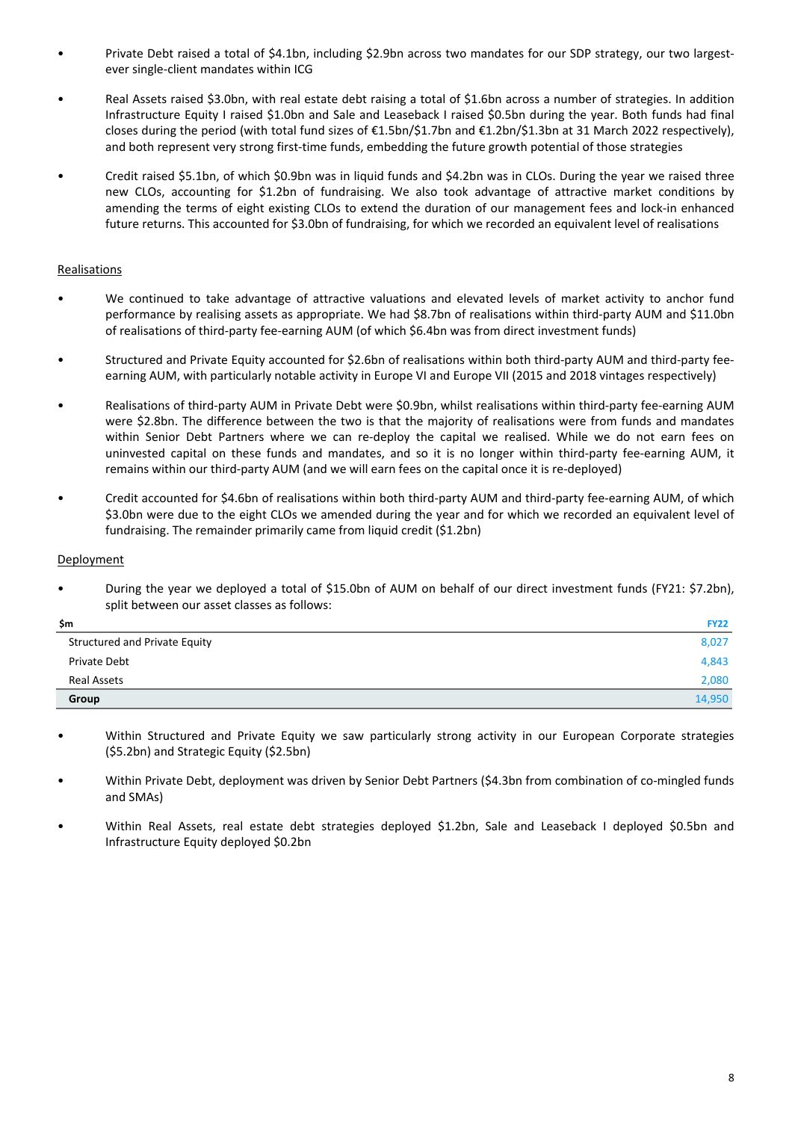- Private Debt raised a total of \$4.1bn, including \$2.9bn across two mandates for our SDP strategy, our two largestever single-client mandates within ICG
- Real Assets raised \$3.0bn, with real estate debt raising a total of \$1.6bn across a number of strategies. In addition Infrastructure Equity I raised \$1.0bn and Sale and Leaseback I raised \$0.5bn during the year. Both funds had final closes during the period (with total fund sizes of €1.5bn/\$1.7bn and €1.2bn/\$1.3bn at 31 March 2022 respectively), and both represent very strong first-time funds, embedding the future growth potential of those strategies
- Credit raised \$5.1bn, of which \$0.9bn was in liquid funds and \$4.2bn was in CLOs. During the year we raised three new CLOs, accounting for \$1.2bn of fundraising. We also took advantage of attractive market conditions by amending the terms of eight existing CLOs to extend the duration of our management fees and lock-in enhanced future returns. This accounted for \$3.0bn of fundraising, for which we recorded an equivalent level of realisations

# Realisations

- We continued to take advantage of attractive valuations and elevated levels of market activity to anchor fund performance by realising assets as appropriate. We had \$8.7bn of realisations within third-party AUM and \$11.0bn of realisations of third-party fee-earning AUM (of which \$6.4bn was from direct investment funds)
- Structured and Private Equity accounted for \$2.6bn of realisations within both third-party AUM and third-party feeearning AUM, with particularly notable activity in Europe VI and Europe VII (2015 and 2018 vintages respectively)
- Realisations of third-party AUM in Private Debt were \$0.9bn, whilst realisations within third-party fee-earning AUM were \$2.8bn. The difference between the two is that the majority of realisations were from funds and mandates within Senior Debt Partners where we can re-deploy the capital we realised. While we do not earn fees on uninvested capital on these funds and mandates, and so it is no longer within third-party fee-earning AUM, it remains within our third-party AUM (and we will earn fees on the capital once it is re-deployed)
- Credit accounted for \$4.6bn of realisations within both third-party AUM and third-party fee-earning AUM, of which \$3.0bn were due to the eight CLOs we amended during the year and for which we recorded an equivalent level of fundraising. The remainder primarily came from liquid credit (\$1.2bn)

### Deployment

During the year we deployed a total of \$15.0bn of AUM on behalf of our direct investment funds (FY21: \$7.2bn), split between our asset classes as follows:

| \$m                           | <b>FY22</b> |
|-------------------------------|-------------|
| Structured and Private Equity | 8,027       |
| Private Debt                  | 4,843       |
| Real Assets                   | 2,080       |
| Group                         | 14,950      |

- Within Structured and Private Equity we saw particularly strong activity in our European Corporate strategies (\$5.2bn) and Strategic Equity (\$2.5bn)
- Within Private Debt, deployment was driven by Senior Debt Partners (\$4.3bn from combination of co-mingled funds and SMAs)
- Within Real Assets, real estate debt strategies deployed \$1.2bn, Sale and Leaseback I deployed \$0.5bn and Infrastructure Equity deployed \$0.2bn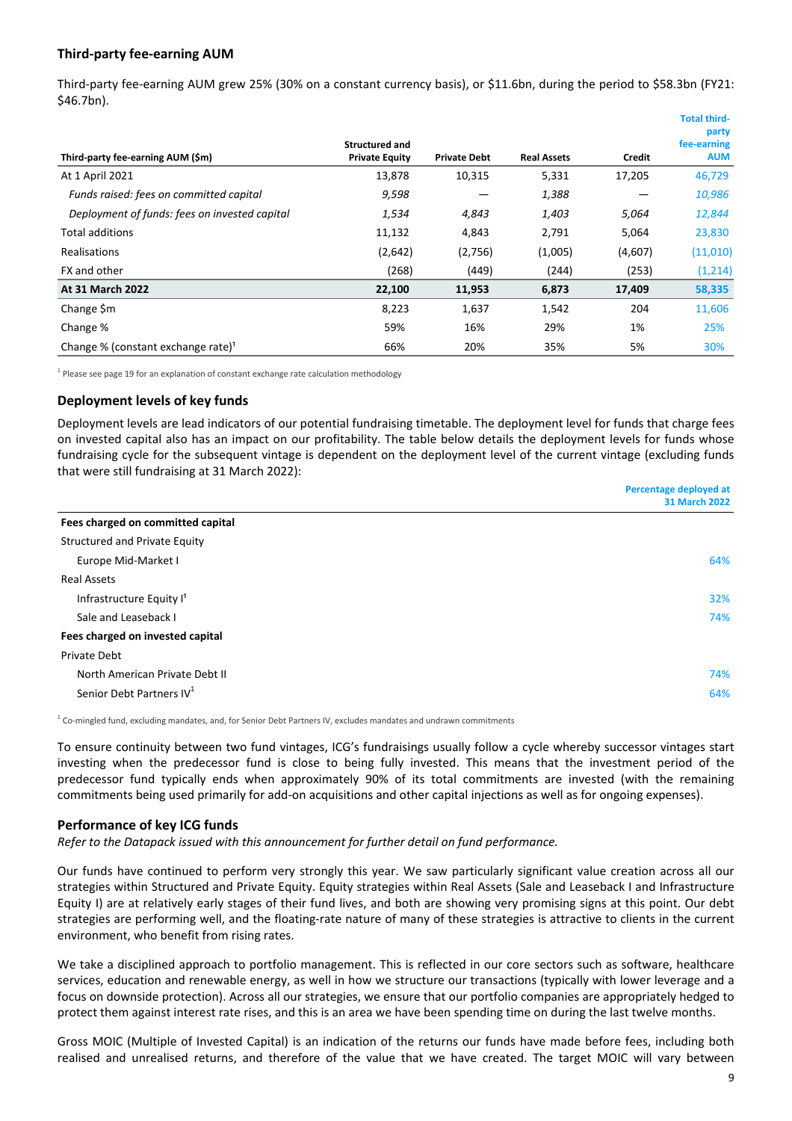# **Third-party fee-earning AUM**

Third-party fee-earning AUM grew 25% (30% on a constant currency basis), or \$11.6bn, during the period to \$58.3bn (FY21: \$46.7bn).

|                                                |                       |                     |                    |         | TULAT LIIII U-<br>party |
|------------------------------------------------|-----------------------|---------------------|--------------------|---------|-------------------------|
|                                                | <b>Structured and</b> |                     |                    |         | fee-earning             |
| Third-party fee-earning AUM (\$m)              | <b>Private Equity</b> | <b>Private Debt</b> | <b>Real Assets</b> | Credit  | <b>AUM</b>              |
| At 1 April 2021                                | 13,878                | 10,315              | 5,331              | 17,205  | 46,729                  |
| Funds raised: fees on committed capital        | 9,598                 |                     | 1,388              |         | 10,986                  |
| Deployment of funds: fees on invested capital  | 1,534                 | 4,843               | 1,403              | 5,064   | 12,844                  |
| <b>Total additions</b>                         | 11,132                | 4,843               | 2,791              | 5,064   | 23,830                  |
| <b>Realisations</b>                            | (2,642)               | (2,756)             | (1,005)            | (4,607) | (11,010)                |
| FX and other                                   | (268)                 | (449)               | (244)              | (253)   | (1,214)                 |
| <b>At 31 March 2022</b>                        | 22,100                | 11,953              | 6,873              | 17,409  | 58,335                  |
| Change \$m                                     | 8,223                 | 1,637               | 1,542              | 204     | 11,606                  |
| Change %                                       | 59%                   | 16%                 | 29%                | 1%      | 25%                     |
| Change % (constant exchange rate) <sup>1</sup> | 66%                   | 20%                 | 35%                | 5%      | 30%                     |

 $<sup>1</sup>$  Please see page 19 for an explanation of constant exchange rate calculation methodology</sup>

## **Deployment levels of key funds**

Deployment levels are lead indicators of our potential fundraising timetable. The deployment level for funds that charge fees on invested capital also has an impact on our profitability. The table below details the deployment levels for funds whose fundraising cycle for the subsequent vintage is dependent on the deployment level of the current vintage (excluding funds that were still fundraising at 31 March 2022):

|                                      | Percentage deployed at |
|--------------------------------------|------------------------|
|                                      | <b>31 March 2022</b>   |
| Fees charged on committed capital    |                        |
| <b>Structured and Private Equity</b> |                        |
| Europe Mid-Market I                  | 64%                    |
| <b>Real Assets</b>                   |                        |
| Infrastructure Equity I <sup>1</sup> | 32%                    |
| Sale and Leaseback I                 | 74%                    |
| Fees charged on invested capital     |                        |
| Private Debt                         |                        |
| North American Private Debt II       | 74%                    |
| Senior Debt Partners IV <sup>1</sup> | 64%                    |
|                                      |                        |

 $^1$  Co-mingled fund, excluding mandates, and, for Senior Debt Partners IV, excludes mandates and undrawn commitments

To ensure continuity between two fund vintages, ICG's fundraisings usually follow a cycle whereby successor vintages start investing when the predecessor fund is close to being fully invested. This means that the investment period of the predecessor fund typically ends when approximately 90% of its total commitments are invested (with the remaining commitments being used primarily for add-on acquisitions and other capital injections as well as for ongoing expenses).

## **Performance of key ICG funds**

Refer to the Datapack issued with this announcement for further detail on fund performance.

Our funds have continued to perform very strongly this year. We saw particularly significant value creation across all our strategies within Structured and Private Equity. Equity strategies within Real Assets (Sale and Leaseback I and Infrastructure Equity I) are at relatively early stages of their fund lives, and both are showing very promising signs at this point. Our debt strategies are performing well, and the floating-rate nature of many of these strategies is attractive to clients in the current environment, who benefit from rising rates.

We take a disciplined approach to portfolio management. This is reflected in our core sectors such as software, healthcare services, education and renewable energy, as well in how we structure our transactions (typically with lower leverage and a focus on downside protection). Across all our strategies, we ensure that our portfolio companies are appropriately hedged to protect them against interest rate rises, and this is an area we have been spending time on during the last twelve months.

Gross MOIC (Multiple of Invested Capital) is an indication of the returns our funds have made before fees, including both realised and unrealised returns, and therefore of the value that we have created. The target MOIC will vary between

**Total third-**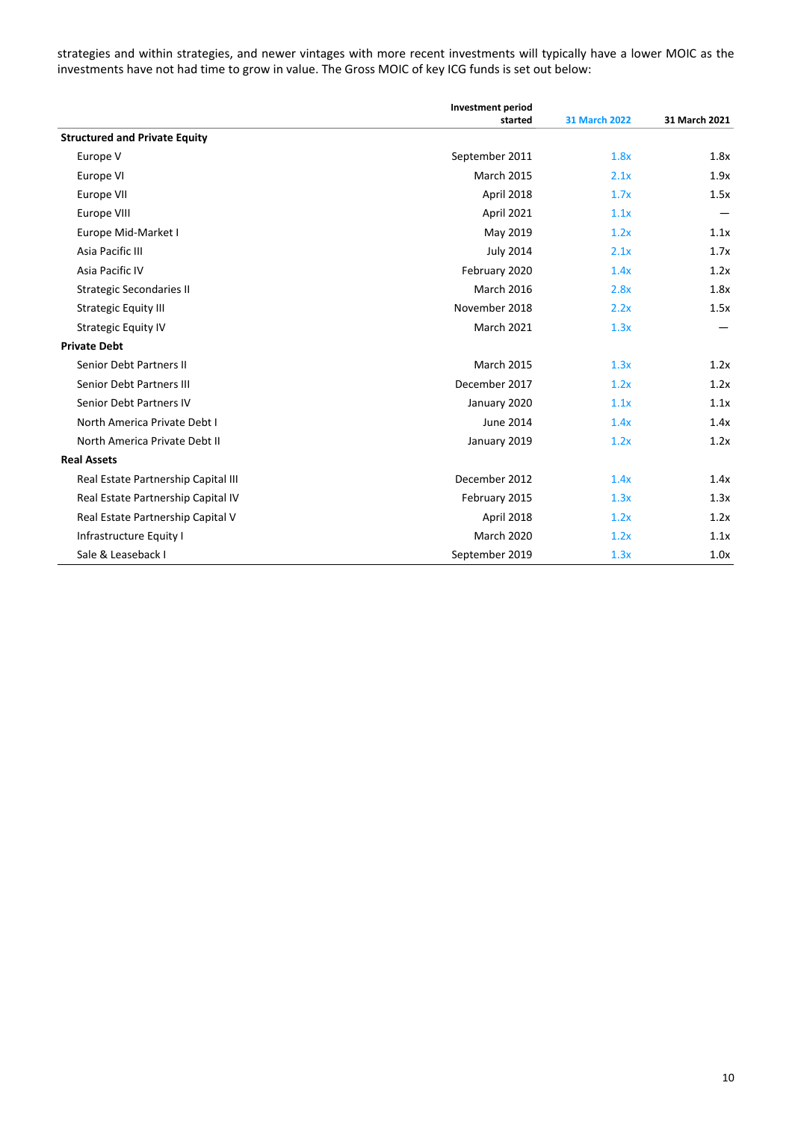strategies and within strategies, and newer vintages with more recent investments will typically have a lower MOIC as the investments have not had time to grow in value. The Gross MOIC of key ICG funds is set out below:

|                                      | <b>Investment period</b> |                      |               |
|--------------------------------------|--------------------------|----------------------|---------------|
|                                      | started                  | <b>31 March 2022</b> | 31 March 2021 |
| <b>Structured and Private Equity</b> |                          |                      |               |
| Europe V                             | September 2011           | 1.8x                 | 1.8x          |
| Europe VI                            | <b>March 2015</b>        | 2.1x                 | 1.9x          |
| Europe VII                           | April 2018               | 1.7x                 | 1.5x          |
| Europe VIII                          | April 2021               | 1.1x                 |               |
| Europe Mid-Market I                  | May 2019                 | 1.2x                 | 1.1x          |
| Asia Pacific III                     | <b>July 2014</b>         | 2.1x                 | 1.7x          |
| Asia Pacific IV                      | February 2020            | 1.4x                 | 1.2x          |
| <b>Strategic Secondaries II</b>      | <b>March 2016</b>        | 2.8x                 | 1.8x          |
| <b>Strategic Equity III</b>          | November 2018            | 2.2x                 | 1.5x          |
| <b>Strategic Equity IV</b>           | <b>March 2021</b>        | 1.3x                 |               |
| <b>Private Debt</b>                  |                          |                      |               |
| Senior Debt Partners II              | <b>March 2015</b>        | 1.3x                 | 1.2x          |
| Senior Debt Partners III             | December 2017            | 1.2x                 | 1.2x          |
| Senior Debt Partners IV              | January 2020             | 1.1x                 | 1.1x          |
| North America Private Debt I         | June 2014                | 1.4x                 | 1.4x          |
| North America Private Debt II        | January 2019             | 1.2x                 | 1.2x          |
| <b>Real Assets</b>                   |                          |                      |               |
| Real Estate Partnership Capital III  | December 2012            | 1.4x                 | 1.4x          |
| Real Estate Partnership Capital IV   | February 2015            | 1.3x                 | 1.3x          |
| Real Estate Partnership Capital V    | April 2018               | 1.2x                 | 1.2x          |
| Infrastructure Equity I              | March 2020               | 1.2x                 | 1.1x          |
| Sale & Leaseback I                   | September 2019           | 1.3x                 | 1.0x          |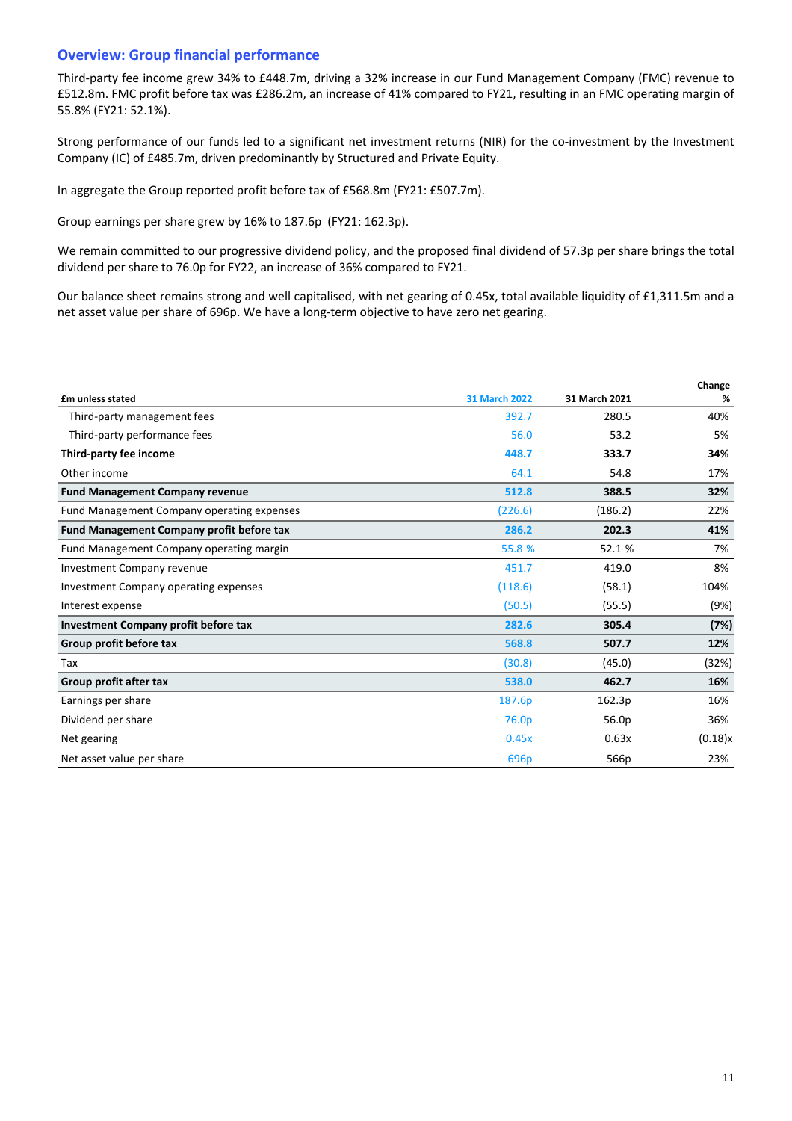# **Overview: Group financial performance**

Third-party fee income grew 34% to £448.7m, driving a 32% increase in our Fund Management Company (FMC) revenue to £512.8m. FMC profit before tax was £286.2m, an increase of 41% compared to FY21, resulting in an FMC operating margin of 55.8% (FY21: 52.1%).

Strong performance of our funds led to a significant net investment returns (NIR) for the co-investment by the Investment Company (IC) of £485.7m, driven predominantly by Structured and Private Equity.

In aggregate the Group reported profit before tax of £568.8m (FY21: £507.7m).

Group earnings per share grew by 16% to 187.6p (FY21: 162.3p).

We remain committed to our progressive dividend policy, and the proposed final dividend of 57.3p per share brings the total dividend per share to 76.0p for FY22, an increase of 36% compared to FY21.

Our balance sheet remains strong and well capitalised, with net gearing of 0.45x, total available liquidity of £1,311.5m and a net asset value per share of 696p. We have a long-term objective to have zero net gearing.

|                                             |                      |               | Change  |
|---------------------------------------------|----------------------|---------------|---------|
| £m unless stated                            | <b>31 March 2022</b> | 31 March 2021 | %       |
| Third-party management fees                 | 392.7                | 280.5         | 40%     |
| Third-party performance fees                | 56.0                 | 53.2          | 5%      |
| Third-party fee income                      | 448.7                | 333.7         | 34%     |
| Other income                                | 64.1                 | 54.8          | 17%     |
| <b>Fund Management Company revenue</b>      | 512.8                | 388.5         | 32%     |
| Fund Management Company operating expenses  | (226.6)              | (186.2)       | 22%     |
| Fund Management Company profit before tax   | 286.2                | 202.3         | 41%     |
| Fund Management Company operating margin    | 55.8 %               | 52.1 %        | 7%      |
| <b>Investment Company revenue</b>           | 451.7                | 419.0         | 8%      |
| Investment Company operating expenses       | (118.6)              | (58.1)        | 104%    |
| Interest expense                            | (50.5)               | (55.5)        | (9%)    |
| <b>Investment Company profit before tax</b> | 282.6                | 305.4         | (7%)    |
| Group profit before tax                     | 568.8                | 507.7         | 12%     |
| Tax                                         | (30.8)               | (45.0)        | (32%)   |
| Group profit after tax                      | 538.0                | 462.7         | 16%     |
| Earnings per share                          | 187.6p               | 162.3p        | 16%     |
| Dividend per share                          | 76.0 <sub>p</sub>    | 56.0p         | 36%     |
| Net gearing                                 | 0.45x                | 0.63x         | (0.18)x |
| Net asset value per share                   | 696 <sub>p</sub>     | 566p          | 23%     |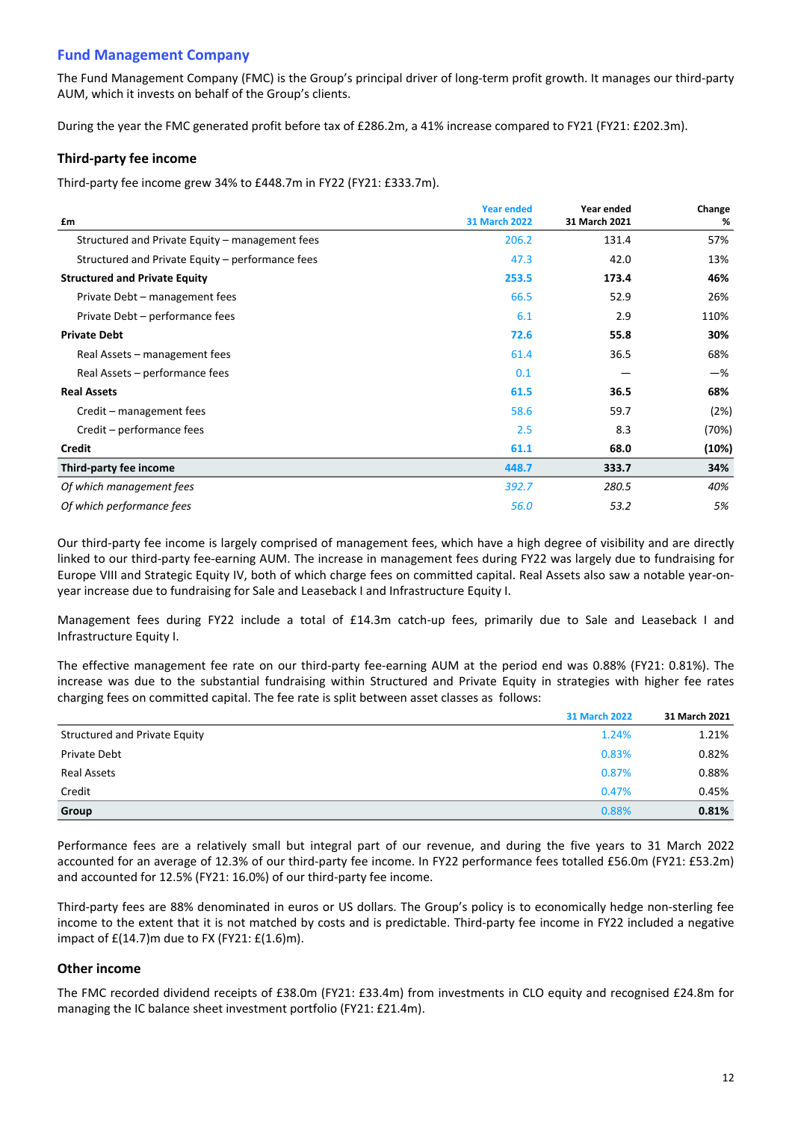# **Fund Management Company**

The Fund Management Company (FMC) is the Group's principal driver of long-term profit growth. It manages our third-party AUM, which it invests on behalf of the Group's clients.

During the year the FMC generated profit before tax of £286.2m, a 41% increase compared to FY21 (FY21: £202.3m).

# **Third-party fee income**

Third-party fee income grew 34% to £448.7m in FY22 (FY21: £333.7m).

|                                                  | <b>Year ended</b>    | Year ended    | Change |
|--------------------------------------------------|----------------------|---------------|--------|
| £m                                               | <b>31 March 2022</b> | 31 March 2021 | %      |
| Structured and Private Equity – management fees  | 206.2                | 131.4         | 57%    |
| Structured and Private Equity – performance fees | 47.3                 | 42.0          | 13%    |
| <b>Structured and Private Equity</b>             | 253.5                | 173.4         | 46%    |
| Private Debt - management fees                   | 66.5                 | 52.9          | 26%    |
| Private Debt - performance fees                  | 6.1                  | 2.9           | 110%   |
| <b>Private Debt</b>                              | 72.6                 | 55.8          | 30%    |
| Real Assets – management fees                    | 61.4                 | 36.5          | 68%    |
| Real Assets – performance fees                   | 0.1                  |               | -%     |
| <b>Real Assets</b>                               | 61.5                 | 36.5          | 68%    |
| Credit – management fees                         | 58.6                 | 59.7          | (2%)   |
| Credit – performance fees                        | 2.5                  | 8.3           | (70%)  |
| <b>Credit</b>                                    | 61.1                 | 68.0          | (10%)  |
| Third-party fee income                           | 448.7                | 333.7         | 34%    |
| Of which management fees                         | 392.7                | 280.5         | 40%    |
| Of which performance fees                        | 56.0                 | 53.2          | 5%     |

Our third-party fee income is largely comprised of management fees, which have a high degree of visibility and are directly linked to our third-party fee-earning AUM. The increase in management fees during FY22 was largely due to fundraising for Europe VIII and Strategic Equity IV, both of which charge fees on committed capital. Real Assets also saw a notable year-onyear increase due to fundraising for Sale and Leaseback I and Infrastructure Equity I.

Management fees during FY22 include a total of £14.3m catch-up fees, primarily due to Sale and Leaseback I and Infrastructure Equity I.

The effective management fee rate on our third-party fee-earning AUM at the period end was 0.88% (FY21: 0.81%). The increase was due to the substantial fundraising within Structured and Private Equity in strategies with higher fee rates charging fees on committed capital. The fee rate is split between asset classes as follows:

|                                      | <b>31 March 2022</b> | 31 March 2021 |
|--------------------------------------|----------------------|---------------|
| <b>Structured and Private Equity</b> | 1.24%                | 1.21%         |
| Private Debt                         | 0.83%                | 0.82%         |
| Real Assets                          | 0.87%                | 0.88%         |
| Credit                               | 0.47%                | 0.45%         |
| Group                                | 0.88%                | 0.81%         |

Performance fees are a relatively small but integral part of our revenue, and during the five years to 31 March 2022 accounted for an average of 12.3% of our third-party fee income. In FY22 performance fees totalled £56.0m (FY21: £53.2m) and accounted for 12.5% (FY21: 16.0%) of our third-party fee income.

Third-party fees are 88% denominated in euros or US dollars. The Group's policy is to economically hedge non-sterling fee income to the extent that it is not matched by costs and is predictable. Third-party fee income in FY22 included a negative impact of  $E(14.7)$ m due to FX (FY21:  $E(1.6)$ m).

# **Other income**

The FMC recorded dividend receipts of £38.0m (FY21: £33.4m) from investments in CLO equity and recognised £24.8m for managing the IC balance sheet investment portfolio (FY21: £21.4m).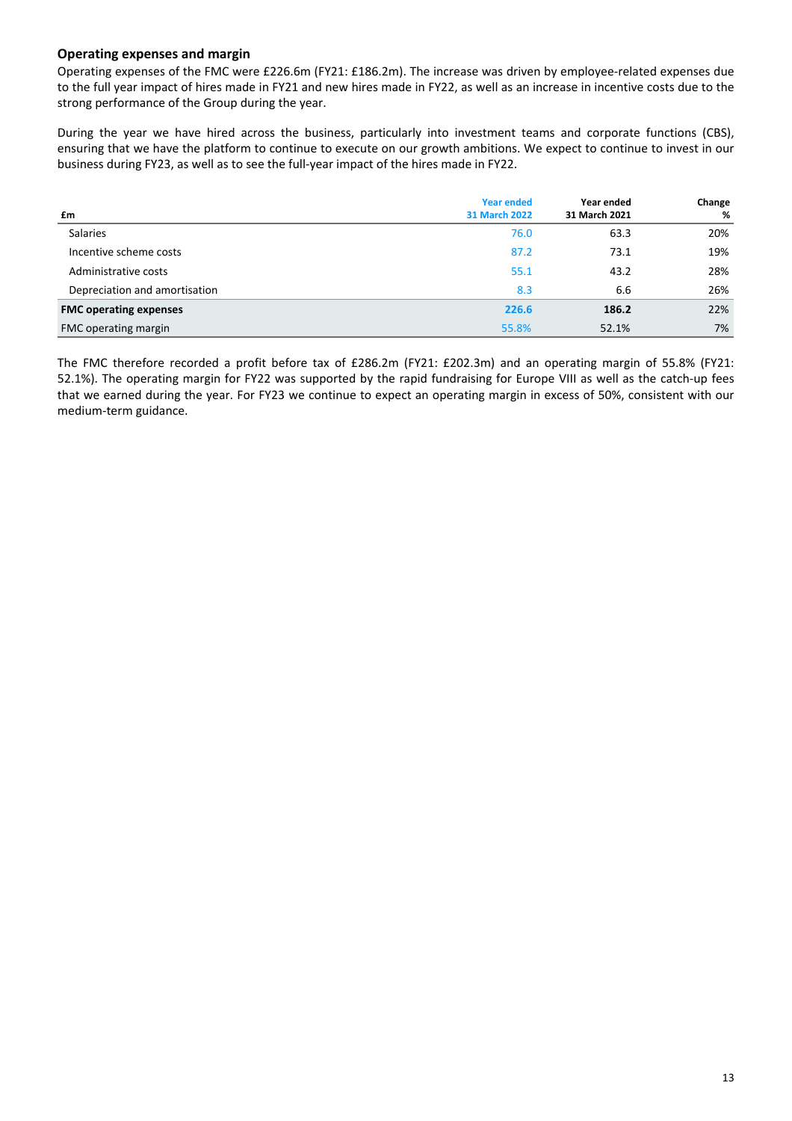# **Operating expenses and margin**

Operating expenses of the FMC were £226.6m (FY21: £186.2m). The increase was driven by employee-related expenses due to the full year impact of hires made in FY21 and new hires made in FY22, as well as an increase in incentive costs due to the strong performance of the Group during the year.

During the year we have hired across the business, particularly into investment teams and corporate functions (CBS), ensuring that we have the platform to continue to execute on our growth ambitions. We expect to continue to invest in our business during FY23, as well as to see the full-year impact of the hires made in FY22.

|                               | <b>Year ended</b>    | Year ended    | Change |
|-------------------------------|----------------------|---------------|--------|
| £m                            | <b>31 March 2022</b> | 31 March 2021 | %      |
| Salaries                      | 76.0                 | 63.3          | 20%    |
| Incentive scheme costs        | 87.2                 | 73.1          | 19%    |
| Administrative costs          | 55.1                 | 43.2          | 28%    |
| Depreciation and amortisation | 8.3                  | 6.6           | 26%    |
| <b>FMC operating expenses</b> | 226.6                | 186.2         | 22%    |
| FMC operating margin          | 55.8%                | 52.1%         | 7%     |

The FMC therefore recorded a profit before tax of £286.2m (FY21: £202.3m) and an operating margin of 55.8% (FY21: 52.1%). The operating margin for FY22 was supported by the rapid fundraising for Europe VIII as well as the catch-up fees that we earned during the year. For FY23 we continue to expect an operating margin in excess of 50%, consistent with our medium-term guidance.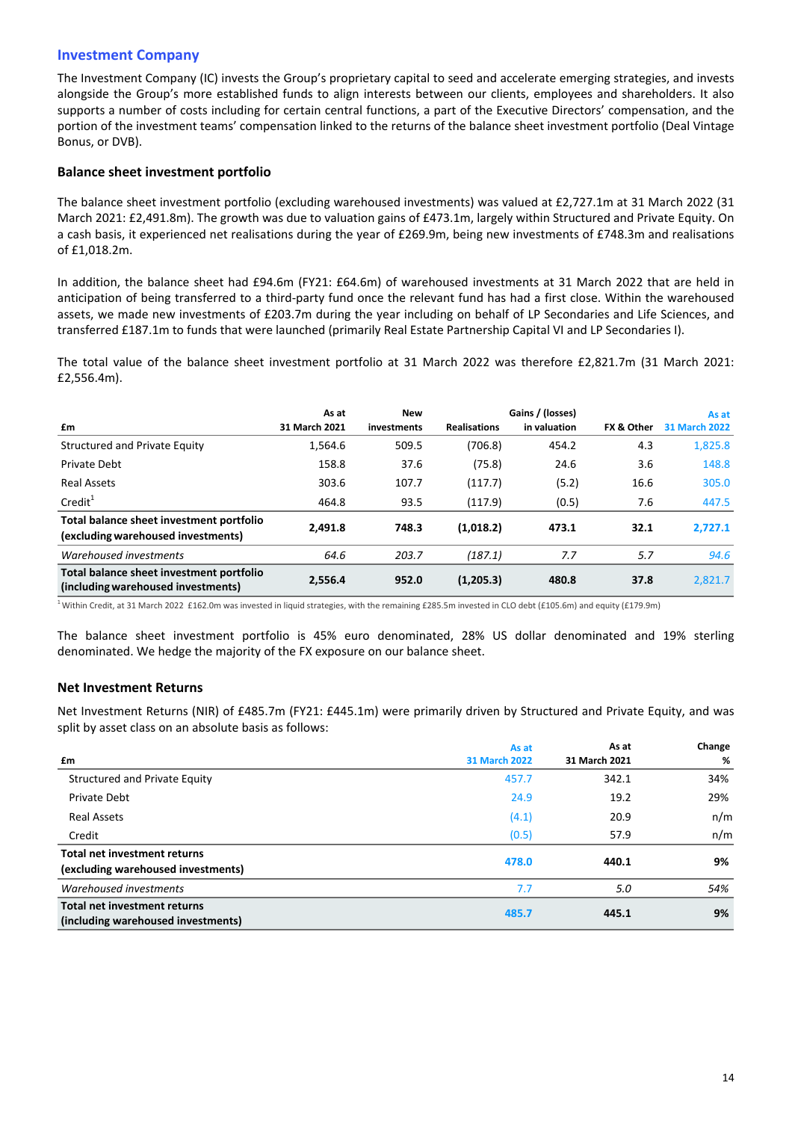# **Investment Company**

The Investment Company (IC) invests the Group's proprietary capital to seed and accelerate emerging strategies, and invests alongside the Group's more established funds to align interests between our clients, employees and shareholders. It also supports a number of costs including for certain central functions, a part of the Executive Directors' compensation, and the portion of the investment teams' compensation linked to the returns of the balance sheet investment portfolio (Deal Vintage Bonus, or DVB).

# **Balance sheet investment portfolio**

The balance sheet investment portfolio (excluding warehoused investments) was valued at £2,727.1m at 31 March 2022 (31 March 2021: £2,491.8m). The growth was due to valuation gains of £473.1m, largely within Structured and Private Equity. On a cash basis, it experienced net realisations during the year of £269.9m, being new investments of £748.3m and realisations of £1,018.2m.

In addition, the balance sheet had £94.6m (FY21: £64.6m) of warehoused investments at 31 March 2022 that are held in anticipation of being transferred to a third-party fund once the relevant fund has had a first close. Within the warehoused assets, we made new investments of £203.7m during the year including on behalf of LP Secondaries and Life Sciences, and transferred £187.1m to funds that were launched (primarily Real Estate Partnership Capital VI and LP Secondaries I).

The total value of the balance sheet investment portfolio at 31 March 2022 was therefore £2,821.7m (31 March 2021: £2,556.4m).

|                                                                                | As at         | <b>New</b>  |                     | Gains / (losses) |            | As at                |
|--------------------------------------------------------------------------------|---------------|-------------|---------------------|------------------|------------|----------------------|
| £m                                                                             | 31 March 2021 | investments | <b>Realisations</b> | in valuation     | FX & Other | <b>31 March 2022</b> |
| Structured and Private Equity                                                  | 1,564.6       | 509.5       | (706.8)             | 454.2            | 4.3        | 1,825.8              |
| Private Debt                                                                   | 158.8         | 37.6        | (75.8)              | 24.6             | 3.6        | 148.8                |
| Real Assets                                                                    | 303.6         | 107.7       | (117.7)             | (5.2)            | 16.6       | 305.0                |
| Credit <sup>1</sup>                                                            | 464.8         | 93.5        | (117.9)             | (0.5)            | 7.6        | 447.5                |
| Total balance sheet investment portfolio                                       | 2.491.8       | 748.3       | (1,018.2)           | 473.1            | 32.1       | 2,727.1              |
| (excluding warehoused investments)                                             |               |             |                     |                  |            |                      |
| Warehoused investments                                                         | 64.6          | 203.7       | (187.1)             | 7.7              | 5.7        | 94.6                 |
| Total balance sheet investment portfolio<br>(including warehoused investments) | 2,556.4       | 952.0       | (1,205.3)           | 480.8            | 37.8       | 2,821.7              |

<sup>1</sup> Within Credit, at 31 March 2022 £162.0m was invested in liquid strategies, with the remaining £285.5m invested in CLO debt (£105.6m) and equity (£179.9m)

The balance sheet investment portfolio is 45% euro denominated, 28% US dollar denominated and 19% sterling denominated. We hedge the majority of the FX exposure on our balance sheet.

# **Net Investment Returns**

Net Investment Returns (NIR) of £485.7m (FY21: £445.1m) were primarily driven by Structured and Private Equity, and was split by asset class on an absolute basis as follows:

|                                     | As at                | As at         | Change |
|-------------------------------------|----------------------|---------------|--------|
| £m                                  | <b>31 March 2022</b> | 31 March 2021 | %      |
| Structured and Private Equity       | 457.7                | 342.1         | 34%    |
| <b>Private Debt</b>                 | 24.9                 | 19.2          | 29%    |
| <b>Real Assets</b>                  | (4.1)                | 20.9          | n/m    |
| Credit                              | (0.5)                | 57.9          | n/m    |
| <b>Total net investment returns</b> |                      |               |        |
| (excluding warehoused investments)  | 478.0                | 440.1         | 9%     |
| Warehoused investments              | 7.7                  | 5.0           | 54%    |
| <b>Total net investment returns</b> | 485.7                | 445.1         | 9%     |
| (including warehoused investments)  |                      |               |        |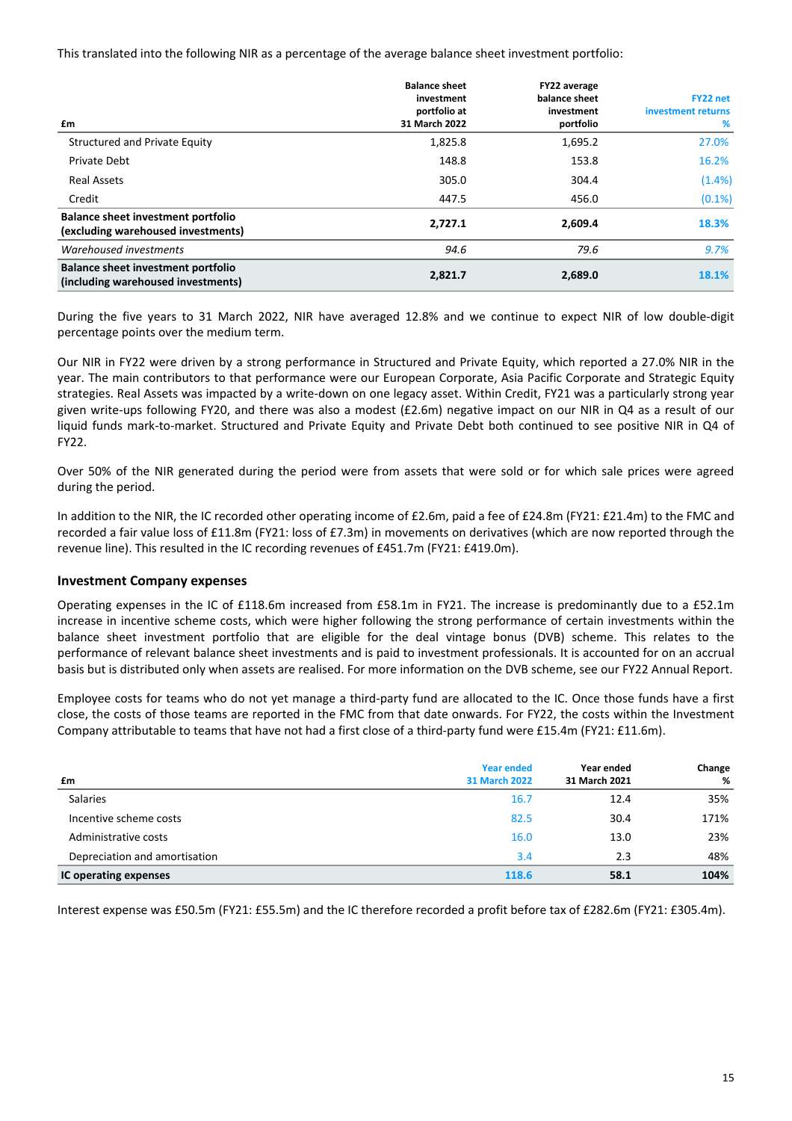This translated into the following NIR as a percentage of the average balance sheet investment portfolio:

| £m                                                                              | <b>Balance sheet</b><br>investment<br>portfolio at<br>31 March 2022 | FY22 average<br>balance sheet<br>investment<br>portfolio | FY22 net<br>investment returns<br>% |
|---------------------------------------------------------------------------------|---------------------------------------------------------------------|----------------------------------------------------------|-------------------------------------|
| Structured and Private Equity                                                   | 1,825.8                                                             | 1,695.2                                                  | 27.0%                               |
| <b>Private Debt</b>                                                             | 148.8                                                               | 153.8                                                    | 16.2%                               |
| <b>Real Assets</b>                                                              | 305.0                                                               | 304.4                                                    | $(1.4\%)$                           |
| Credit                                                                          | 447.5                                                               | 456.0                                                    | (0.1%)                              |
| <b>Balance sheet investment portfolio</b><br>(excluding warehoused investments) | 2.727.1                                                             | 2,609.4                                                  | 18.3%                               |
| Warehoused investments                                                          | 94.6                                                                | 79.6                                                     | 9.7%                                |
| <b>Balance sheet investment portfolio</b><br>(including warehoused investments) | 2,821.7                                                             | 2,689.0                                                  | 18.1%                               |

During the five years to 31 March 2022, NIR have averaged 12.8% and we continue to expect NIR of low double-digit percentage points over the medium term.

Our NIR in FY22 were driven by a strong performance in Structured and Private Equity, which reported a 27.0% NIR in the year. The main contributors to that performance were our European Corporate, Asia Pacific Corporate and Strategic Equity strategies. Real Assets was impacted by a write-down on one legacy asset. Within Credit, FY21 was a particularly strong year given write-ups following FY20, and there was also a modest  $(E2.6m)$  negative impact on our NIR in Q4 as a result of our liquid funds mark-to-market. Structured and Private Equity and Private Debt both continued to see positive NIR in Q4 of FY22.

Over 50% of the NIR generated during the period were from assets that were sold or for which sale prices were agreed during the period.

In addition to the NIR, the IC recorded other operating income of £2.6m, paid a fee of £24.8m (FY21: £21.4m) to the FMC and recorded a fair value loss of £11.8m (FY21: loss of £7.3m) in movements on derivatives (which are now reported through the revenue line). This resulted in the IC recording revenues of  $£451.7m$  (FY21:  $£419.0m$ ).

# **Investment Company expenses**

Operating expenses in the IC of  $£118.6$ m increased from £58.1m in FY21. The increase is predominantly due to a £52.1m increase in incentive scheme costs, which were higher following the strong performance of certain investments within the balance sheet investment portfolio that are eligible for the deal vintage bonus (DVB) scheme. This relates to the performance of relevant balance sheet investments and is paid to investment professionals. It is accounted for on an accrual basis but is distributed only when assets are realised. For more information on the DVB scheme, see our FY22 Annual Report.

Employee costs for teams who do not yet manage a third-party fund are allocated to the IC. Once those funds have a first close, the costs of those teams are reported in the FMC from that date onwards. For FY22, the costs within the Investment Company attributable to teams that have not had a first close of a third-party fund were £15.4m (FY21: £11.6m).

| £m                            | <b>Year ended</b><br><b>31 March 2022</b> | Year ended<br>31 March 2021 | Change<br>% |
|-------------------------------|-------------------------------------------|-----------------------------|-------------|
| <b>Salaries</b>               | 16.7                                      | 12.4                        | 35%         |
| Incentive scheme costs        | 82.5                                      | 30.4                        | 171%        |
| Administrative costs          | 16.0                                      | 13.0                        | 23%         |
| Depreciation and amortisation | 3.4                                       | 2.3                         | 48%         |
| IC operating expenses         | 118.6                                     | 58.1                        | 104%        |

Interest expense was £50.5m (FY21: £55.5m) and the IC therefore recorded a profit before tax of £282.6m (FY21: £305.4m).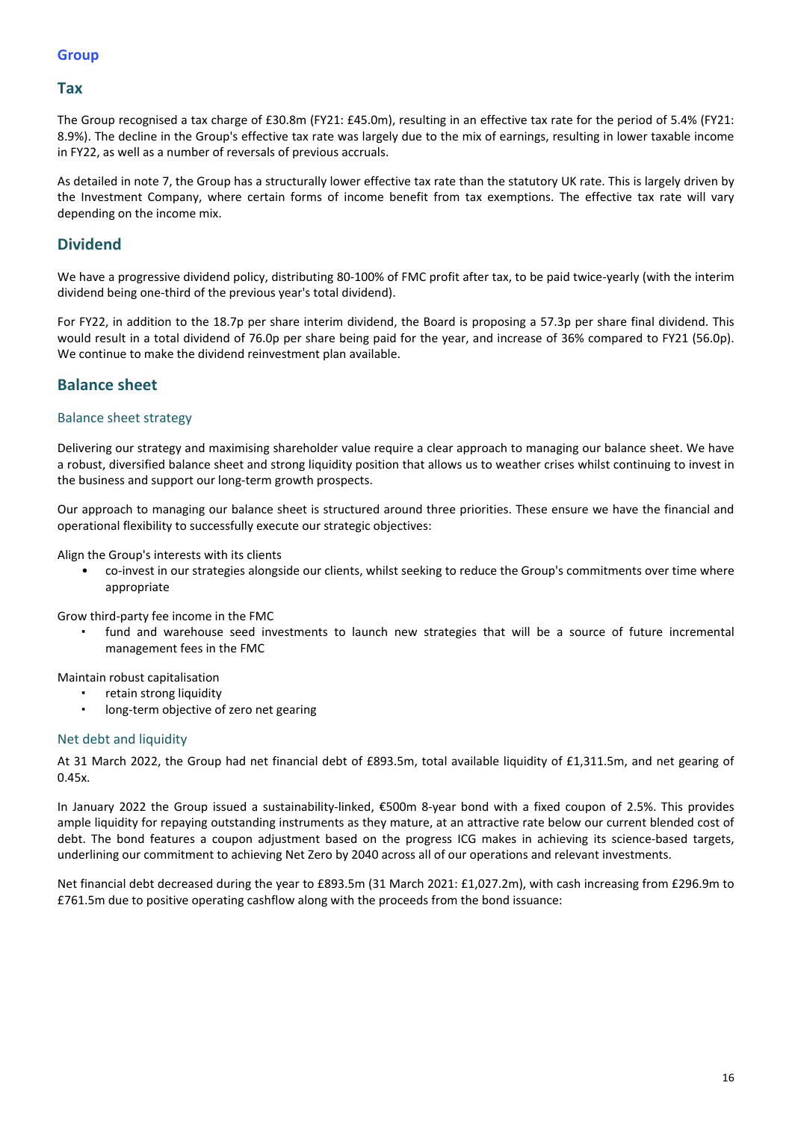# **Tax**

The Group recognised a tax charge of £30.8m (FY21: £45.0m), resulting in an effective tax rate for the period of 5.4% (FY21: 8.9%). The decline in the Group's effective tax rate was largely due to the mix of earnings, resulting in lower taxable income in FY22, as well as a number of reversals of previous accruals.

As detailed in note 7, the Group has a structurally lower effective tax rate than the statutory UK rate. This is largely driven by the Investment Company, where certain forms of income benefit from tax exemptions. The effective tax rate will vary depending on the income mix.

# **Dividend**

We have a progressive dividend policy, distributing 80-100% of FMC profit after tax, to be paid twice-yearly (with the interim dividend being one-third of the previous year's total dividend).

For FY22, in addition to the 18.7p per share interim dividend, the Board is proposing a 57.3p per share final dividend. This would result in a total dividend of 76.0p per share being paid for the year, and increase of 36% compared to FY21 (56.0p). We continue to make the dividend reinvestment plan available.

# **Balance sheet**

# Balance sheet strategy

Delivering our strategy and maximising shareholder value require a clear approach to managing our balance sheet. We have a robust, diversified balance sheet and strong liquidity position that allows us to weather crises whilst continuing to invest in the business and support our long-term growth prospects.

Our approach to managing our balance sheet is structured around three priorities. These ensure we have the financial and operational flexibility to successfully execute our strategic objectives:

Align the Group's interests with its clients

co-invest in our strategies alongside our clients, whilst seeking to reduce the Group's commitments over time where appropriate

Grow third-party fee income in the FMC

fund and warehouse seed investments to launch new strategies that will be a source of future incremental management fees in the FMC

Maintain robust capitalisation

- retain strong liquidity
- long-term objective of zero net gearing

## Net debt and liquidity

At 31 March 2022, the Group had net financial debt of £893.5m, total available liquidity of £1,311.5m, and net gearing of 0.45x.

In January 2022 the Group issued a sustainability-linked, €500m 8-year bond with a fixed coupon of 2.5%. This provides ample liquidity for repaying outstanding instruments as they mature, at an attractive rate below our current blended cost of debt. The bond features a coupon adjustment based on the progress ICG makes in achieving its science-based targets, underlining our commitment to achieving Net Zero by 2040 across all of our operations and relevant investments.

Net financial debt decreased during the year to £893.5m (31 March 2021: £1,027.2m), with cash increasing from £296.9m to £761.5m due to positive operating cashflow along with the proceeds from the bond issuance: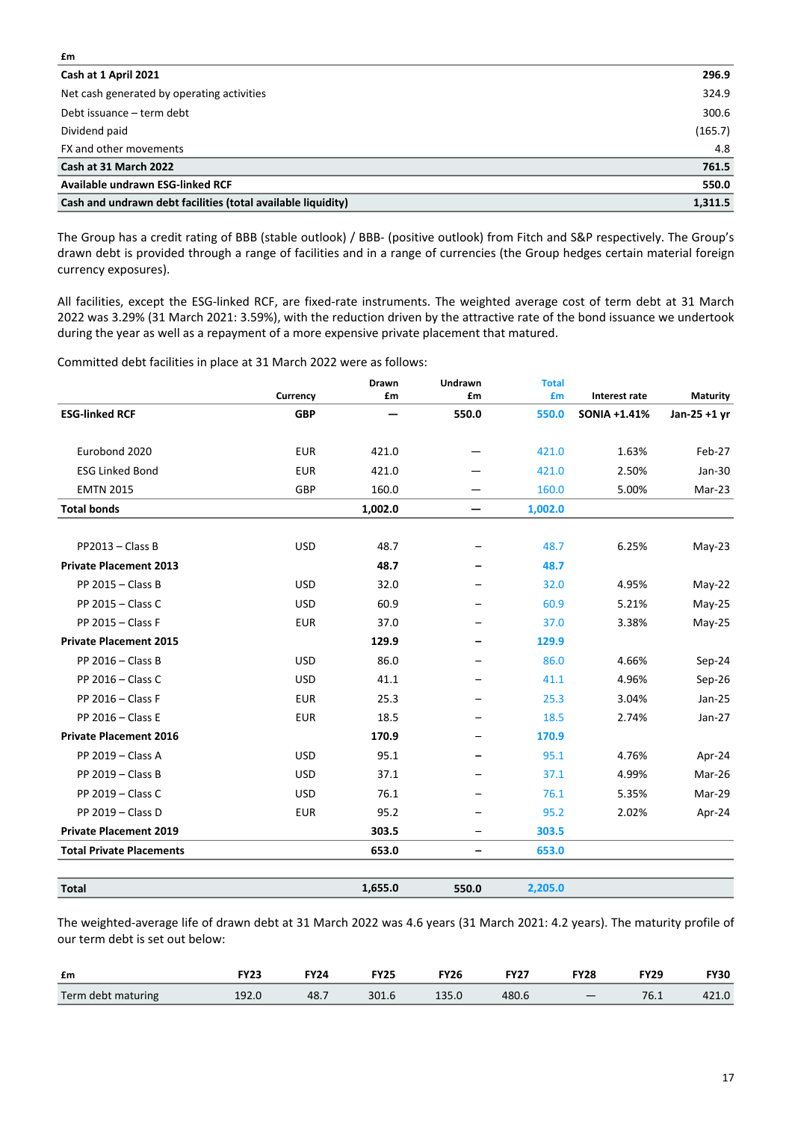| Cash at 1 April 2021                                         | 296.9   |
|--------------------------------------------------------------|---------|
| Net cash generated by operating activities                   | 324.9   |
| Debt issuance – term debt                                    | 300.6   |
| Dividend paid                                                | (165.7) |
| FX and other movements                                       | 4.8     |
| Cash at 31 March 2022                                        | 761.5   |
| Available undrawn ESG-linked RCF                             | 550.0   |
| Cash and undrawn debt facilities (total available liquidity) | 1,311.5 |

The Group has a credit rating of BBB (stable outlook) / BBB- (positive outlook) from Fitch and S&P respectively. The Group's drawn debt is provided through a range of facilities and in a range of currencies (the Group hedges certain material foreign currency exposures).

All facilities, except the ESG-linked RCF, are fixed-rate instruments. The weighted average cost of term debt at 31 March 2022 was 3.29% (31 March 2021: 3.59%), with the reduction driven by the attractive rate of the bond issuance we undertook during the year as well as a repayment of a more expensive private placement that matured.

Committed debt facilities in place at 31 March 2022 were as follows:

**£m**

|                                 |            | Drawn   | Undrawn                  | <b>Total</b> |               |                 |
|---------------------------------|------------|---------|--------------------------|--------------|---------------|-----------------|
|                                 | Currency   | £m      | £m                       | £m           | Interest rate | <b>Maturity</b> |
| <b>ESG-linked RCF</b>           | <b>GBP</b> |         | 550.0                    | 550.0        | SONIA +1.41%  | Jan-25 +1 yr    |
| Eurobond 2020                   | <b>EUR</b> | 421.0   |                          | 421.0        | 1.63%         | Feb-27          |
| <b>ESG Linked Bond</b>          | <b>EUR</b> | 421.0   |                          | 421.0        | 2.50%         | Jan-30          |
| <b>EMTN 2015</b>                | GBP        | 160.0   | —                        | 160.0        | 5.00%         | Mar-23          |
| <b>Total bonds</b>              |            | 1,002.0 | —                        | 1,002.0      |               |                 |
|                                 |            |         |                          |              |               |                 |
| $PP2013 - Class B$              | <b>USD</b> | 48.7    | $\qquad \qquad -$        | 48.7         | 6.25%         | May-23          |
| <b>Private Placement 2013</b>   |            | 48.7    |                          | 48.7         |               |                 |
| PP 2015 - Class B               | <b>USD</b> | 32.0    | $\overline{\phantom{0}}$ | 32.0         | 4.95%         | $May-22$        |
| PP 2015 - Class C               | <b>USD</b> | 60.9    |                          | 60.9         | 5.21%         | May-25          |
| PP 2015 - Class F               | <b>EUR</b> | 37.0    |                          | 37.0         | 3.38%         | May-25          |
| <b>Private Placement 2015</b>   |            | 129.9   | $\qquad \qquad$          | 129.9        |               |                 |
| PP 2016 - Class B               | <b>USD</b> | 86.0    |                          | 86.0         | 4.66%         | Sep-24          |
| PP 2016 - Class C               | <b>USD</b> | 41.1    |                          | 41.1         | 4.96%         | Sep-26          |
| PP 2016 - Class F               | <b>EUR</b> | 25.3    |                          | 25.3         | 3.04%         | $Jan-25$        |
| PP 2016 - Class E               | <b>EUR</b> | 18.5    |                          | 18.5         | 2.74%         | Jan-27          |
| <b>Private Placement 2016</b>   |            | 170.9   |                          | 170.9        |               |                 |
| PP 2019 - Class A               | <b>USD</b> | 95.1    |                          | 95.1         | 4.76%         | Apr-24          |
| PP 2019 - Class B               | <b>USD</b> | 37.1    |                          | 37.1         | 4.99%         | Mar-26          |
| PP 2019 - Class C               | <b>USD</b> | 76.1    |                          | 76.1         | 5.35%         | Mar-29          |
| PP 2019 - Class D               | <b>EUR</b> | 95.2    |                          | 95.2         | 2.02%         | Apr-24          |
| <b>Private Placement 2019</b>   |            | 303.5   |                          | 303.5        |               |                 |
| <b>Total Private Placements</b> |            | 653.0   | $\overline{\phantom{m}}$ | 653.0        |               |                 |
|                                 |            |         |                          |              |               |                 |
| <b>Total</b>                    |            | 1,655.0 | 550.0                    | 2,205.0      |               |                 |

The weighted-average life of drawn debt at 31 March 2022 was 4.6 years (31 March 2021: 4.2 years). The maturity profile of our term debt is set out below:

| £m                 | エソウン  | <b>FY24</b> | <b>FY25</b> | <b>FY26</b> | <b>FY27</b> | <b>FY28</b> | <b>FY29</b> | <b>FY30</b> |
|--------------------|-------|-------------|-------------|-------------|-------------|-------------|-------------|-------------|
| Term debt maturing | 192.0 | 48.7        | 301.6       |             | 480.6       | $-$         | 76.1        |             |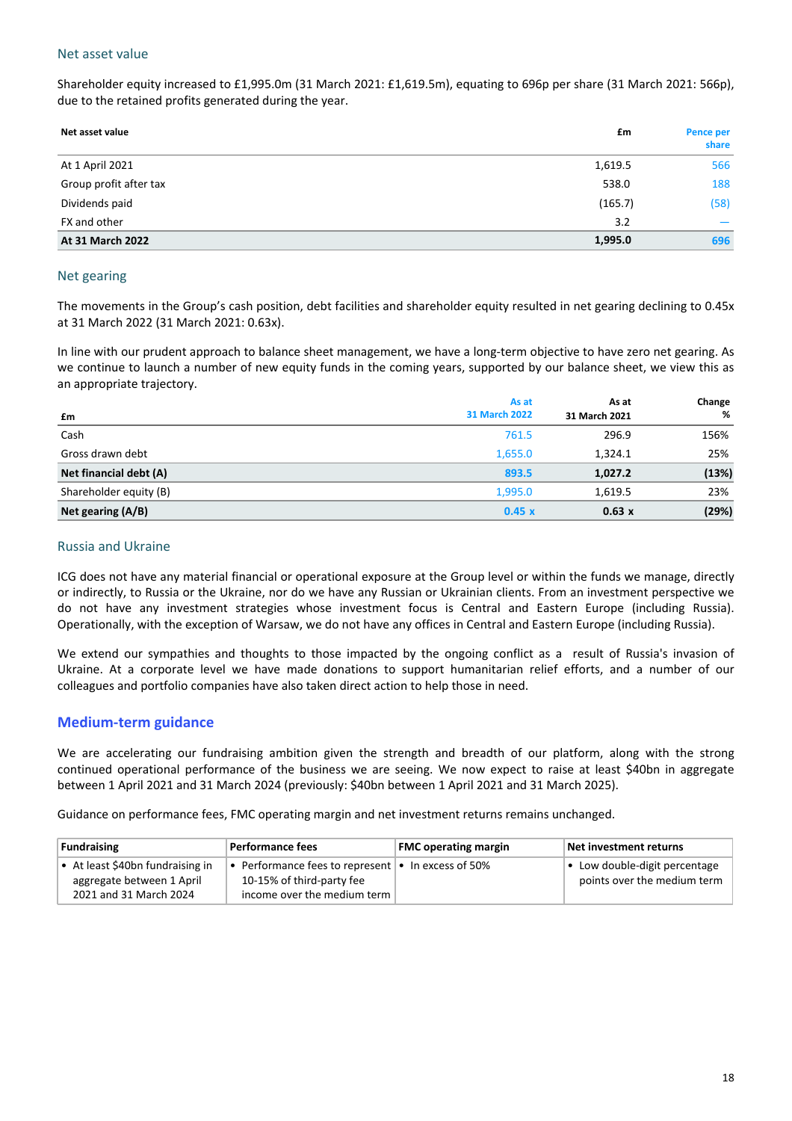# Net asset value

Shareholder equity increased to £1,995.0m (31 March 2021: £1,619.5m), equating to 696p per share (31 March 2021: 566p), due to the retained profits generated during the year.

| Net asset value        | £m      | Pence per<br>share |
|------------------------|---------|--------------------|
| At 1 April 2021        | 1,619.5 | 566                |
| Group profit after tax | 538.0   | 188                |
| Dividends paid         | (165.7) | (58)               |
| FX and other           | 3.2     |                    |
| At 31 March 2022       | 1,995.0 | 696                |

## Net gearing

The movements in the Group's cash position, debt facilities and shareholder equity resulted in net gearing declining to 0.45x at 31 March 2022 (31 March 2021: 0.63x).

In line with our prudent approach to balance sheet management, we have a long-term objective to have zero net gearing. As we continue to launch a number of new equity funds in the coming years, supported by our balance sheet, we view this as an appropriate trajectory.

|                        | As at                | As at         | Change |
|------------------------|----------------------|---------------|--------|
| £m                     | <b>31 March 2022</b> | 31 March 2021 | %      |
| Cash                   | 761.5                | 296.9         | 156%   |
| Gross drawn debt       | 1,655.0              | 1,324.1       | 25%    |
| Net financial debt (A) | 893.5                | 1,027.2       | (13%)  |
| Shareholder equity (B) | 1,995.0              | 1,619.5       | 23%    |
| Net gearing (A/B)      | 0.45x                | 0.63 x        | (29%)  |

# Russia and Ukraine

ICG does not have any material financial or operational exposure at the Group level or within the funds we manage, directly or indirectly, to Russia or the Ukraine, nor do we have any Russian or Ukrainian clients. From an investment perspective we do not have any investment strategies whose investment focus is Central and Eastern Europe (including Russia). Operationally, with the exception of Warsaw, we do not have any offices in Central and Eastern Europe (including Russia).

We extend our sympathies and thoughts to those impacted by the ongoing conflict as a result of Russia's invasion of Ukraine. At a corporate level we have made donations to support humanitarian relief efforts, and a number of our colleagues and portfolio companies have also taken direct action to help those in need.

# **Medium-term guidance**

We are accelerating our fundraising ambition given the strength and breadth of our platform, along with the strong continued operational performance of the business we are seeing. We now expect to raise at least \$40bn in aggregate between 1 April 2021 and 31 March 2024 (previously: \$40bn between 1 April 2021 and 31 March 2025).

Guidance on performance fees, FMC operating margin and net investment returns remains unchanged.

| <b>Fundraising</b>                                                                      | Performance fees                                                                                                     | <b>FMC operating margin</b> | Net investment returns                                               |
|-----------------------------------------------------------------------------------------|----------------------------------------------------------------------------------------------------------------------|-----------------------------|----------------------------------------------------------------------|
| • At least \$40bn fundraising in<br>aggregate between 1 April<br>2021 and 31 March 2024 | • Performance fees to represent $\cdot$ In excess of 50%<br>10-15% of third-party fee<br>income over the medium term |                             | $\bullet$ Low double-digit percentage<br>points over the medium term |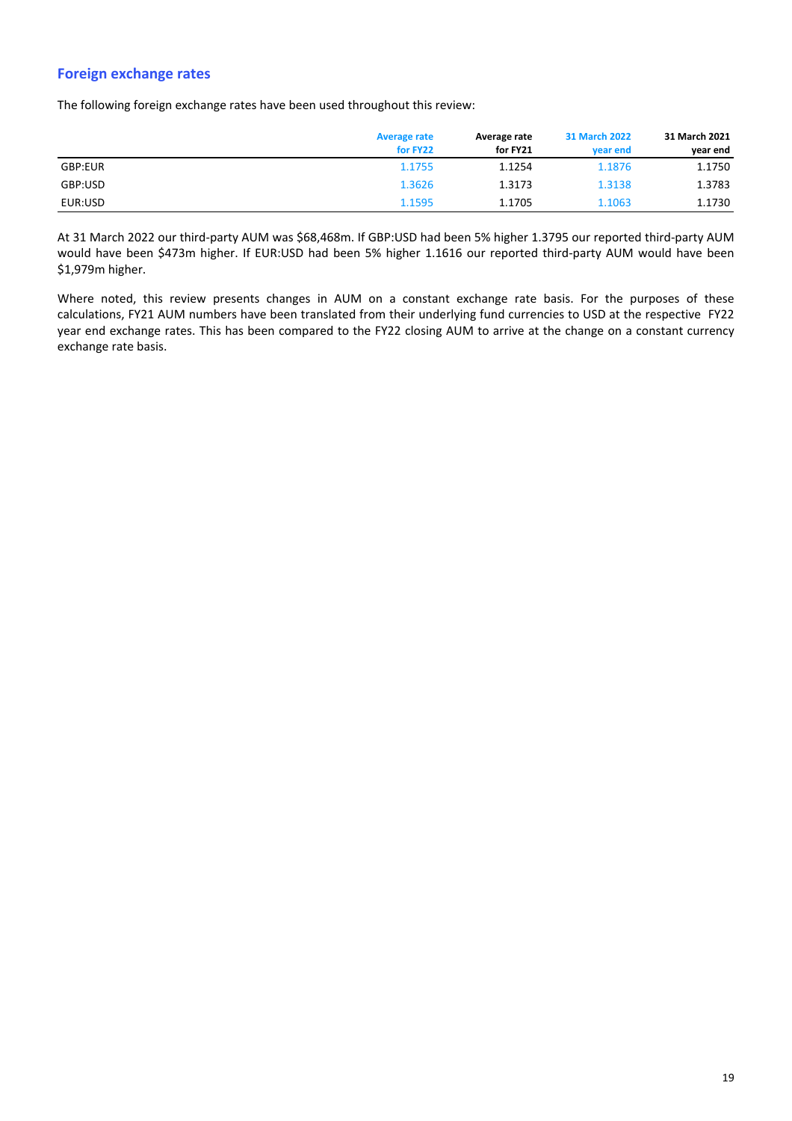# **Foreign exchange rates**

The following foreign exchange rates have been used throughout this review:

|         | <b>Average rate</b> | Average rate | <b>31 March 2022</b> |          |  |
|---------|---------------------|--------------|----------------------|----------|--|
|         | for FY22            | for FY21     | vear end             | year end |  |
| GBP:EUR | 1.1755              | 1.1254       | 1.1876               | 1.1750   |  |
| GBP:USD | 1.3626              | 1.3173       | 1.3138               | 1.3783   |  |
| EUR:USD | 1.1595              | 1.1705       | 1.1063               | 1.1730   |  |

At 31 March 2022 our third-party AUM was \$68,468m. If GBP:USD had been 5% higher 1.3795 our reported third-party AUM would have been \$473m higher. If EUR:USD had been 5% higher 1.1616 our reported third-party AUM would have been \$1,979m higher.

Where noted, this review presents changes in AUM on a constant exchange rate basis. For the purposes of these calculations, FY21 AUM numbers have been translated from their underlying fund currencies to USD at the respective FY22 year end exchange rates. This has been compared to the FY22 closing AUM to arrive at the change on a constant currency exchange rate basis.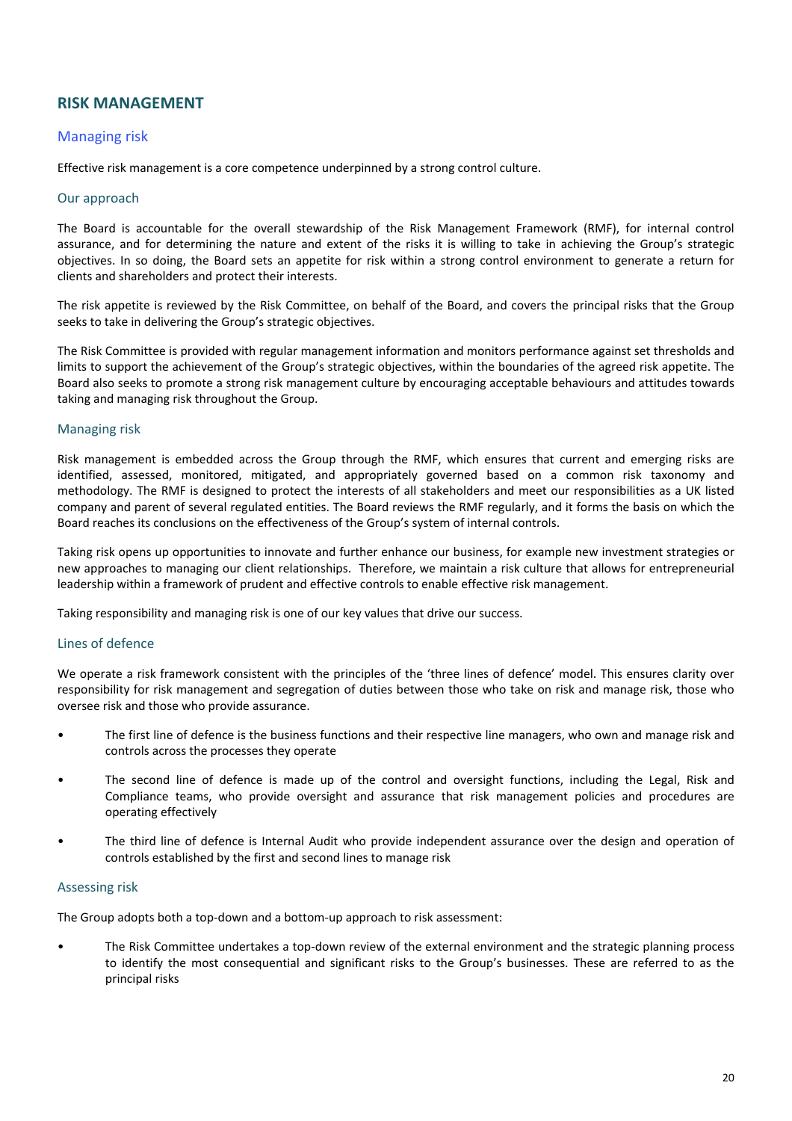# **RISK MANAGEMENT**

# **Managing risk**

Effective risk management is a core competence underpinned by a strong control culture.

### Our approach

The Board is accountable for the overall stewardship of the Risk Management Framework (RMF), for internal control assurance, and for determining the nature and extent of the risks it is willing to take in achieving the Group's strategic objectives. In so doing, the Board sets an appetite for risk within a strong control environment to generate a return for clients and shareholders and protect their interests.

The risk appetite is reviewed by the Risk Committee, on behalf of the Board, and covers the principal risks that the Group seeks to take in delivering the Group's strategic objectives.

The Risk Committee is provided with regular management information and monitors performance against set thresholds and limits to support the achievement of the Group's strategic objectives, within the boundaries of the agreed risk appetite. The Board also seeks to promote a strong risk management culture by encouraging acceptable behaviours and attitudes towards taking and managing risk throughout the Group.

## Managing risk

Risk management is embedded across the Group through the RMF, which ensures that current and emerging risks are identified, assessed, monitored, mitigated, and appropriately governed based on a common risk taxonomy and methodology. The RMF is designed to protect the interests of all stakeholders and meet our responsibilities as a UK listed company and parent of several regulated entities. The Board reviews the RMF regularly, and it forms the basis on which the Board reaches its conclusions on the effectiveness of the Group's system of internal controls.

Taking risk opens up opportunities to innovate and further enhance our business, for example new investment strategies or new approaches to managing our client relationships. Therefore, we maintain a risk culture that allows for entrepreneurial leadership within a framework of prudent and effective controls to enable effective risk management.

Taking responsibility and managing risk is one of our key values that drive our success.

## Lines of defence

We operate a risk framework consistent with the principles of the 'three lines of defence' model. This ensures clarity over responsibility for risk management and segregation of duties between those who take on risk and manage risk, those who oversee risk and those who provide assurance.

- The first line of defence is the business functions and their respective line managers, who own and manage risk and controls across the processes they operate
- The second line of defence is made up of the control and oversight functions, including the Legal, Risk and Compliance teams, who provide oversight and assurance that risk management policies and procedures are operating effectively
- The third line of defence is Internal Audit who provide independent assurance over the design and operation of controls established by the first and second lines to manage risk

#### Assessing risk

The Group adopts both a top-down and a bottom-up approach to risk assessment:

The Risk Committee undertakes a top-down review of the external environment and the strategic planning process to identify the most consequential and significant risks to the Group's businesses. These are referred to as the principal risks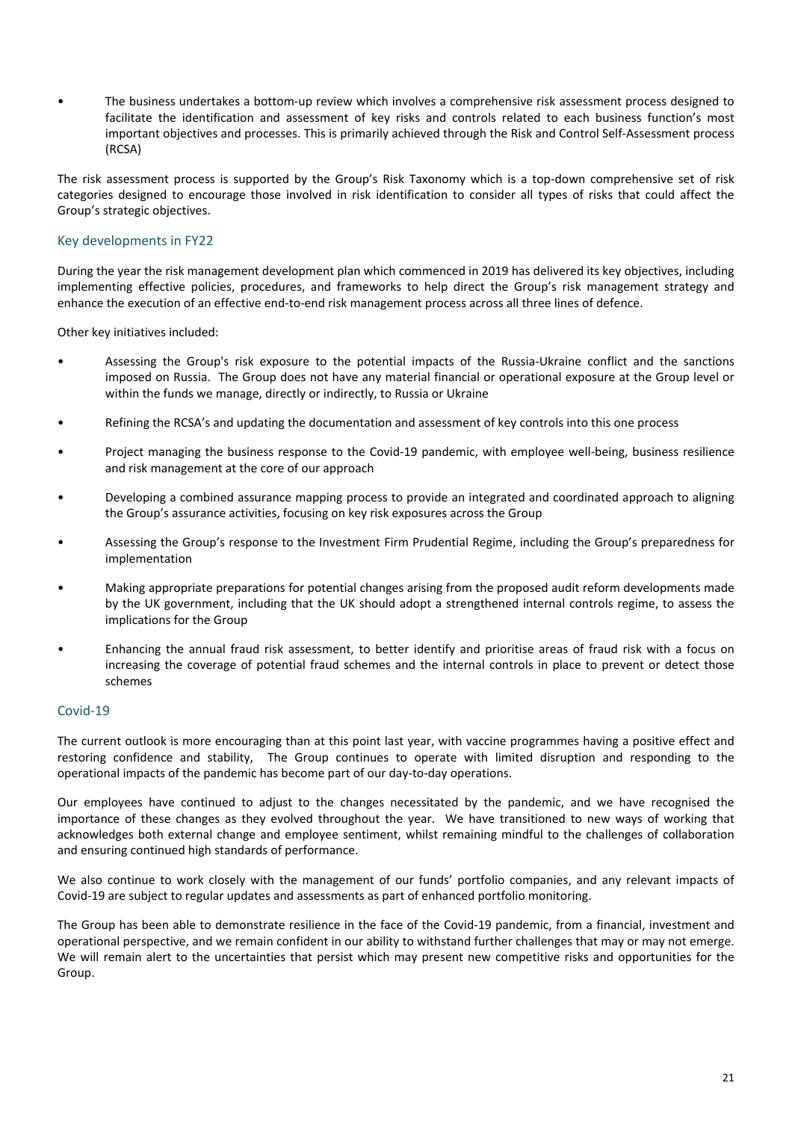The business undertakes a bottom-up review which involves a comprehensive risk assessment process designed to facilitate the identification and assessment of key risks and controls related to each business function's most important objectives and processes. This is primarily achieved through the Risk and Control Self-Assessment process (RCSA)

The risk assessment process is supported by the Group's Risk Taxonomy which is a top-down comprehensive set of risk categories designed to encourage those involved in risk identification to consider all types of risks that could affect the Group's strategic objectives.

# Key developments in FY22

During the year the risk management development plan which commenced in 2019 has delivered its key objectives, including implementing effective policies, procedures, and frameworks to help direct the Group's risk management strategy and enhance the execution of an effective end-to-end risk management process across all three lines of defence.

Other key initiatives included:

- Assessing the Group's risk exposure to the potential impacts of the Russia-Ukraine conflict and the sanctions imposed on Russia. The Group does not have any material financial or operational exposure at the Group level or within the funds we manage, directly or indirectly, to Russia or Ukraine
- Refining the RCSA's and updating the documentation and assessment of key controls into this one process
- Project managing the business response to the Covid-19 pandemic, with employee well-being, business resilience and risk management at the core of our approach
- Developing a combined assurance mapping process to provide an integrated and coordinated approach to aligning the Group's assurance activities, focusing on key risk exposures across the Group
- Assessing the Group's response to the Investment Firm Prudential Regime, including the Group's preparedness for implementation
- Making appropriate preparations for potential changes arising from the proposed audit reform developments made by the UK government, including that the UK should adopt a strengthened internal controls regime, to assess the implications for the Group
- Enhancing the annual fraud risk assessment, to better identify and prioritise areas of fraud risk with a focus on increasing the coverage of potential fraud schemes and the internal controls in place to prevent or detect those schemes

## Covid-19

The current outlook is more encouraging than at this point last year, with vaccine programmes having a positive effect and restoring confidence and stability, The Group continues to operate with limited disruption and responding to the operational impacts of the pandemic has become part of our day-to-day operations.

Our employees have continued to adjust to the changes necessitated by the pandemic, and we have recognised the importance of these changes as they evolved throughout the year. We have transitioned to new ways of working that acknowledges both external change and employee sentiment, whilst remaining mindful to the challenges of collaboration and ensuring continued high standards of performance.

We also continue to work closely with the management of our funds' portfolio companies, and any relevant impacts of Covid-19 are subject to regular updates and assessments as part of enhanced portfolio monitoring.

The Group has been able to demonstrate resilience in the face of the Covid-19 pandemic, from a financial, investment and operational perspective, and we remain confident in our ability to withstand further challenges that may or may not emerge. We will remain alert to the uncertainties that persist which may present new competitive risks and opportunities for the Group.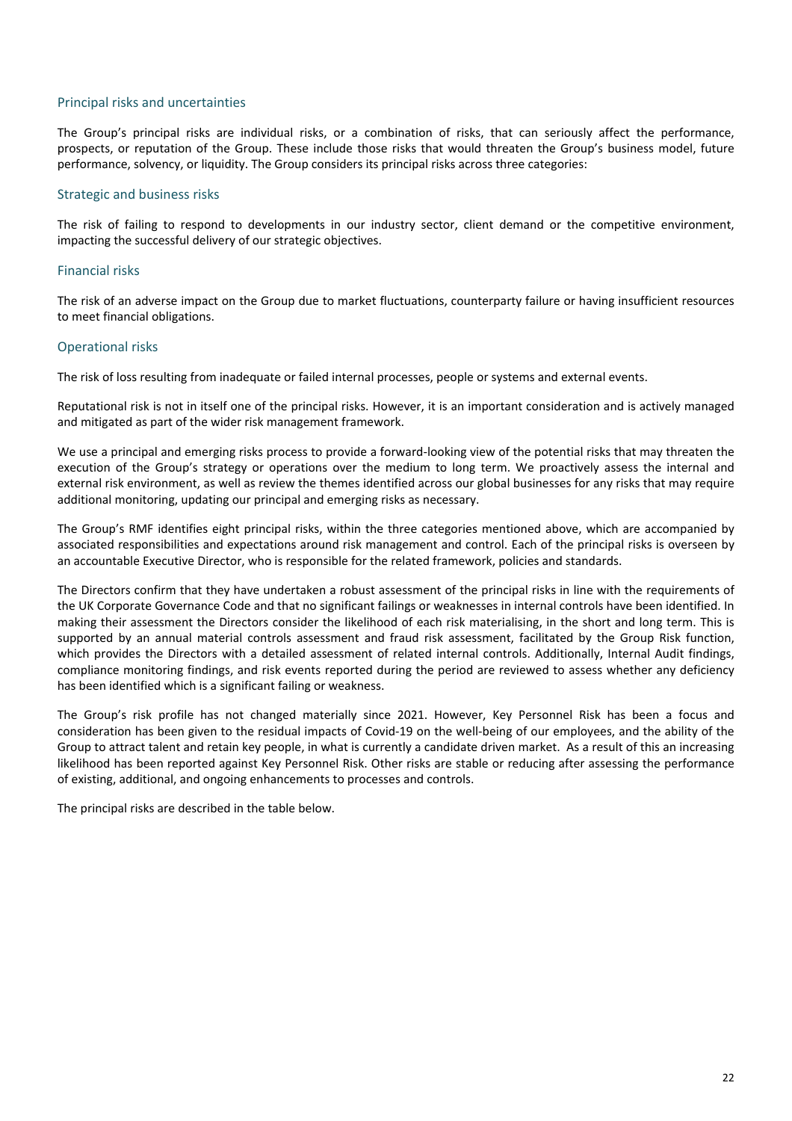# Principal risks and uncertainties

The Group's principal risks are individual risks, or a combination of risks, that can seriously affect the performance, prospects, or reputation of the Group. These include those risks that would threaten the Group's business model, future performance, solvency, or liquidity. The Group considers its principal risks across three categories:

# Strategic and business risks

The risk of failing to respond to developments in our industry sector, client demand or the competitive environment, impacting the successful delivery of our strategic objectives.

# Financial risks

The risk of an adverse impact on the Group due to market fluctuations, counterparty failure or having insufficient resources to meet financial obligations.

## **Operational risks**

The risk of loss resulting from inadequate or failed internal processes, people or systems and external events.

Reputational risk is not in itself one of the principal risks. However, it is an important consideration and is actively managed and mitigated as part of the wider risk management framework.

We use a principal and emerging risks process to provide a forward-looking view of the potential risks that may threaten the execution of the Group's strategy or operations over the medium to long term. We proactively assess the internal and external risk environment, as well as review the themes identified across our global businesses for any risks that may require additional monitoring, updating our principal and emerging risks as necessary.

The Group's RMF identifies eight principal risks, within the three categories mentioned above, which are accompanied by associated responsibilities and expectations around risk management and control. Each of the principal risks is overseen by an accountable Executive Director, who is responsible for the related framework, policies and standards.

The Directors confirm that they have undertaken a robust assessment of the principal risks in line with the requirements of the UK Corporate Governance Code and that no significant failings or weaknesses in internal controls have been identified. In making their assessment the Directors consider the likelihood of each risk materialising, in the short and long term. This is supported by an annual material controls assessment and fraud risk assessment, facilitated by the Group Risk function, which provides the Directors with a detailed assessment of related internal controls. Additionally, Internal Audit findings, compliance monitoring findings, and risk events reported during the period are reviewed to assess whether any deficiency has been identified which is a significant failing or weakness.

The Group's risk profile has not changed materially since 2021. However, Key Personnel Risk has been a focus and consideration has been given to the residual impacts of Covid-19 on the well-being of our employees, and the ability of the Group to attract talent and retain key people, in what is currently a candidate driven market. As a result of this an increasing likelihood has been reported against Key Personnel Risk. Other risks are stable or reducing after assessing the performance of existing, additional, and ongoing enhancements to processes and controls.

The principal risks are described in the table below.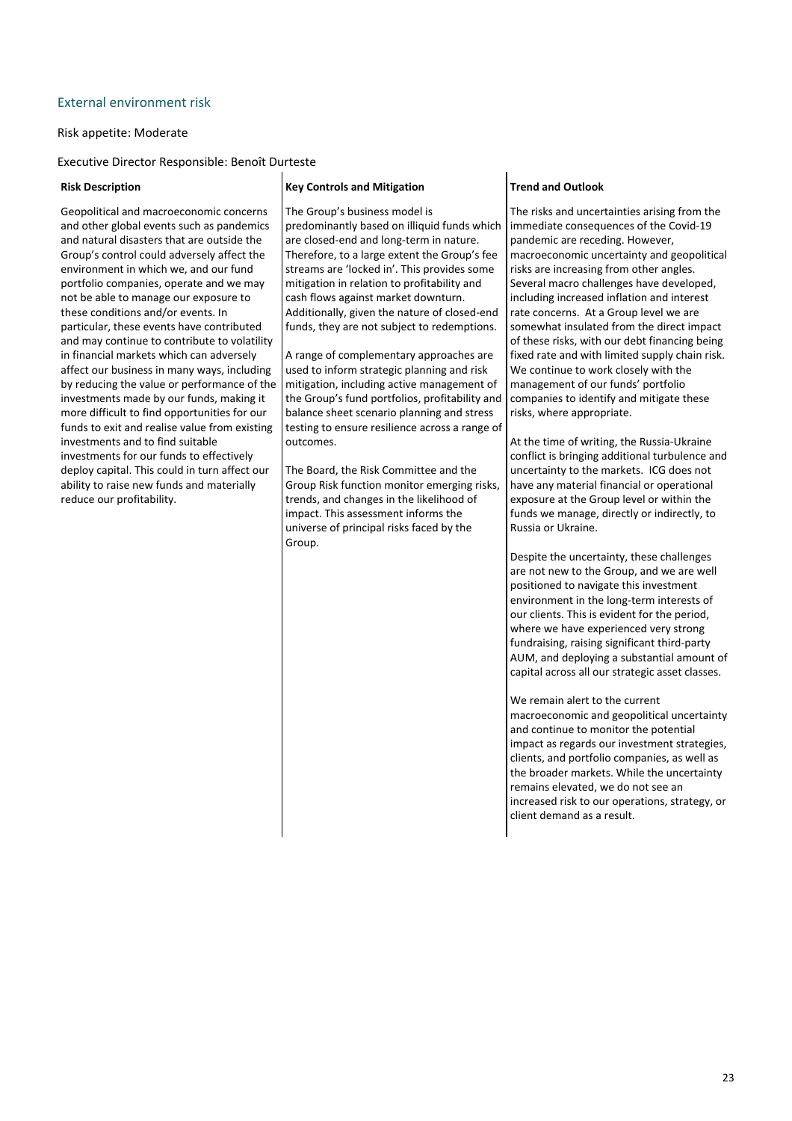# External environment risk

### Risk appetite: Moderate

Executive Director Responsible: Benoît Durteste

Geopolitical and macroeconomic concerns and other global events such as pandemics and natural disasters that are outside the Group's control could adversely affect the environment in which we, and our fund portfolio companies, operate and we may not be able to manage our exposure to these conditions and/or events. In particular, these events have contributed and may continue to contribute to volatility in financial markets which can adversely affect our business in many ways, including by reducing the value or performance of the investments made by our funds, making it more difficult to find opportunities for our funds to exit and realise value from existing investments and to find suitable investments for our funds to effectively deploy capital. This could in turn affect our ability to raise new funds and materially reduce our profitability.

#### **Risk Description Key Controls and Mitigation Trend and Outlook**

The Group's business model is predominantly based on illiquid funds which are closed-end and long-term in nature. Therefore, to a large extent the Group's fee streams are 'locked in'. This provides some mitigation in relation to profitability and cash flows against market downturn. Additionally, given the nature of closed-end funds, they are not subject to redemptions.

A range of complementary approaches are used to inform strategic planning and risk mitigation, including active management of the Group's fund portfolios, profitability and balance sheet scenario planning and stress testing to ensure resilience across a range of outcomes.

The Board, the Risk Committee and the Group Risk function monitor emerging risks, trends, and changes in the likelihood of impact. This assessment informs the universe of principal risks faced by the Group.

The risks and uncertainties arising from the immediate consequences of the Covid-19 pandemic are receding. However, macroeconomic uncertainty and geopolitical risks are increasing from other angles. Several macro challenges have developed, including increased inflation and interest rate concerns. At a Group level we are somewhat insulated from the direct impact of these risks, with our debt financing being fixed rate and with limited supply chain risk. We continue to work closely with the management of our funds' portfolio companies to identify and mitigate these risks, where appropriate.

At the time of writing, the Russia-Ukraine conflict is bringing additional turbulence and uncertainty to the markets. ICG does not have any material financial or operational exposure at the Group level or within the funds we manage, directly or indirectly, to Russia or Ukraine.

Despite the uncertainty, these challenges are not new to the Group, and we are well positioned to navigate this investment environment in the long-term interests of our clients. This is evident for the period, where we have experienced very strong fundraising, raising significant third-party AUM, and deploying a substantial amount of capital across all our strategic asset classes.

We remain alert to the current macroeconomic and geopolitical uncertainty and continue to monitor the potential impact as regards our investment strategies, clients, and portfolio companies, as well as the broader markets. While the uncertainty remains elevated, we do not see an increased risk to our operations, strategy, or client demand as a result.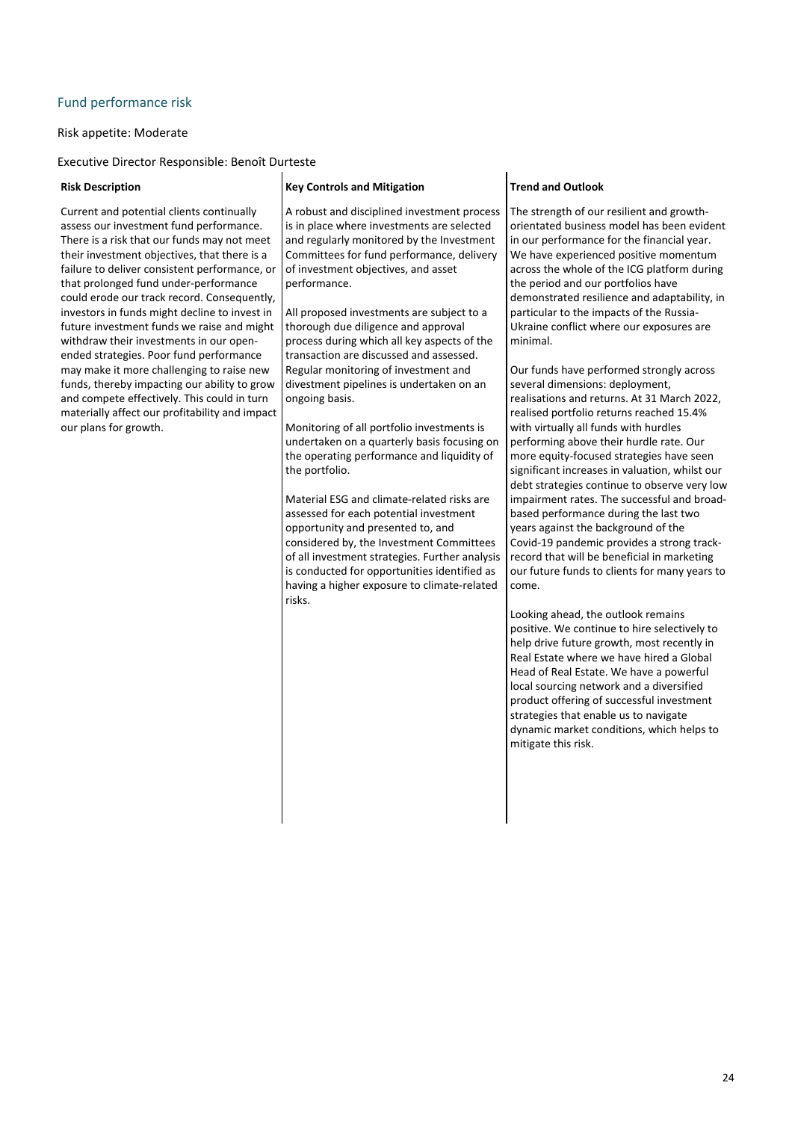# Fund performance risk

### Risk appetite: Moderate

Executive Director Responsible: Benoît Durteste

Current and potential clients continually assess our investment fund performance. There is a risk that our funds may not meet their investment objectives, that there is a failure to deliver consistent performance, or that prolonged fund under-performance could erode our track record. Consequently, investors in funds might decline to invest in future investment funds we raise and might withdraw their investments in our openended strategies. Poor fund performance may make it more challenging to raise new funds, thereby impacting our ability to grow and compete effectively. This could in turn materially affect our profitability and impact our plans for growth.

A robust and disciplined investment process is in place where investments are selected and regularly monitored by the Investment Committees for fund performance, delivery of investment objectives, and asset performance.

All proposed investments are subject to a thorough due diligence and approval process during which all key aspects of the transaction are discussed and assessed. Regular monitoring of investment and divestment pipelines is undertaken on an ongoing basis.

Monitoring of all portfolio investments is undertaken on a quarterly basis focusing on the operating performance and liquidity of the portfolio.

Material ESG and climate-related risks are assessed for each potential investment opportunity and presented to, and considered by, the Investment Committees of all investment strategies. Further analysis is conducted for opportunities identified as having a higher exposure to climate-related risks.

### **Risk Description Key Controls and Mitigation Trend and Outlook**

The strength of our resilient and growthorientated business model has been evident in our performance for the financial year. We have experienced positive momentum across the whole of the ICG platform during the period and our portfolios have demonstrated resilience and adaptability, in particular to the impacts of the Russia-Ukraine conflict where our exposures are minimal.

Our funds have performed strongly across several dimensions: deployment, realisations and returns. At 31 March 2022, realised portfolio returns reached 15.4% with virtually all funds with hurdles performing above their hurdle rate. Our more equity-focused strategies have seen significant increases in valuation, whilst our debt strategies continue to observe very low impairment rates. The successful and broadbased performance during the last two years against the background of the Covid-19 pandemic provides a strong trackrecord that will be beneficial in marketing our future funds to clients for many years to come.

Looking ahead, the outlook remains positive. We continue to hire selectively to help drive future growth, most recently in Real Estate where we have hired a Global Head of Real Estate. We have a powerful local sourcing network and a diversified product offering of successful investment strategies that enable us to navigate dynamic market conditions, which helps to mitigate this risk.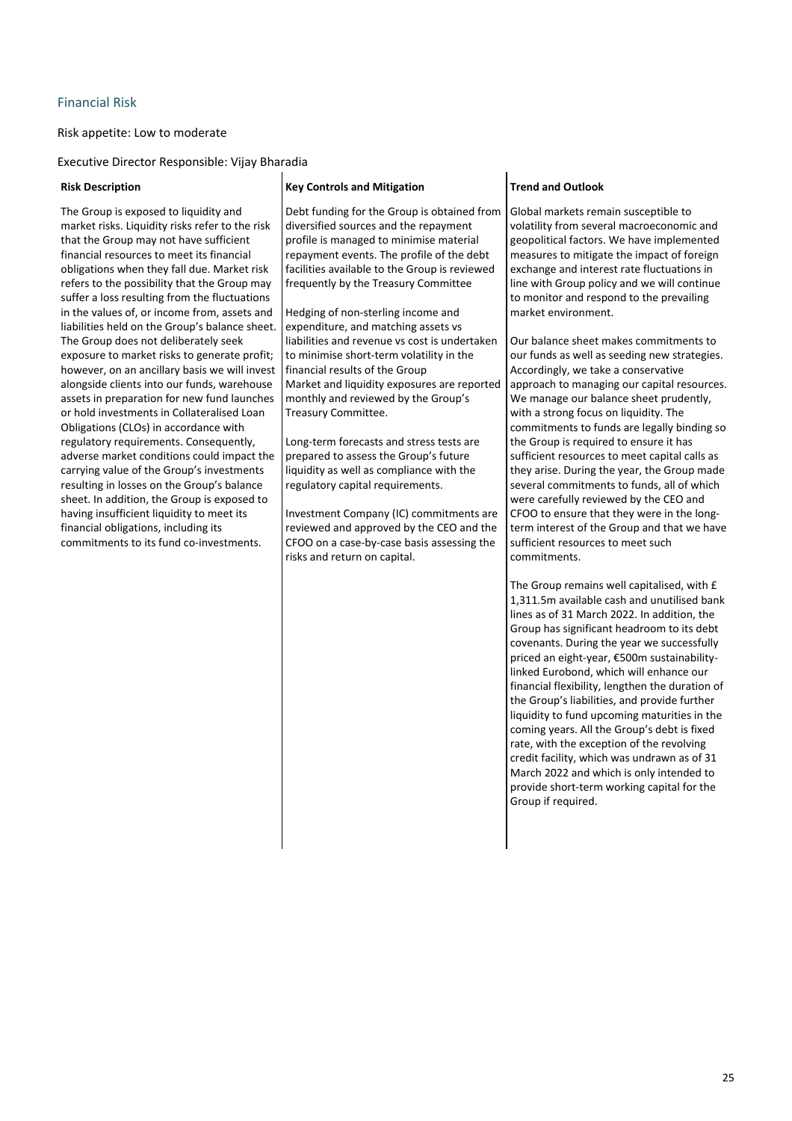# Financial Risk

Risk appetite: Low to moderate

Executive Director Responsible: Vijay Bharadia

The Group is exposed to liquidity and market risks. Liquidity risks refer to the risk that the Group may not have sufficient financial resources to meet its financial obligations when they fall due. Market risk refers to the possibility that the Group may suffer a loss resulting from the fluctuations in the values of, or income from, assets and liabilities held on the Group's balance sheet. The Group does not deliberately seek exposure to market risks to generate profit; however, on an ancillary basis we will invest alongside clients into our funds, warehouse assets in preparation for new fund launches or hold investments in Collateralised Loan Obligations (CLOs) in accordance with regulatory requirements. Consequently, adverse market conditions could impact the carrying value of the Group's investments resulting in losses on the Group's balance sheet. In addition, the Group is exposed to having insufficient liquidity to meet its financial obligations, including its commitments to its fund co-investments.

# **Risk Description Key Controls and Mitigation Trend and Outlook** Debt funding for the Group is obtained from diversified sources and the repayment profile is managed to minimise material repayment events. The profile of the debt facilities available to the Group is reviewed frequently by the Treasury Committee

Hedging of non-sterling income and expenditure, and matching assets vs liabilities and revenue vs cost is undertaken to minimise short-term volatility in the financial results of the Group Market and liquidity exposures are reported monthly and reviewed by the Group's Treasury Committee.

Long-term forecasts and stress tests are prepared to assess the Group's future liquidity as well as compliance with the regulatory capital requirements.

Investment Company (IC) commitments are reviewed and approved by the CEO and the CFOO on a case-by-case basis assessing the risks and return on capital.

Global markets remain susceptible to volatility from several macroeconomic and geopolitical factors. We have implemented measures to mitigate the impact of foreign exchange and interest rate fluctuations in line with Group policy and we will continue to monitor and respond to the prevailing market environment.

Our balance sheet makes commitments to our funds as well as seeding new strategies. Accordingly, we take a conservative approach to managing our capital resources. We manage our balance sheet prudently, with a strong focus on liquidity. The commitments to funds are legally binding so the Group is required to ensure it has sufficient resources to meet capital calls as they arise. During the year, the Group made several commitments to funds, all of which were carefully reviewed by the CEO and CFOO to ensure that they were in the longterm interest of the Group and that we have sufficient resources to meet such commitments.

The Group remains well capitalised, with  $E$ 1,311.5m available cash and unutilised bank lines as of 31 March 2022. In addition, the Group has significant headroom to its debt covenants. During the year we successfully priced an eight-year, €500m sustainabilitylinked Eurobond, which will enhance our financial flexibility, lengthen the duration of the Group's liabilities, and provide further liquidity to fund upcoming maturities in the coming years. All the Group's debt is fixed rate, with the exception of the revolving credit facility, which was undrawn as of 31 March 2022 and which is only intended to provide short-term working capital for the Group if required.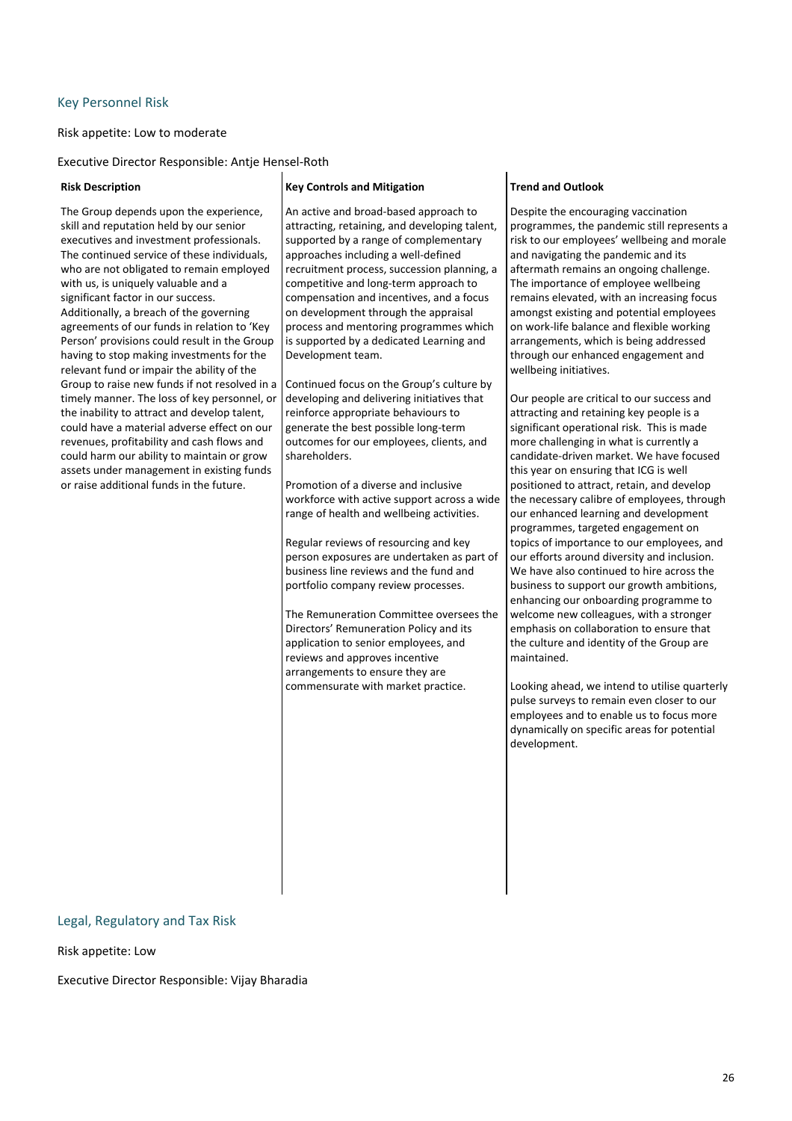### **Key Personnel Risk**

### Risk appetite: Low to moderate

Executive Director Responsible: Antje Hensel-Roth

The Group depends upon the experience, skill and reputation held by our senior executives and investment professionals. The continued service of these individuals, who are not obligated to remain employed with us, is uniquely valuable and a significant factor in our success. Additionally, a breach of the governing agreements of our funds in relation to 'Key Person' provisions could result in the Group having to stop making investments for the relevant fund or impair the ability of the Group to raise new funds if not resolved in a timely manner. The loss of key personnel, or the inability to attract and develop talent, could have a material adverse effect on our revenues, profitability and cash flows and could harm our ability to maintain or grow assets under management in existing funds or raise additional funds in the future.

#### **Risk Description Key Controls and Mitigation Trend and Outlook**

An active and broad-based approach to attracting, retaining, and developing talent, supported by a range of complementary approaches including a well-defined recruitment process, succession planning, a competitive and long-term approach to compensation and incentives, and a focus on development through the appraisal process and mentoring programmes which is supported by a dedicated Learning and Development team.

Continued focus on the Group's culture by developing and delivering initiatives that reinforce appropriate behaviours to generate the best possible long-term outcomes for our employees, clients, and shareholders.

Promotion of a diverse and inclusive workforce with active support across a wide range of health and wellbeing activities.

Regular reviews of resourcing and key person exposures are undertaken as part of business line reviews and the fund and portfolio company review processes.

The Remuneration Committee oversees the Directors' Remuneration Policy and its application to senior employees, and reviews and approves incentive arrangements to ensure they are commensurate with market practice.

Despite the encouraging vaccination programmes, the pandemic still represents a risk to our employees' wellbeing and morale and navigating the pandemic and its aftermath remains an ongoing challenge. The importance of employee wellbeing remains elevated, with an increasing focus amongst existing and potential employees on work-life balance and flexible working arrangements, which is being addressed through our enhanced engagement and wellbeing initiatives.

Our people are critical to our success and attracting and retaining key people is a significant operational risk. This is made more challenging in what is currently a candidate-driven market. We have focused this year on ensuring that ICG is well positioned to attract, retain, and develop the necessary calibre of employees, through our enhanced learning and development programmes, targeted engagement on topics of importance to our employees, and our efforts around diversity and inclusion. We have also continued to hire across the business to support our growth ambitions, enhancing our onboarding programme to welcome new colleagues, with a stronger emphasis on collaboration to ensure that the culture and identity of the Group are maintained. 

Looking ahead, we intend to utilise quarterly pulse surveys to remain even closer to our employees and to enable us to focus more dynamically on specific areas for potential development. 

#### Legal, Regulatory and Tax Risk

Risk appetite: Low

Executive Director Responsible: Vijay Bharadia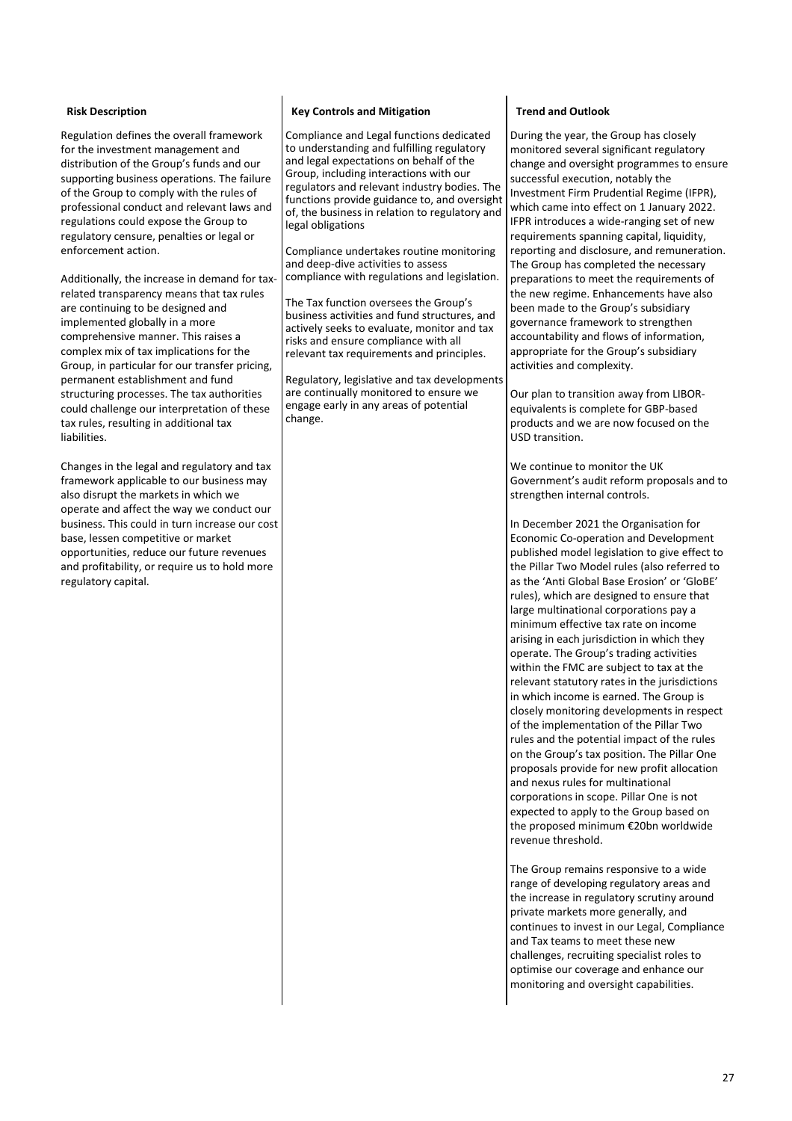Regulation defines the overall framework for the investment management and distribution of the Group's funds and our supporting business operations. The failure of the Group to comply with the rules of professional conduct and relevant laws and regulations could expose the Group to regulatory censure, penalties or legal or enforcement action.

Additionally, the increase in demand for taxrelated transparency means that tax rules are continuing to be designed and implemented globally in a more comprehensive manner. This raises a complex mix of tax implications for the Group, in particular for our transfer pricing, permanent establishment and fund structuring processes. The tax authorities could challenge our interpretation of these tax rules, resulting in additional tax liabilities.

Changes in the legal and regulatory and tax framework applicable to our business may also disrupt the markets in which we operate and affect the way we conduct our business. This could in turn increase our cost base, lessen competitive or market opportunities, reduce our future revenues and profitability, or require us to hold more regulatory capital.

# **Risk Description Risk Controls** and Mitigation **Risk Trend** and Outlook

Compliance and Legal functions dedicated to understanding and fulfilling regulatory and legal expectations on behalf of the Group, including interactions with our regulators and relevant industry bodies. The functions provide guidance to, and oversight of, the business in relation to regulatory and legal obligations

Compliance undertakes routine monitoring and deep-dive activities to assess compliance with regulations and legislation.

The Tax function oversees the Group's business activities and fund structures, and actively seeks to evaluate, monitor and tax risks and ensure compliance with all relevant tax requirements and principles.

Regulatory, legislative and tax development are continually monitored to ensure we engage early in any areas of potential change.

During the year, the Group has closely monitored several significant regulatory change and oversight programmes to ensure successful execution, notably the Investment Firm Prudential Regime (IFPR), which came into effect on 1 January 2022. IFPR introduces a wide-ranging set of new requirements spanning capital, liquidity, reporting and disclosure, and remuneration. The Group has completed the necessary preparations to meet the requirements of the new regime. Enhancements have also been made to the Group's subsidiary governance framework to strengthen accountability and flows of information, appropriate for the Group's subsidiary activities and complexity.

Our plan to transition away from LIBORequivalents is complete for GBP-based products and we are now focused on the USD transition.

We continue to monitor the UK Government's audit reform proposals and to strengthen internal controls.

In December 2021 the Organisation for Economic Co-operation and Development published model legislation to give effect to the Pillar Two Model rules (also referred to as the 'Anti Global Base Erosion' or 'GloBE' rules), which are designed to ensure that large multinational corporations pay a minimum effective tax rate on income arising in each jurisdiction in which they operate. The Group's trading activities within the FMC are subject to tax at the relevant statutory rates in the jurisdictions in which income is earned. The Group is closely monitoring developments in respect of the implementation of the Pillar Two rules and the potential impact of the rules on the Group's tax position. The Pillar One proposals provide for new profit allocation and nexus rules for multinational corporations in scope. Pillar One is not expected to apply to the Group based on the proposed minimum €20bn worldwide revenue threshold.

The Group remains responsive to a wide range of developing regulatory areas and the increase in regulatory scrutiny around private markets more generally, and continues to invest in our Legal, Compliance and Tax teams to meet these new challenges, recruiting specialist roles to optimise our coverage and enhance our monitoring and oversight capabilities.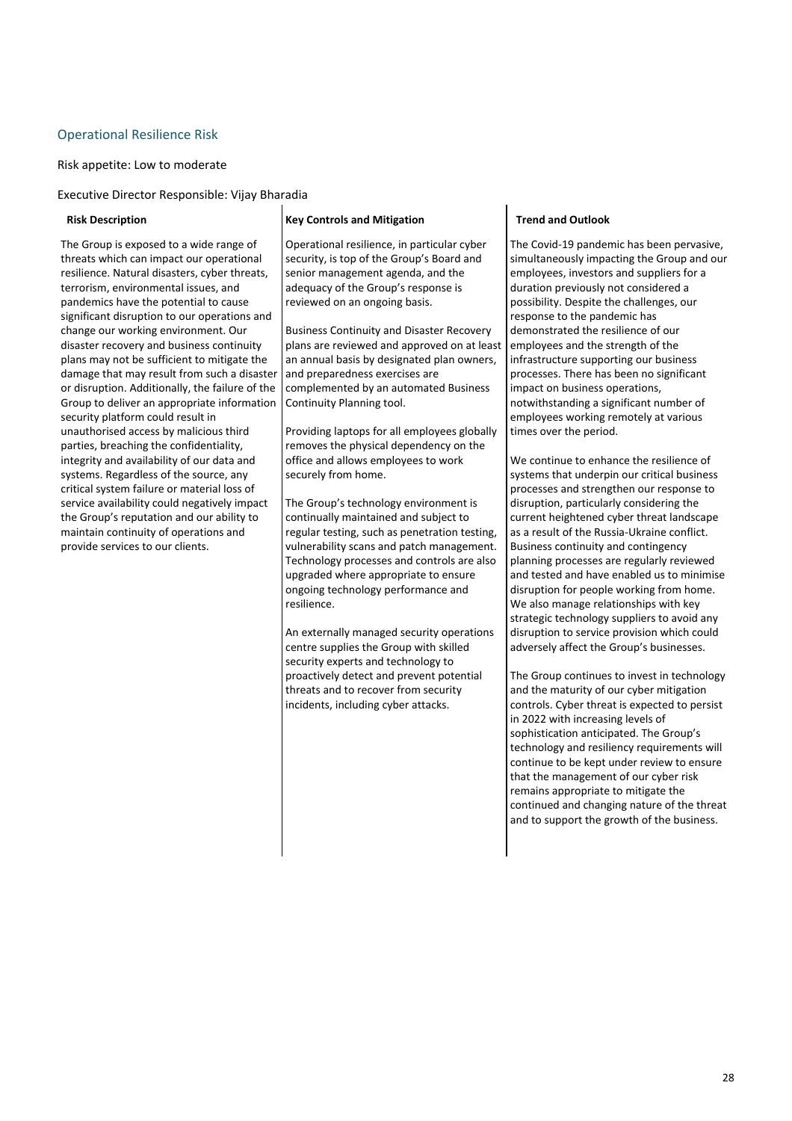# **Operational Resilience Risk**

Risk appetite: Low to moderate

Executive Director Responsible: Vijay Bharadia

The Group is exposed to a wide range of threats which can impact our operational resilience. Natural disasters, cyber threats, terrorism, environmental issues, and pandemics have the potential to cause significant disruption to our operations and change our working environment. Our disaster recovery and business continuity plans may not be sufficient to mitigate the damage that may result from such a disaster or disruption. Additionally, the failure of the Group to deliver an appropriate information security platform could result in unauthorised access by malicious third parties, breaching the confidentiality, integrity and availability of our data and systems. Regardless of the source, any critical system failure or material loss of service availability could negatively impact the Group's reputation and our ability to maintain continuity of operations and provide services to our clients.

#### **Risk Description Key Controls** and Mitigation **Trend and Outlook Risk**

Operational resilience, in particular cyber security, is top of the Group's Board and senior management agenda, and the adequacy of the Group's response is reviewed on an ongoing basis.

Business Continuity and Disaster Recovery plans are reviewed and approved on at least an annual basis by designated plan owners. and preparedness exercises are complemented by an automated Business Continuity Planning tool.

Providing laptops for all employees globally removes the physical dependency on the office and allows employees to work securely from home.

The Group's technology environment is continually maintained and subject to regular testing, such as penetration testing, vulnerability scans and patch management. Technology processes and controls are also upgraded where appropriate to ensure ongoing technology performance and resilience. 

An externally managed security operations centre supplies the Group with skilled security experts and technology to proactively detect and prevent potential threats and to recover from security incidents, including cyber attacks.

The Covid-19 pandemic has been pervasive, simultaneously impacting the Group and our employees, investors and suppliers for a duration previously not considered a possibility. Despite the challenges, our response to the pandemic has demonstrated the resilience of our employees and the strength of the infrastructure supporting our business processes. There has been no significant impact on business operations, notwithstanding a significant number of employees working remotely at various times over the period.

We continue to enhance the resilience of systems that underpin our critical business processes and strengthen our response to disruption, particularly considering the current heightened cyber threat landscape as a result of the Russia-Ukraine conflict. Business continuity and contingency planning processes are regularly reviewed and tested and have enabled us to minimise disruption for people working from home. We also manage relationships with key strategic technology suppliers to avoid any disruption to service provision which could adversely affect the Group's businesses.

The Group continues to invest in technology and the maturity of our cyber mitigation controls. Cyber threat is expected to persist in 2022 with increasing levels of sophistication anticipated. The Group's technology and resiliency requirements will continue to be kept under review to ensure that the management of our cyber risk remains appropriate to mitigate the continued and changing nature of the threat and to support the growth of the business.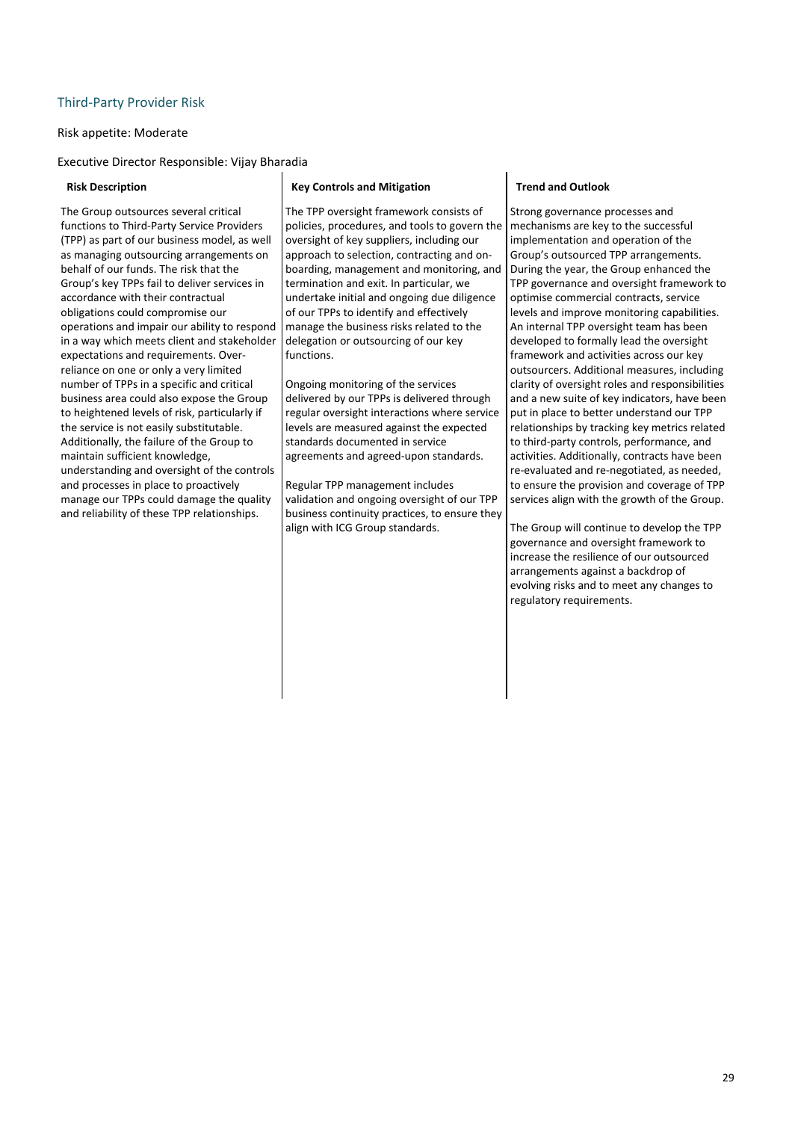# Third-Party Provider Risk

### Risk appetite: Moderate

Executive Director Responsible: Vijay Bharadia

The Group outsources several critical functions to Third-Party Service Providers (TPP) as part of our business model, as well as managing outsourcing arrangements on behalf of our funds. The risk that the Group's key TPPs fail to deliver services in accordance with their contractual obligations could compromise our operations and impair our ability to respond in a way which meets client and stakeholder expectations and requirements. Overreliance on one or only a very limited number of TPPs in a specific and critical business area could also expose the Group to heightened levels of risk, particularly if the service is not easily substitutable. Additionally, the failure of the Group to maintain sufficient knowledge, understanding and oversight of the controls and processes in place to proactively manage our TPPs could damage the quality and reliability of these TPP relationships.

#### **Risk Description Key Controls and Mitigation Trend and Outlook**

The TPP oversight framework consists of policies, procedures, and tools to govern the oversight of key suppliers, including our approach to selection, contracting and onboarding, management and monitoring, and termination and exit. In particular, we undertake initial and ongoing due diligence of our TPPs to identify and effectively manage the business risks related to the delegation or outsourcing of our key functions. 

Ongoing monitoring of the services delivered by our TPPs is delivered through regular oversight interactions where service levels are measured against the expected standards documented in service agreements and agreed-upon standards.

Regular TPP management includes validation and ongoing oversight of our TPP business continuity practices, to ensure they align with ICG Group standards.

Strong governance processes and mechanisms are key to the successful implementation and operation of the Group's outsourced TPP arrangements. During the year, the Group enhanced the TPP governance and oversight framework to optimise commercial contracts, service levels and improve monitoring capabilities. An internal TPP oversight team has been developed to formally lead the oversight framework and activities across our key outsourcers. Additional measures, including clarity of oversight roles and responsibilities and a new suite of key indicators, have been put in place to better understand our TPP relationships by tracking key metrics related to third-party controls, performance, and activities. Additionally, contracts have been re-evaluated and re-negotiated, as needed, to ensure the provision and coverage of TPP services align with the growth of the Group.

The Group will continue to develop the TPP governance and oversight framework to increase the resilience of our outsourced arrangements against a backdrop of evolving risks and to meet any changes to regulatory requirements.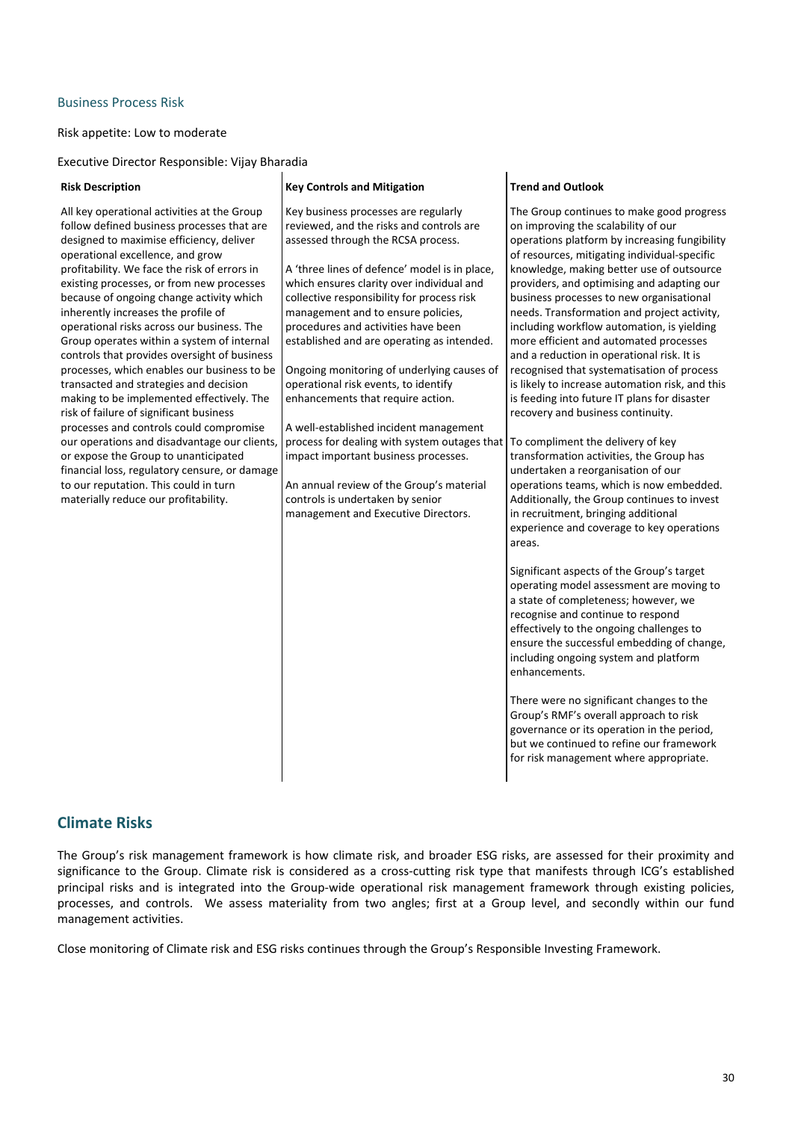# Business Process Risk

## Risk appetite: Low to moderate

Executive Director Responsible: Vijay Bharadia

| <b>Risk Description</b>                                                                                                                                                                                                                                                                                                                                                                                                                                                                                                                                                                                                                                                                                                                                                                                                                                                                                                                                     | <b>Key Controls and Mitigation</b>                                                                                                                                                                                                                                                                                                                                                                                                                                                                                                                                                                                                                                                                                                                                                                                    | <b>Trend and Outlook</b>                                                                                                                                                                                                                                                                                                                                                                                                                                                                                                                                                                                                                                                                                                                                                                                                                                                                                                                                                                                                                                                                                                                                                                                                                                                                                                                                                                                                                                                                                                           |
|-------------------------------------------------------------------------------------------------------------------------------------------------------------------------------------------------------------------------------------------------------------------------------------------------------------------------------------------------------------------------------------------------------------------------------------------------------------------------------------------------------------------------------------------------------------------------------------------------------------------------------------------------------------------------------------------------------------------------------------------------------------------------------------------------------------------------------------------------------------------------------------------------------------------------------------------------------------|-----------------------------------------------------------------------------------------------------------------------------------------------------------------------------------------------------------------------------------------------------------------------------------------------------------------------------------------------------------------------------------------------------------------------------------------------------------------------------------------------------------------------------------------------------------------------------------------------------------------------------------------------------------------------------------------------------------------------------------------------------------------------------------------------------------------------|------------------------------------------------------------------------------------------------------------------------------------------------------------------------------------------------------------------------------------------------------------------------------------------------------------------------------------------------------------------------------------------------------------------------------------------------------------------------------------------------------------------------------------------------------------------------------------------------------------------------------------------------------------------------------------------------------------------------------------------------------------------------------------------------------------------------------------------------------------------------------------------------------------------------------------------------------------------------------------------------------------------------------------------------------------------------------------------------------------------------------------------------------------------------------------------------------------------------------------------------------------------------------------------------------------------------------------------------------------------------------------------------------------------------------------------------------------------------------------------------------------------------------------|
| All key operational activities at the Group<br>follow defined business processes that are<br>designed to maximise efficiency, deliver<br>operational excellence, and grow<br>profitability. We face the risk of errors in<br>existing processes, or from new processes<br>because of ongoing change activity which<br>inherently increases the profile of<br>operational risks across our business. The<br>Group operates within a system of internal<br>controls that provides oversight of business<br>processes, which enables our business to be<br>transacted and strategies and decision<br>making to be implemented effectively. The<br>risk of failure of significant business<br>processes and controls could compromise<br>our operations and disadvantage our clients,<br>or expose the Group to unanticipated<br>financial loss, regulatory censure, or damage<br>to our reputation. This could in turn<br>materially reduce our profitability. | Key business processes are regularly<br>reviewed, and the risks and controls are<br>assessed through the RCSA process.<br>A 'three lines of defence' model is in place,<br>which ensures clarity over individual and<br>collective responsibility for process risk<br>management and to ensure policies,<br>procedures and activities have been<br>established and are operating as intended.<br>Ongoing monitoring of underlying causes of<br>operational risk events, to identify<br>enhancements that require action.<br>A well-established incident management<br>process for dealing with system outages that   To compliment the delivery of key<br>impact important business processes.<br>An annual review of the Group's material<br>controls is undertaken by senior<br>management and Executive Directors. | The Group continues to make good progress<br>on improving the scalability of our<br>operations platform by increasing fungibility<br>of resources, mitigating individual-specific<br>knowledge, making better use of outsource<br>providers, and optimising and adapting our<br>business processes to new organisational<br>needs. Transformation and project activity,<br>including workflow automation, is yielding<br>more efficient and automated processes<br>and a reduction in operational risk. It is<br>recognised that systematisation of process<br>is likely to increase automation risk, and this<br>is feeding into future IT plans for disaster<br>recovery and business continuity.<br>transformation activities, the Group has<br>undertaken a reorganisation of our<br>operations teams, which is now embedded.<br>Additionally, the Group continues to invest<br>in recruitment, bringing additional<br>experience and coverage to key operations<br>areas.<br>Significant aspects of the Group's target<br>operating model assessment are moving to<br>a state of completeness; however, we<br>recognise and continue to respond<br>effectively to the ongoing challenges to<br>ensure the successful embedding of change,<br>including ongoing system and platform<br>enhancements.<br>There were no significant changes to the<br>Group's RMF's overall approach to risk<br>governance or its operation in the period,<br>but we continued to refine our framework<br>for risk management where appropriate. |
|                                                                                                                                                                                                                                                                                                                                                                                                                                                                                                                                                                                                                                                                                                                                                                                                                                                                                                                                                             |                                                                                                                                                                                                                                                                                                                                                                                                                                                                                                                                                                                                                                                                                                                                                                                                                       |                                                                                                                                                                                                                                                                                                                                                                                                                                                                                                                                                                                                                                                                                                                                                                                                                                                                                                                                                                                                                                                                                                                                                                                                                                                                                                                                                                                                                                                                                                                                    |

# **Climate Risks**

The Group's risk management framework is how climate risk, and broader ESG risks, are assessed for their proximity and significance to the Group. Climate risk is considered as a cross-cutting risk type that manifests through ICG's established principal risks and is integrated into the Group-wide operational risk management framework through existing policies, processes, and controls. We assess materiality from two angles; first at a Group level, and secondly within our fund management activities.

Close monitoring of Climate risk and ESG risks continues through the Group's Responsible Investing Framework.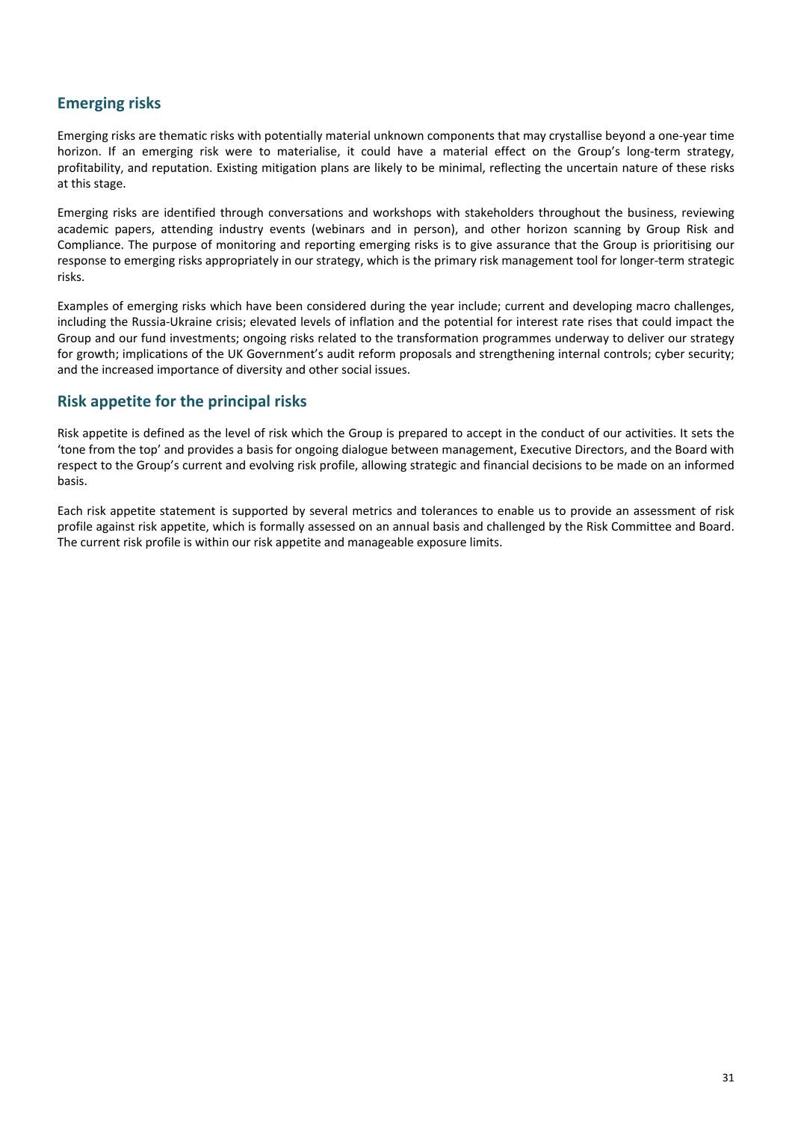# **Emerging risks**

Emerging risks are thematic risks with potentially material unknown components that may crystallise beyond a one-year time horizon. If an emerging risk were to materialise, it could have a material effect on the Group's long-term strategy, profitability, and reputation. Existing mitigation plans are likely to be minimal, reflecting the uncertain nature of these risks at this stage.

Emerging risks are identified through conversations and workshops with stakeholders throughout the business, reviewing academic papers, attending industry events (webinars and in person), and other horizon scanning by Group Risk and Compliance. The purpose of monitoring and reporting emerging risks is to give assurance that the Group is prioritising our response to emerging risks appropriately in our strategy, which is the primary risk management tool for longer-term strategic risks. 

Examples of emerging risks which have been considered during the year include; current and developing macro challenges, including the Russia-Ukraine crisis; elevated levels of inflation and the potential for interest rate rises that could impact the Group and our fund investments; ongoing risks related to the transformation programmes underway to deliver our strategy for growth; implications of the UK Government's audit reform proposals and strengthening internal controls; cyber security; and the increased importance of diversity and other social issues.

# **Risk appetite for the principal risks**

Risk appetite is defined as the level of risk which the Group is prepared to accept in the conduct of our activities. It sets the 'tone from the top' and provides a basis for ongoing dialogue between management, Executive Directors, and the Board with respect to the Group's current and evolving risk profile, allowing strategic and financial decisions to be made on an informed basis. 

Each risk appetite statement is supported by several metrics and tolerances to enable us to provide an assessment of risk profile against risk appetite, which is formally assessed on an annual basis and challenged by the Risk Committee and Board. The current risk profile is within our risk appetite and manageable exposure limits.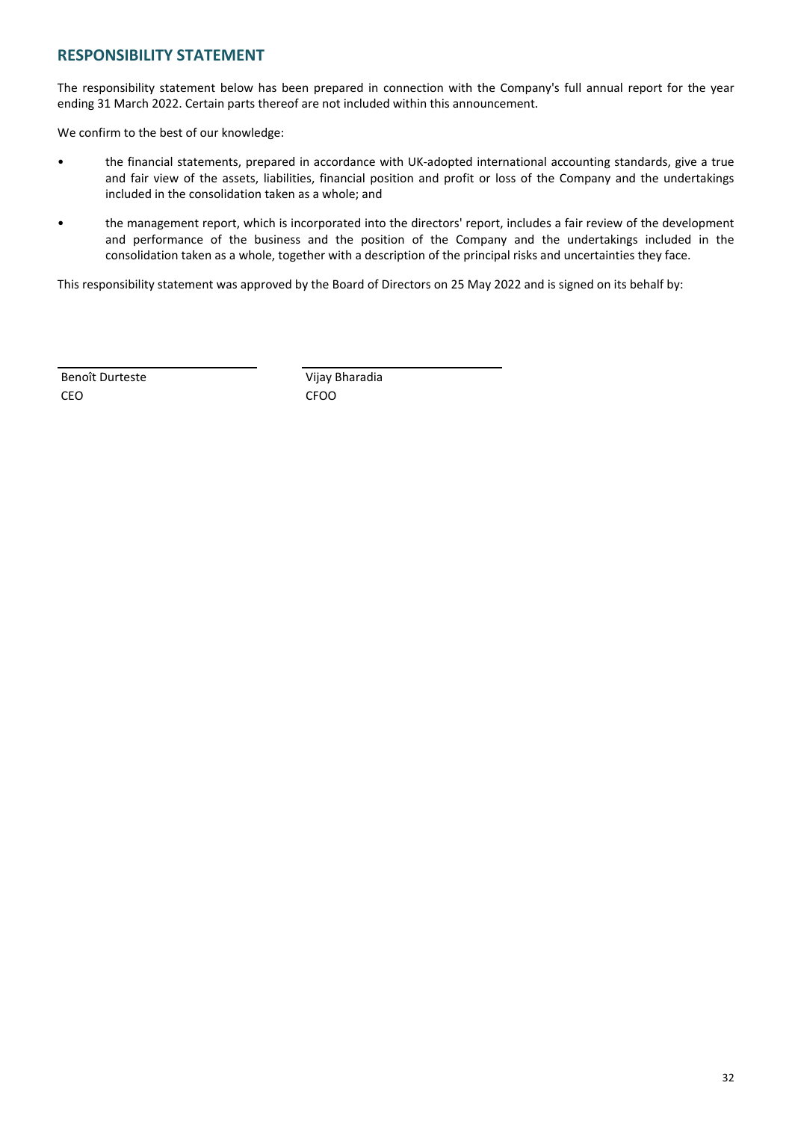# **RESPONSIBILITY STATEMENT**

The responsibility statement below has been prepared in connection with the Company's full annual report for the year ending 31 March 2022. Certain parts thereof are not included within this announcement.

We confirm to the best of our knowledge:

- the financial statements, prepared in accordance with UK-adopted international accounting standards, give a true and fair view of the assets, liabilities, financial position and profit or loss of the Company and the undertakings included in the consolidation taken as a whole; and
- the management report, which is incorporated into the directors' report, includes a fair review of the development and performance of the business and the position of the Company and the undertakings included in the consolidation taken as a whole, together with a description of the principal risks and uncertainties they face.

This responsibility statement was approved by the Board of Directors on 25 May 2022 and is signed on its behalf by:

Benoît Durteste Vijay Bharadia CEO CFOO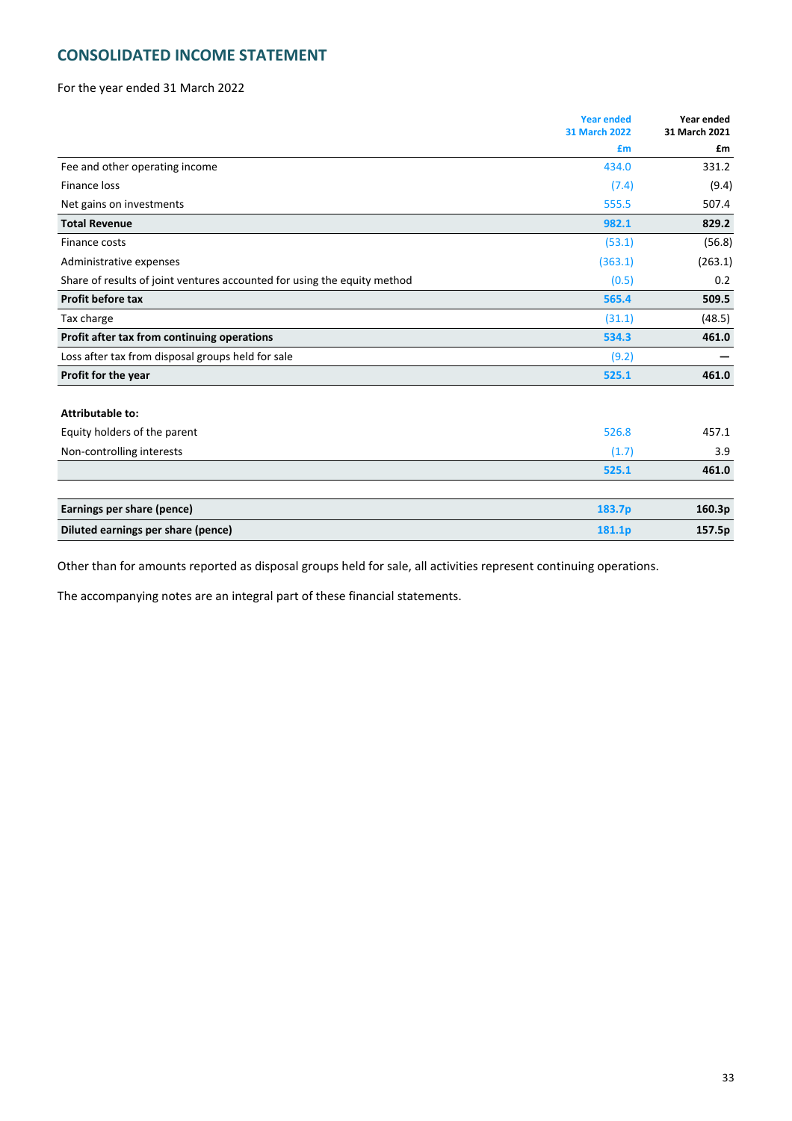# **CONSOLIDATED INCOME STATEMENT**

For the year ended 31 March 2022

|                                                                          | <b>Year ended</b><br><b>31 March 2022</b> | Year ended<br>31 March 2021 |
|--------------------------------------------------------------------------|-------------------------------------------|-----------------------------|
|                                                                          | £m                                        | £m                          |
| Fee and other operating income                                           | 434.0                                     | 331.2                       |
| <b>Finance loss</b>                                                      | (7.4)                                     | (9.4)                       |
| Net gains on investments                                                 | 555.5                                     | 507.4                       |
| <b>Total Revenue</b>                                                     | 982.1                                     | 829.2                       |
| Finance costs                                                            | (53.1)                                    | (56.8)                      |
| Administrative expenses                                                  | (363.1)                                   | (263.1)                     |
| Share of results of joint ventures accounted for using the equity method | (0.5)                                     | 0.2                         |
| Profit before tax                                                        | 565.4                                     | 509.5                       |
| Tax charge                                                               | (31.1)                                    | (48.5)                      |
| Profit after tax from continuing operations                              | 534.3                                     | 461.0                       |
| Loss after tax from disposal groups held for sale                        | (9.2)                                     |                             |
| Profit for the year                                                      | 525.1                                     | 461.0                       |
| <b>Attributable to:</b>                                                  |                                           |                             |
| Equity holders of the parent                                             | 526.8                                     | 457.1                       |
| Non-controlling interests                                                | (1.7)                                     | 3.9                         |
|                                                                          | 525.1                                     | 461.0                       |
| Earnings per share (pence)                                               | 183.7p                                    | 160.3p                      |
| Diluted earnings per share (pence)                                       | 181.1p                                    | 157.5p                      |

Other than for amounts reported as disposal groups held for sale, all activities represent continuing operations.

The accompanying notes are an integral part of these financial statements.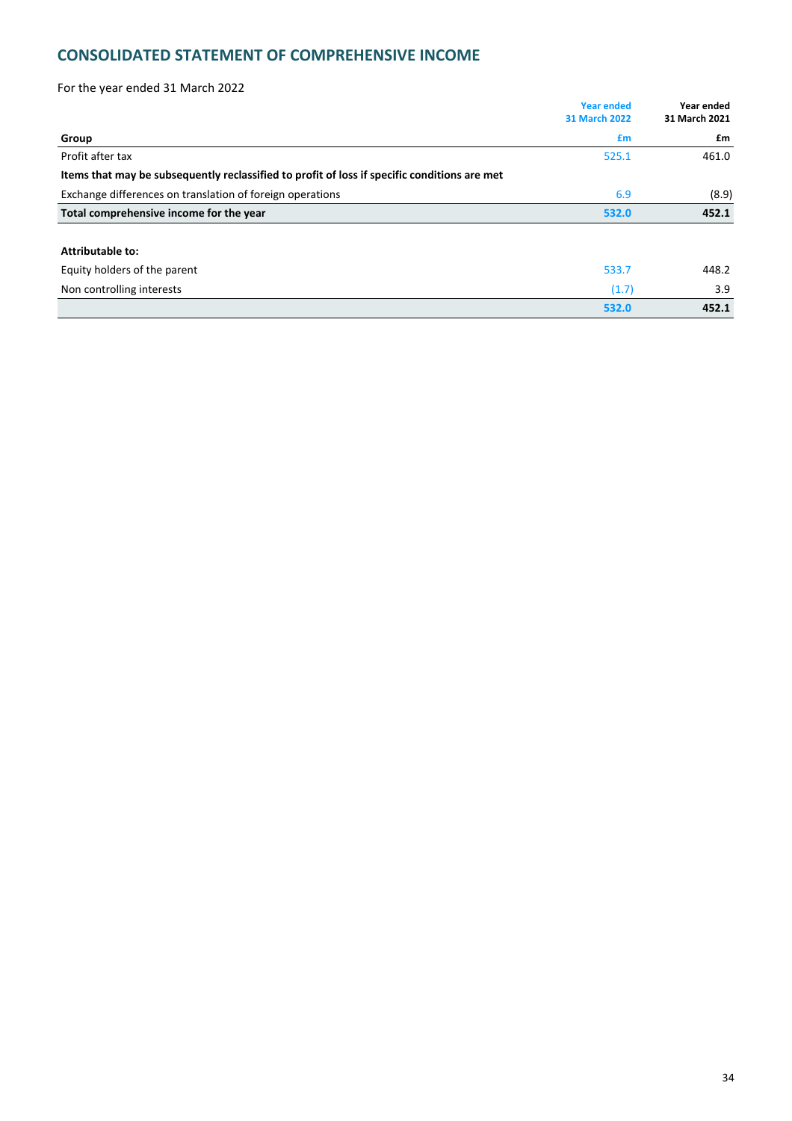# **CONSOLIDATED STATEMENT OF COMPREHENSIVE INCOME**

| For the year ended 31 March 2022                                                             |                                           |                             |
|----------------------------------------------------------------------------------------------|-------------------------------------------|-----------------------------|
|                                                                                              | <b>Year ended</b><br><b>31 March 2022</b> | Year ended<br>31 March 2021 |
| Group                                                                                        | £m                                        | £m                          |
| Profit after tax                                                                             | 525.1                                     | 461.0                       |
| Items that may be subsequently reclassified to profit of loss if specific conditions are met |                                           |                             |
| Exchange differences on translation of foreign operations                                    | 6.9                                       | (8.9)                       |
| Total comprehensive income for the year                                                      | 532.0                                     | 452.1                       |
| <b>Attributable to:</b>                                                                      |                                           |                             |
| Equity holders of the parent                                                                 | 533.7                                     | 448.2                       |
| Non controlling interests                                                                    | (1.7)                                     | 3.9                         |
|                                                                                              | 532.0                                     | 452.1                       |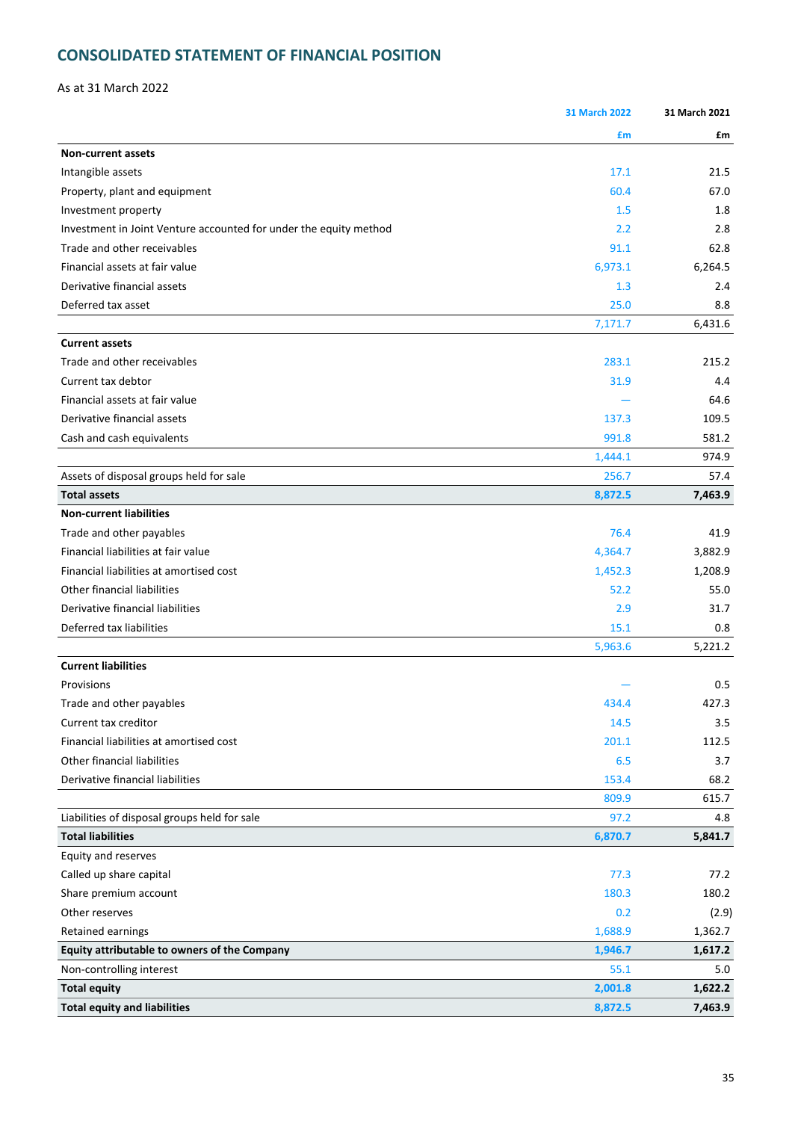# **CONSOLIDATED STATEMENT OF FINANCIAL POSITION**

As at 31 March 2022

|                                                                   | <b>31 March 2022</b> | 31 March 2021 |
|-------------------------------------------------------------------|----------------------|---------------|
|                                                                   | £m                   | £m            |
| <b>Non-current assets</b>                                         |                      |               |
| Intangible assets                                                 | 17.1                 | 21.5          |
| Property, plant and equipment                                     | 60.4                 | 67.0          |
| Investment property                                               | 1.5                  | 1.8           |
| Investment in Joint Venture accounted for under the equity method | 2.2                  | 2.8           |
| Trade and other receivables                                       | 91.1                 | 62.8          |
| Financial assets at fair value                                    | 6,973.1              | 6,264.5       |
| Derivative financial assets                                       | 1.3                  | 2.4           |
| Deferred tax asset                                                | 25.0                 | 8.8           |
|                                                                   | 7,171.7              | 6,431.6       |
| <b>Current assets</b>                                             |                      |               |
| Trade and other receivables                                       | 283.1                | 215.2         |
| Current tax debtor                                                | 31.9                 | 4.4           |
| Financial assets at fair value                                    |                      | 64.6          |
| Derivative financial assets                                       | 137.3                | 109.5         |
| Cash and cash equivalents                                         | 991.8                | 581.2         |
|                                                                   | 1,444.1              | 974.9         |
| Assets of disposal groups held for sale                           | 256.7                | 57.4          |
| <b>Total assets</b>                                               | 8,872.5              | 7,463.9       |
| <b>Non-current liabilities</b>                                    |                      |               |
| Trade and other payables                                          | 76.4                 | 41.9          |
| Financial liabilities at fair value                               | 4,364.7              | 3,882.9       |
| Financial liabilities at amortised cost                           | 1,452.3              | 1,208.9       |
| Other financial liabilities                                       | 52.2                 | 55.0          |
| Derivative financial liabilities                                  | 2.9                  | 31.7          |
| Deferred tax liabilities                                          | 15.1                 | 0.8           |
|                                                                   | 5,963.6              | 5,221.2       |
| <b>Current liabilities</b>                                        |                      |               |
| Provisions                                                        |                      | 0.5           |
| Trade and other payables                                          | 434.4                | 427.3         |
| Current tax creditor                                              | 14.5                 | 3.5           |
| Financial liabilities at amortised cost                           | 201.1                | 112.5         |
| Other financial liabilities                                       | 6.5                  | 3.7           |
| Derivative financial liabilities                                  | 153.4                | 68.2          |
|                                                                   | 809.9                | 615.7         |
| Liabilities of disposal groups held for sale                      | 97.2                 | 4.8           |
| <b>Total liabilities</b>                                          | 6,870.7              | 5,841.7       |
| Equity and reserves                                               |                      |               |
| Called up share capital                                           | 77.3                 | 77.2          |
| Share premium account                                             | 180.3                | 180.2         |
| Other reserves                                                    | 0.2                  | (2.9)         |
| Retained earnings                                                 | 1,688.9              | 1,362.7       |
| Equity attributable to owners of the Company                      | 1,946.7              | 1,617.2       |
| Non-controlling interest                                          | 55.1                 | 5.0           |
| <b>Total equity</b>                                               | 2,001.8              | 1,622.2       |
| <b>Total equity and liabilities</b>                               | 8,872.5              | 7,463.9       |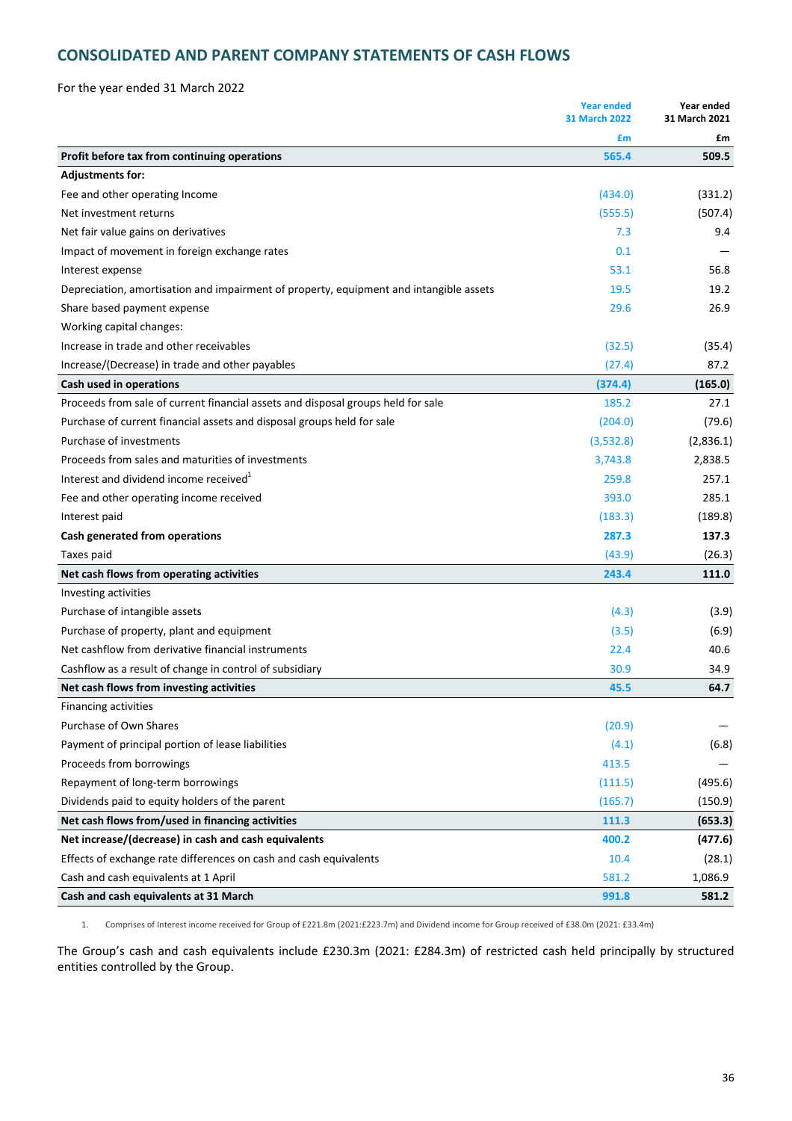# **CONSOLIDATED AND PARENT COMPANY STATEMENTS OF CASH FLOWS**

For the year ended 31 March 2022

|                                                                                        | <b>Year ended</b><br><b>31 March 2022</b> | Year ended<br>31 March 2021 |
|----------------------------------------------------------------------------------------|-------------------------------------------|-----------------------------|
|                                                                                        | £m                                        | £m                          |
| Profit before tax from continuing operations                                           | 565.4                                     | 509.5                       |
| <b>Adjustments for:</b>                                                                |                                           |                             |
| Fee and other operating Income                                                         | (434.0)                                   | (331.2)                     |
| Net investment returns                                                                 | (555.5)                                   | (507.4)                     |
| Net fair value gains on derivatives                                                    | 7.3                                       | 9.4                         |
| Impact of movement in foreign exchange rates                                           | 0.1                                       |                             |
| Interest expense                                                                       | 53.1                                      | 56.8                        |
| Depreciation, amortisation and impairment of property, equipment and intangible assets | 19.5                                      | 19.2                        |
| Share based payment expense                                                            | 29.6                                      | 26.9                        |
| Working capital changes:                                                               |                                           |                             |
| Increase in trade and other receivables                                                | (32.5)                                    | (35.4)                      |
| Increase/(Decrease) in trade and other payables                                        | (27.4)                                    | 87.2                        |
| Cash used in operations                                                                | (374.4)                                   | (165.0)                     |
| Proceeds from sale of current financial assets and disposal groups held for sale       | 185.2                                     | 27.1                        |
| Purchase of current financial assets and disposal groups held for sale                 | (204.0)                                   | (79.6)                      |
| Purchase of investments                                                                | (3,532.8)                                 | (2,836.1)                   |
| Proceeds from sales and maturities of investments                                      | 3,743.8                                   | 2,838.5                     |
| Interest and dividend income received <sup>1</sup>                                     | 259.8                                     | 257.1                       |
| Fee and other operating income received                                                | 393.0                                     | 285.1                       |
| Interest paid                                                                          | (183.3)                                   | (189.8)                     |
| Cash generated from operations                                                         | 287.3                                     | 137.3                       |
| Taxes paid                                                                             | (43.9)                                    | (26.3)                      |
| Net cash flows from operating activities                                               | 243.4                                     | 111.0                       |
| Investing activities                                                                   |                                           |                             |
| Purchase of intangible assets                                                          | (4.3)                                     | (3.9)                       |
| Purchase of property, plant and equipment                                              | (3.5)                                     | (6.9)                       |
| Net cashflow from derivative financial instruments                                     | 22.4                                      | 40.6                        |
| Cashflow as a result of change in control of subsidiary                                | 30.9                                      | 34.9                        |
| Net cash flows from investing activities                                               | 45.5                                      | 64.7                        |
| Financing activities                                                                   |                                           |                             |
| Purchase of Own Shares                                                                 | (20.9)                                    |                             |
| Payment of principal portion of lease liabilities                                      | (4.1)                                     | (6.8)                       |
| Proceeds from borrowings                                                               | 413.5                                     |                             |
| Repayment of long-term borrowings                                                      | (111.5)                                   | (495.6)                     |
| Dividends paid to equity holders of the parent                                         | (165.7)                                   | (150.9)                     |
| Net cash flows from/used in financing activities                                       | 111.3                                     | (653.3)                     |
| Net increase/(decrease) in cash and cash equivalents                                   | 400.2                                     | (477.6)                     |
| Effects of exchange rate differences on cash and cash equivalents                      | 10.4                                      | (28.1)                      |
| Cash and cash equivalents at 1 April                                                   | 581.2                                     | 1,086.9                     |
| Cash and cash equivalents at 31 March                                                  | 991.8                                     | 581.2                       |

1. Comprises of Interest income received for Group of £221.8m (2021:£223.7m) and Dividend income for Group received of £38.0m (2021: £33.4m)

The Group's cash and cash equivalents include £230.3m (2021: £284.3m) of restricted cash held principally by structured entities controlled by the Group.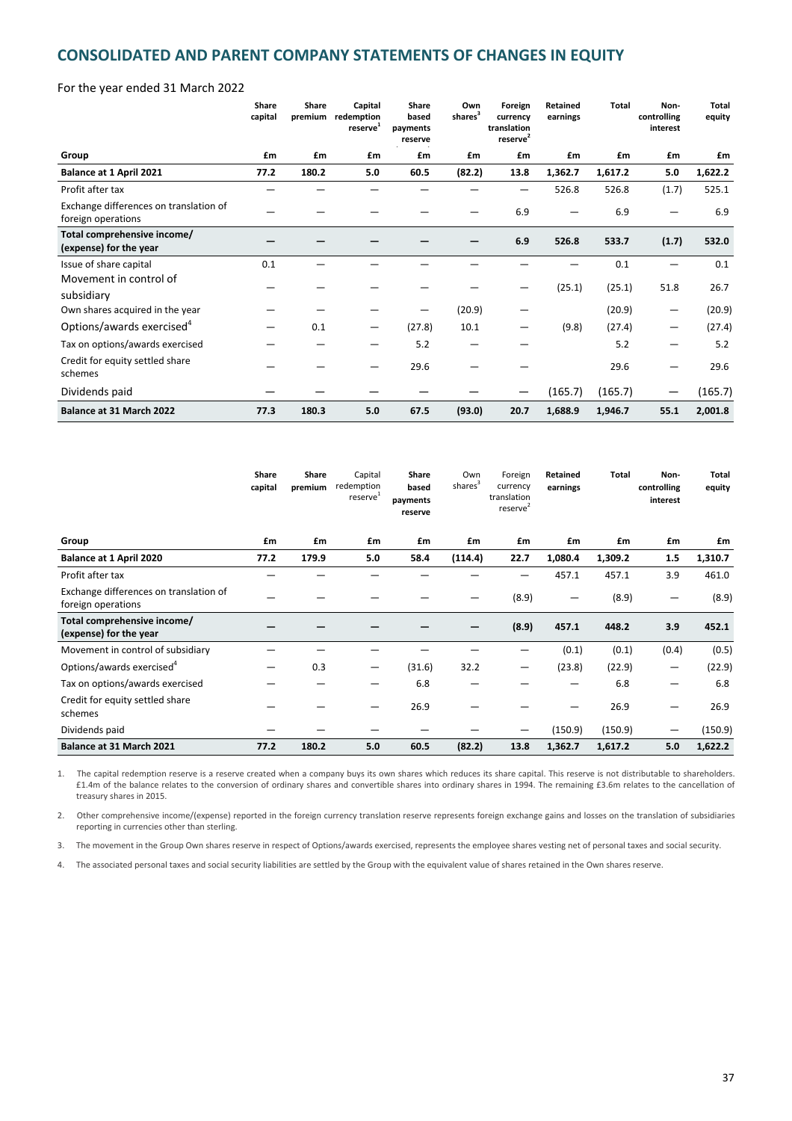# **CONSOLIDATED AND PARENT COMPANY STATEMENTS OF CHANGES IN EQUITY**

### For the year ended 31 March 2022

|                                                              | Share<br>capital | Share<br>premium | Capital<br>redemption<br>reserve <sup>1</sup> | <b>Share</b><br>based<br>payments<br>reserve | Own<br>shares <sup>3</sup> | Foreign<br>currency<br>translation<br>reserve <sup>2</sup> | Retained<br>earnings | <b>Total</b> | Non-<br>controlling<br>interest | Total<br>equity |
|--------------------------------------------------------------|------------------|------------------|-----------------------------------------------|----------------------------------------------|----------------------------|------------------------------------------------------------|----------------------|--------------|---------------------------------|-----------------|
| Group                                                        | £m               | £m               | £m                                            | £m                                           | £m                         | £m                                                         | £m                   | £m           | £m                              | £m              |
| Balance at 1 April 2021                                      | 77.2             | 180.2            | 5.0                                           | 60.5                                         | (82.2)                     | 13.8                                                       | 1,362.7              | 1,617.2      | 5.0                             | 1,622.2         |
| Profit after tax                                             |                  |                  |                                               |                                              |                            |                                                            | 526.8                | 526.8        | (1.7)                           | 525.1           |
| Exchange differences on translation of<br>foreign operations |                  |                  |                                               |                                              |                            | 6.9                                                        |                      | 6.9          |                                 | 6.9             |
| Total comprehensive income/<br>(expense) for the year        |                  |                  |                                               |                                              |                            | 6.9                                                        | 526.8                | 533.7        | (1.7)                           | 532.0           |
| Issue of share capital                                       | 0.1              |                  |                                               |                                              |                            |                                                            |                      | 0.1          |                                 | 0.1             |
| Movement in control of<br>subsidiary                         |                  |                  |                                               |                                              |                            |                                                            | (25.1)               | (25.1)       | 51.8                            | 26.7            |
| Own shares acquired in the year                              |                  |                  |                                               |                                              | (20.9)                     |                                                            |                      | (20.9)       |                                 | (20.9)          |
| Options/awards exercised <sup>4</sup>                        |                  | 0.1              |                                               | (27.8)                                       | 10.1                       |                                                            | (9.8)                | (27.4)       |                                 | (27.4)          |
| Tax on options/awards exercised                              |                  |                  |                                               | 5.2                                          |                            |                                                            |                      | 5.2          |                                 | 5.2             |
| Credit for equity settled share<br>schemes                   |                  |                  |                                               | 29.6                                         |                            |                                                            |                      | 29.6         |                                 | 29.6            |
| Dividends paid                                               |                  |                  |                                               |                                              |                            |                                                            | (165.7)              | (165.7)      |                                 | (165.7)         |
| Balance at 31 March 2022                                     | 77.3             | 180.3            | 5.0                                           | 67.5                                         | (93.0)                     | 20.7                                                       | 1,688.9              | 1,946.7      | 55.1                            | 2,001.8         |

|                                                              | Share<br>capital | <b>Share</b><br>premium | Capital<br>redemption<br>reserve <sup>1</sup> | <b>Share</b><br>based<br>payments<br>reserve | Own<br>shares <sup>3</sup> | Foreign<br>currency<br>translation<br>reserve <sup>2</sup> | Retained<br>earnings | Total   | Non-<br>controlling<br>interest | Total<br>equity |
|--------------------------------------------------------------|------------------|-------------------------|-----------------------------------------------|----------------------------------------------|----------------------------|------------------------------------------------------------|----------------------|---------|---------------------------------|-----------------|
| Group                                                        | £m               | £m                      | £m                                            | £m                                           | £m                         | £m                                                         | £m                   | £m      | £m                              | £m              |
| Balance at 1 April 2020                                      | 77.2             | 179.9                   | 5.0                                           | 58.4                                         | (114.4)                    | 22.7                                                       | 1,080.4              | 1,309.2 | 1.5                             | 1,310.7         |
| Profit after tax                                             |                  |                         |                                               |                                              |                            | –                                                          | 457.1                | 457.1   | 3.9                             | 461.0           |
| Exchange differences on translation of<br>foreign operations |                  |                         |                                               |                                              |                            | (8.9)                                                      | –                    | (8.9)   | —                               | (8.9)           |
| Total comprehensive income/<br>(expense) for the year        |                  |                         |                                               |                                              |                            | (8.9)                                                      | 457.1                | 448.2   | 3.9                             | 452.1           |
| Movement in control of subsidiary                            |                  |                         |                                               |                                              |                            |                                                            | (0.1)                | (0.1)   | (0.4)                           | (0.5)           |
| Options/awards exercised <sup>4</sup>                        |                  | 0.3                     |                                               | (31.6)                                       | 32.2                       | —                                                          | (23.8)               | (22.9)  | —                               | (22.9)          |
| Tax on options/awards exercised                              |                  |                         |                                               | 6.8                                          |                            |                                                            |                      | 6.8     | —                               | 6.8             |
| Credit for equity settled share<br>schemes                   |                  |                         |                                               | 26.9                                         |                            |                                                            |                      | 26.9    | —                               | 26.9            |
| Dividends paid                                               |                  |                         |                                               |                                              |                            |                                                            | (150.9)              | (150.9) |                                 | (150.9)         |
| Balance at 31 March 2021                                     | 77.2             | 180.2                   | 5.0                                           | 60.5                                         | (82.2)                     | 13.8                                                       | 1,362.7              | 1,617.2 | 5.0                             | 1,622.2         |

1. The capital redemption reserve is a reserve created when a company buys its own shares which reduces its share capital. This reserve is not distributable to shareholders. £1.4m of the balance relates to the conversion of ordinary shares and convertible shares into ordinary shares in 1994. The remaining £3.6m relates to the cancellation of treasury shares in 2015.

2. Other comprehensive income/(expense) reported in the foreign currency translation reserve represents foreign exchange gains and losses on the translation of subsidiaries reporting in currencies other than sterling.

3. The movement in the Group Own shares reserve in respect of Options/awards exercised, represents the employee shares vesting net of personal taxes and social security.

4. The associated personal taxes and social security liabilities are settled by the Group with the equivalent value of shares retained in the Own shares reserve.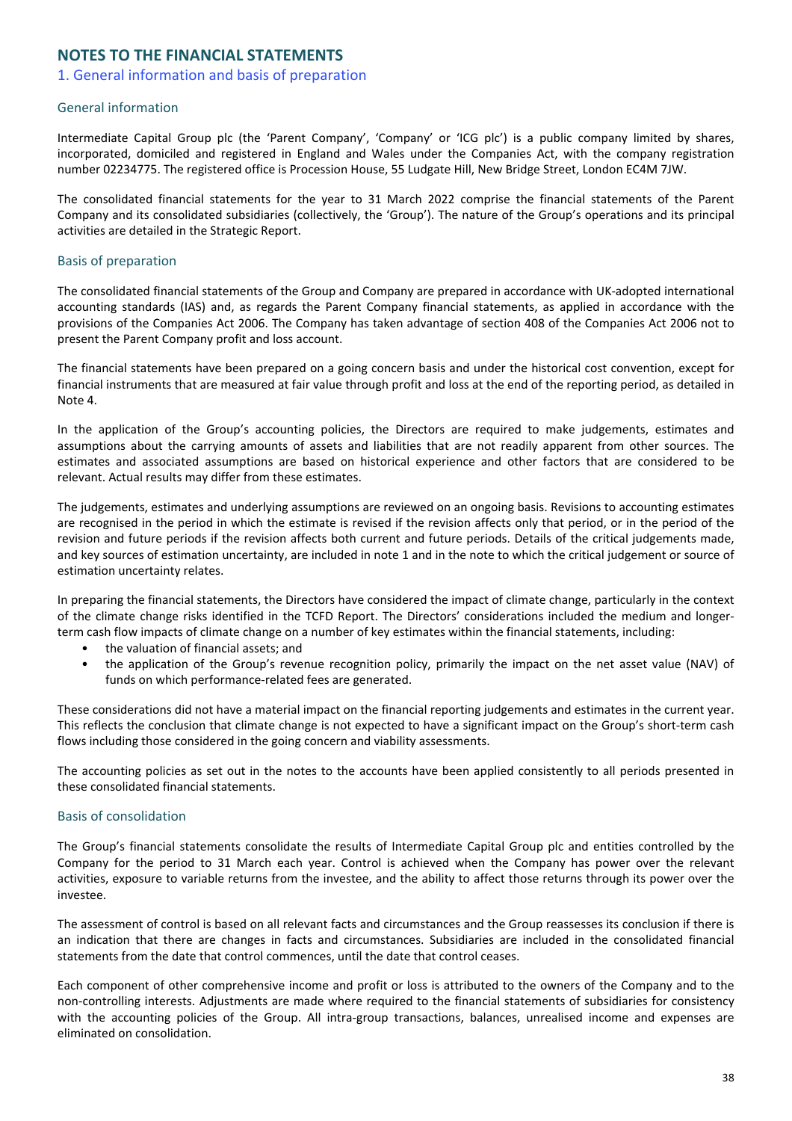# **NOTES TO THE FINANCIAL STATEMENTS**

# 1. General information and basis of preparation

# General information

Intermediate Capital Group plc (the 'Parent Company', 'Company' or 'ICG plc') is a public company limited by shares, incorporated, domiciled and registered in England and Wales under the Companies Act, with the company registration number 02234775. The registered office is Procession House, 55 Ludgate Hill, New Bridge Street, London EC4M 7JW.

The consolidated financial statements for the year to 31 March 2022 comprise the financial statements of the Parent Company and its consolidated subsidiaries (collectively, the 'Group'). The nature of the Group's operations and its principal activities are detailed in the Strategic Report.

# Basis of preparation

The consolidated financial statements of the Group and Company are prepared in accordance with UK-adopted international accounting standards (IAS) and, as regards the Parent Company financial statements, as applied in accordance with the provisions of the Companies Act 2006. The Company has taken advantage of section 408 of the Companies Act 2006 not to present the Parent Company profit and loss account.

The financial statements have been prepared on a going concern basis and under the historical cost convention, except for financial instruments that are measured at fair value through profit and loss at the end of the reporting period, as detailed in Note 4.

In the application of the Group's accounting policies, the Directors are required to make judgements, estimates and assumptions about the carrying amounts of assets and liabilities that are not readily apparent from other sources. The estimates and associated assumptions are based on historical experience and other factors that are considered to be relevant. Actual results may differ from these estimates.

The judgements, estimates and underlying assumptions are reviewed on an ongoing basis. Revisions to accounting estimates are recognised in the period in which the estimate is revised if the revision affects only that period, or in the period of the revision and future periods if the revision affects both current and future periods. Details of the critical judgements made, and key sources of estimation uncertainty, are included in note 1 and in the note to which the critical judgement or source of estimation uncertainty relates.

In preparing the financial statements, the Directors have considered the impact of climate change, particularly in the context of the climate change risks identified in the TCFD Report. The Directors' considerations included the medium and longerterm cash flow impacts of climate change on a number of key estimates within the financial statements, including:

- the valuation of financial assets; and
- the application of the Group's revenue recognition policy, primarily the impact on the net asset value (NAV) of funds on which performance-related fees are generated.

These considerations did not have a material impact on the financial reporting judgements and estimates in the current year. This reflects the conclusion that climate change is not expected to have a significant impact on the Group's short-term cash flows including those considered in the going concern and viability assessments.

The accounting policies as set out in the notes to the accounts have been applied consistently to all periods presented in these consolidated financial statements.

## **Basis of consolidation**

The Group's financial statements consolidate the results of Intermediate Capital Group plc and entities controlled by the Company for the period to 31 March each year. Control is achieved when the Company has power over the relevant activities, exposure to variable returns from the investee, and the ability to affect those returns through its power over the investee.

The assessment of control is based on all relevant facts and circumstances and the Group reassesses its conclusion if there is an indication that there are changes in facts and circumstances. Subsidiaries are included in the consolidated financial statements from the date that control commences, until the date that control ceases.

Each component of other comprehensive income and profit or loss is attributed to the owners of the Company and to the non-controlling interests. Adjustments are made where required to the financial statements of subsidiaries for consistency with the accounting policies of the Group. All intra-group transactions, balances, unrealised income and expenses are eliminated on consolidation.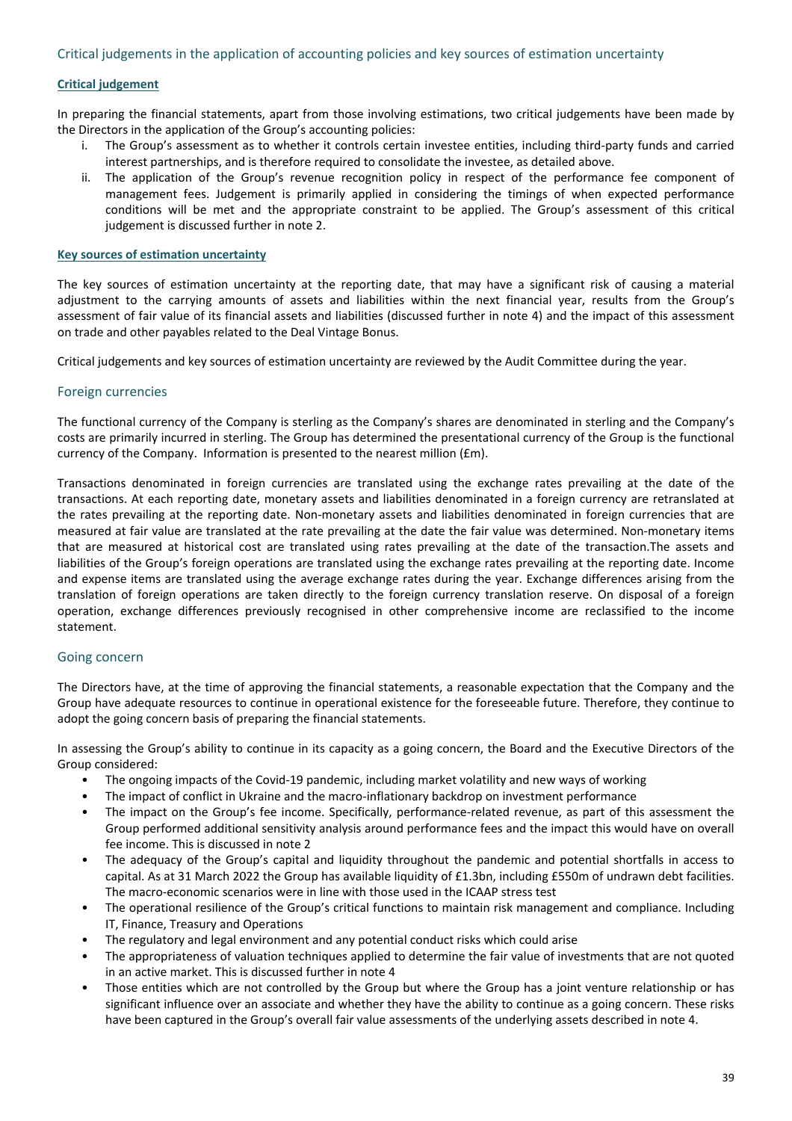# **Critical judgement**

In preparing the financial statements, apart from those involving estimations, two critical judgements have been made by the Directors in the application of the Group's accounting policies:

- The Group's assessment as to whether it controls certain investee entities, including third-party funds and carried interest partnerships, and is therefore required to consolidate the investee, as detailed above.
- ii. The application of the Group's revenue recognition policy in respect of the performance fee component of management fees. Judgement is primarily applied in considering the timings of when expected performance conditions will be met and the appropriate constraint to be applied. The Group's assessment of this critical judgement is discussed further in note 2.

### **Key sources of estimation uncertainty**

The key sources of estimation uncertainty at the reporting date, that may have a significant risk of causing a material adjustment to the carrying amounts of assets and liabilities within the next financial year, results from the Group's assessment of fair value of its financial assets and liabilities (discussed further in note 4) and the impact of this assessment on trade and other payables related to the Deal Vintage Bonus.

Critical judgements and key sources of estimation uncertainty are reviewed by the Audit Committee during the year.

### Foreign currencies

The functional currency of the Company is sterling as the Company's shares are denominated in sterling and the Company's costs are primarily incurred in sterling. The Group has determined the presentational currency of the Group is the functional currency of the Company. Information is presented to the nearest million ( $Em$ ).

Transactions denominated in foreign currencies are translated using the exchange rates prevailing at the date of the transactions. At each reporting date, monetary assets and liabilities denominated in a foreign currency are retranslated at the rates prevailing at the reporting date. Non-monetary assets and liabilities denominated in foreign currencies that are measured at fair value are translated at the rate prevailing at the date the fair value was determined. Non-monetary items that are measured at historical cost are translated using rates prevailing at the date of the transaction.The assets and liabilities of the Group's foreign operations are translated using the exchange rates prevailing at the reporting date. Income and expense items are translated using the average exchange rates during the year. Exchange differences arising from the translation of foreign operations are taken directly to the foreign currency translation reserve. On disposal of a foreign operation, exchange differences previously recognised in other comprehensive income are reclassified to the income statement.

## Going concern

The Directors have, at the time of approving the financial statements, a reasonable expectation that the Company and the Group have adequate resources to continue in operational existence for the foreseeable future. Therefore, they continue to adopt the going concern basis of preparing the financial statements.

In assessing the Group's ability to continue in its capacity as a going concern, the Board and the Executive Directors of the Group considered:

- The ongoing impacts of the Covid-19 pandemic, including market volatility and new ways of working
- The impact of conflict in Ukraine and the macro-inflationary backdrop on investment performance
- The impact on the Group's fee income. Specifically, performance-related revenue, as part of this assessment the Group performed additional sensitivity analysis around performance fees and the impact this would have on overall fee income. This is discussed in note 2
- The adequacy of the Group's capital and liquidity throughout the pandemic and potential shortfalls in access to capital. As at 31 March 2022 the Group has available liquidity of £1.3bn, including £550m of undrawn debt facilities. The macro-economic scenarios were in line with those used in the ICAAP stress test
- The operational resilience of the Group's critical functions to maintain risk management and compliance. Including IT, Finance, Treasury and Operations
- The regulatory and legal environment and any potential conduct risks which could arise
- The appropriateness of valuation techniques applied to determine the fair value of investments that are not quoted in an active market. This is discussed further in note 4
- Those entities which are not controlled by the Group but where the Group has a joint venture relationship or has significant influence over an associate and whether they have the ability to continue as a going concern. These risks have been captured in the Group's overall fair value assessments of the underlying assets described in note 4.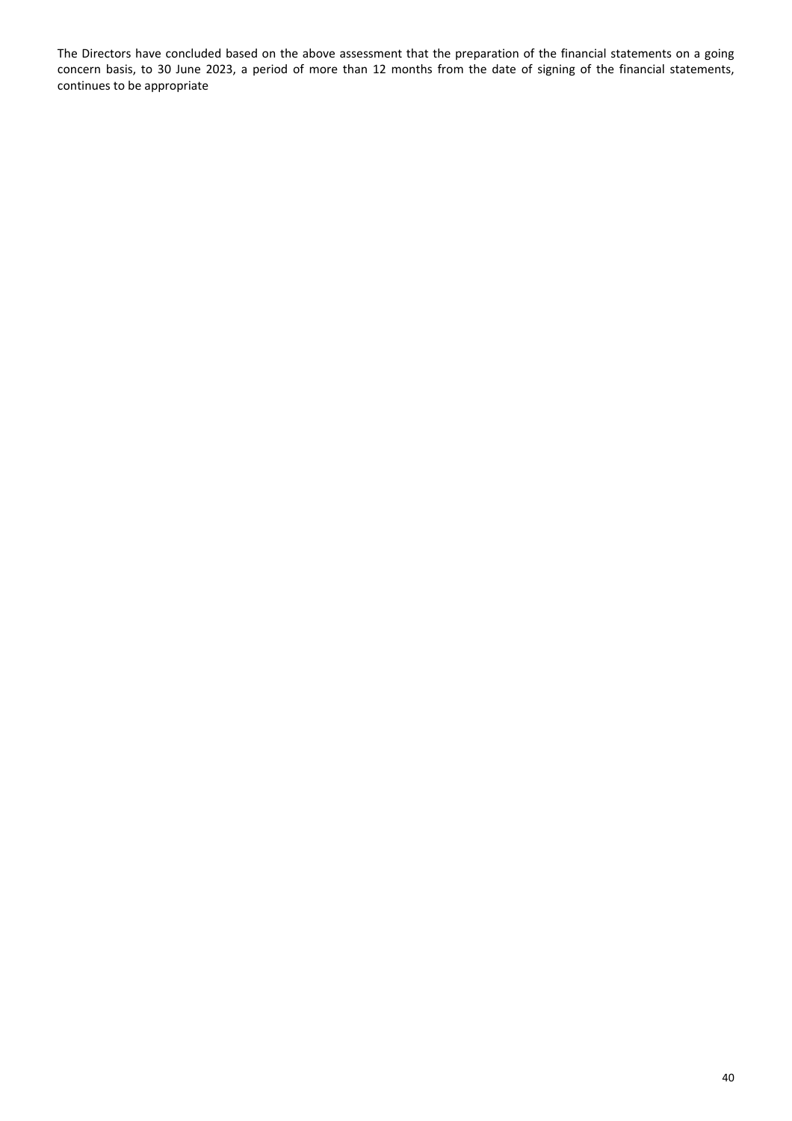The Directors have concluded based on the above assessment that the preparation of the financial statements on a going concern basis, to 30 June 2023, a period of more than 12 months from the date of signing of the financial statements, continues to be appropriate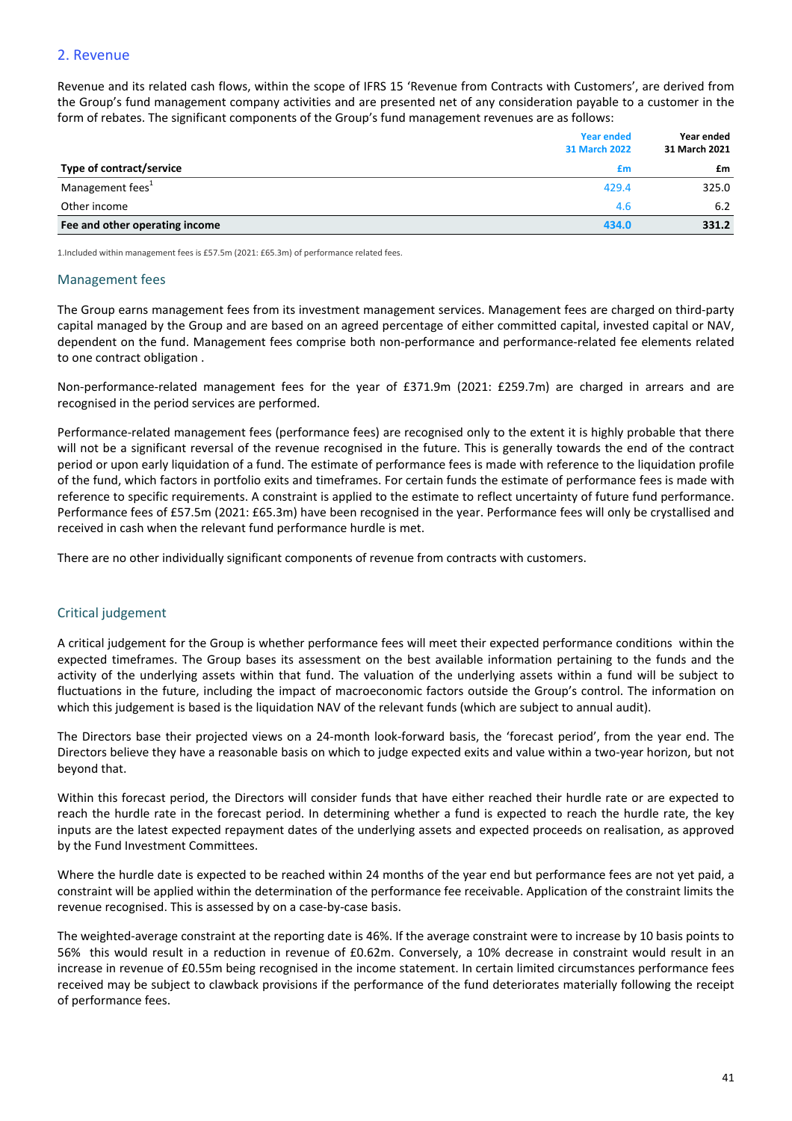# 2. Revenue

Revenue and its related cash flows, within the scope of IFRS 15 'Revenue from Contracts with Customers', are derived from the Group's fund management company activities and are presented net of any consideration payable to a customer in the form of rebates. The significant components of the Group's fund management revenues are as follows:

|                                 | <b>Year ended</b><br><b>31 March 2022</b> | Year ended<br>31 March 2021 |
|---------------------------------|-------------------------------------------|-----------------------------|
| <b>Type of contract/service</b> | £m                                        | £m                          |
| Management fees <sup>1</sup>    | 429.4                                     | 325.0                       |
| Other income                    | 4.6                                       | 6.2                         |
| Fee and other operating income  | 434.0                                     | 331.2                       |

1.Included within management fees is £57.5m (2021: £65.3m) of performance related fees.

#### **Management** fees

The Group earns management fees from its investment management services. Management fees are charged on third-party capital managed by the Group and are based on an agreed percentage of either committed capital, invested capital or NAV, dependent on the fund. Management fees comprise both non-performance and performance-related fee elements related to one contract obligation.

Non-performance-related management fees for the year of £371.9m (2021: £259.7m) are charged in arrears and are recognised in the period services are performed.

Performance-related management fees (performance fees) are recognised only to the extent it is highly probable that there will not be a significant reversal of the revenue recognised in the future. This is generally towards the end of the contract period or upon early liquidation of a fund. The estimate of performance fees is made with reference to the liquidation profile of the fund, which factors in portfolio exits and timeframes. For certain funds the estimate of performance fees is made with reference to specific requirements. A constraint is applied to the estimate to reflect uncertainty of future fund performance. Performance fees of £57.5m (2021: £65.3m) have been recognised in the year. Performance fees will only be crystallised and received in cash when the relevant fund performance hurdle is met.

There are no other individually significant components of revenue from contracts with customers.

## Critical judgement

A critical judgement for the Group is whether performance fees will meet their expected performance conditions within the expected timeframes. The Group bases its assessment on the best available information pertaining to the funds and the activity of the underlying assets within that fund. The valuation of the underlying assets within a fund will be subject to fluctuations in the future, including the impact of macroeconomic factors outside the Group's control. The information on which this judgement is based is the liquidation NAV of the relevant funds (which are subject to annual audit).

The Directors base their projected views on a 24-month look-forward basis, the 'forecast period', from the year end. The Directors believe they have a reasonable basis on which to judge expected exits and value within a two-year horizon, but not beyond that.

Within this forecast period, the Directors will consider funds that have either reached their hurdle rate or are expected to reach the hurdle rate in the forecast period. In determining whether a fund is expected to reach the hurdle rate, the key inputs are the latest expected repayment dates of the underlying assets and expected proceeds on realisation, as approved by the Fund Investment Committees.

Where the hurdle date is expected to be reached within 24 months of the year end but performance fees are not yet paid, a constraint will be applied within the determination of the performance fee receivable. Application of the constraint limits the revenue recognised. This is assessed by on a case-by-case basis.

The weighted-average constraint at the reporting date is 46%. If the average constraint were to increase by 10 basis points to 56% this would result in a reduction in revenue of £0.62m. Conversely, a 10% decrease in constraint would result in an increase in revenue of £0.55m being recognised in the income statement. In certain limited circumstances performance fees received may be subject to clawback provisions if the performance of the fund deteriorates materially following the receipt of performance fees.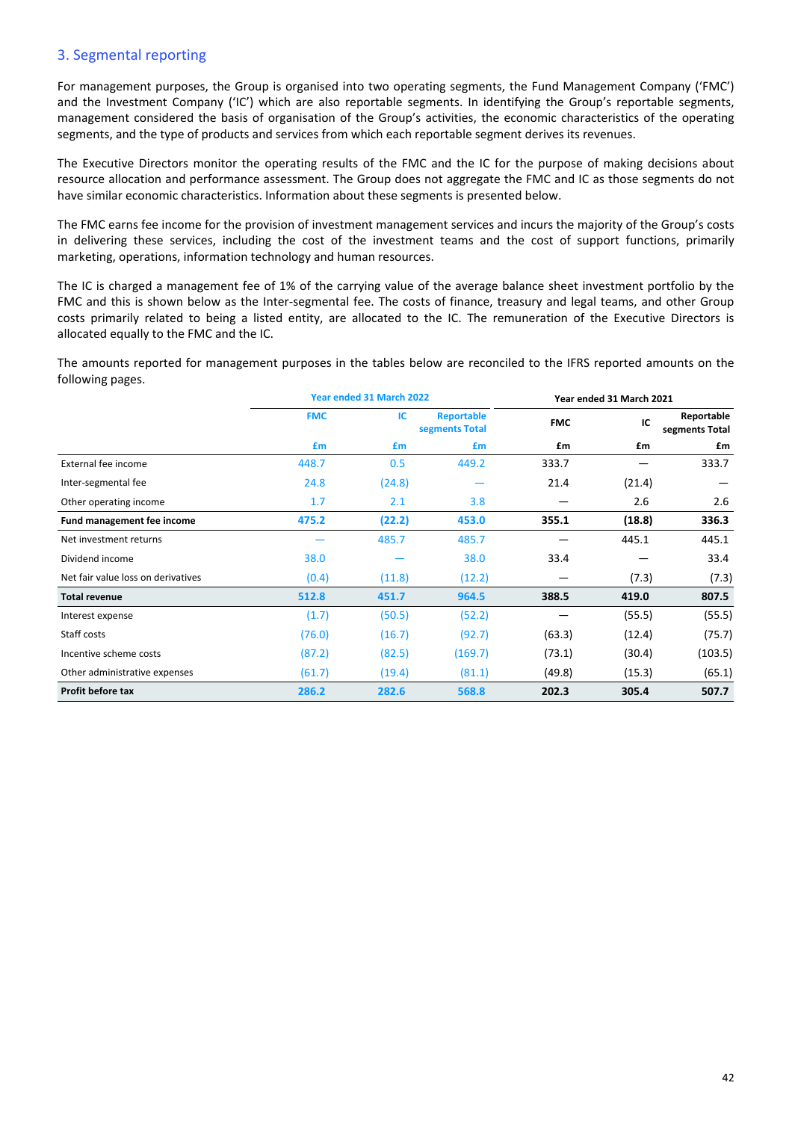# 3. Segmental reporting

For management purposes, the Group is organised into two operating segments, the Fund Management Company ('FMC') and the Investment Company ('IC') which are also reportable segments. In identifying the Group's reportable segments, management considered the basis of organisation of the Group's activities, the economic characteristics of the operating segments, and the type of products and services from which each reportable segment derives its revenues.

The Executive Directors monitor the operating results of the FMC and the IC for the purpose of making decisions about resource allocation and performance assessment. The Group does not aggregate the FMC and IC as those segments do not have similar economic characteristics. Information about these segments is presented below.

The FMC earns fee income for the provision of investment management services and incurs the majority of the Group's costs in delivering these services, including the cost of the investment teams and the cost of support functions, primarily marketing, operations, information technology and human resources.

The IC is charged a management fee of 1% of the carrying value of the average balance sheet investment portfolio by the FMC and this is shown below as the Inter-segmental fee. The costs of finance, treasury and legal teams, and other Group costs primarily related to being a listed entity, are allocated to the IC. The remuneration of the Executive Directors is allocated equally to the FMC and the IC.

The amounts reported for management purposes in the tables below are reconciled to the IFRS reported amounts on the following pages.

|                                    | Year ended 31 March 2022 |        |                                     |            | Year ended 31 March 2021 |                              |
|------------------------------------|--------------------------|--------|-------------------------------------|------------|--------------------------|------------------------------|
|                                    | <b>FMC</b>               | IC.    | <b>Reportable</b><br>segments Total | <b>FMC</b> | IC                       | Reportable<br>segments Total |
|                                    | £m                       | £m     | £m                                  | £m         | £m                       | £m                           |
| External fee income                | 448.7                    | 0.5    | 449.2                               | 333.7      |                          | 333.7                        |
| Inter-segmental fee                | 24.8                     | (24.8) |                                     | 21.4       | (21.4)                   |                              |
| Other operating income             | 1.7                      | 2.1    | 3.8                                 |            | 2.6                      | 2.6                          |
| Fund management fee income         | 475.2                    | (22.2) | 453.0                               | 355.1      | (18.8)                   | 336.3                        |
| Net investment returns             |                          | 485.7  | 485.7                               |            | 445.1                    | 445.1                        |
| Dividend income                    | 38.0                     |        | 38.0                                | 33.4       |                          | 33.4                         |
| Net fair value loss on derivatives | (0.4)                    | (11.8) | (12.2)                              |            | (7.3)                    | (7.3)                        |
| <b>Total revenue</b>               | 512.8                    | 451.7  | 964.5                               | 388.5      | 419.0                    | 807.5                        |
| Interest expense                   | (1.7)                    | (50.5) | (52.2)                              |            | (55.5)                   | (55.5)                       |
| Staff costs                        | (76.0)                   | (16.7) | (92.7)                              | (63.3)     | (12.4)                   | (75.7)                       |
| Incentive scheme costs             | (87.2)                   | (82.5) | (169.7)                             | (73.1)     | (30.4)                   | (103.5)                      |
| Other administrative expenses      | (61.7)                   | (19.4) | (81.1)                              | (49.8)     | (15.3)                   | (65.1)                       |
| Profit before tax                  | 286.2                    | 282.6  | 568.8                               | 202.3      | 305.4                    | 507.7                        |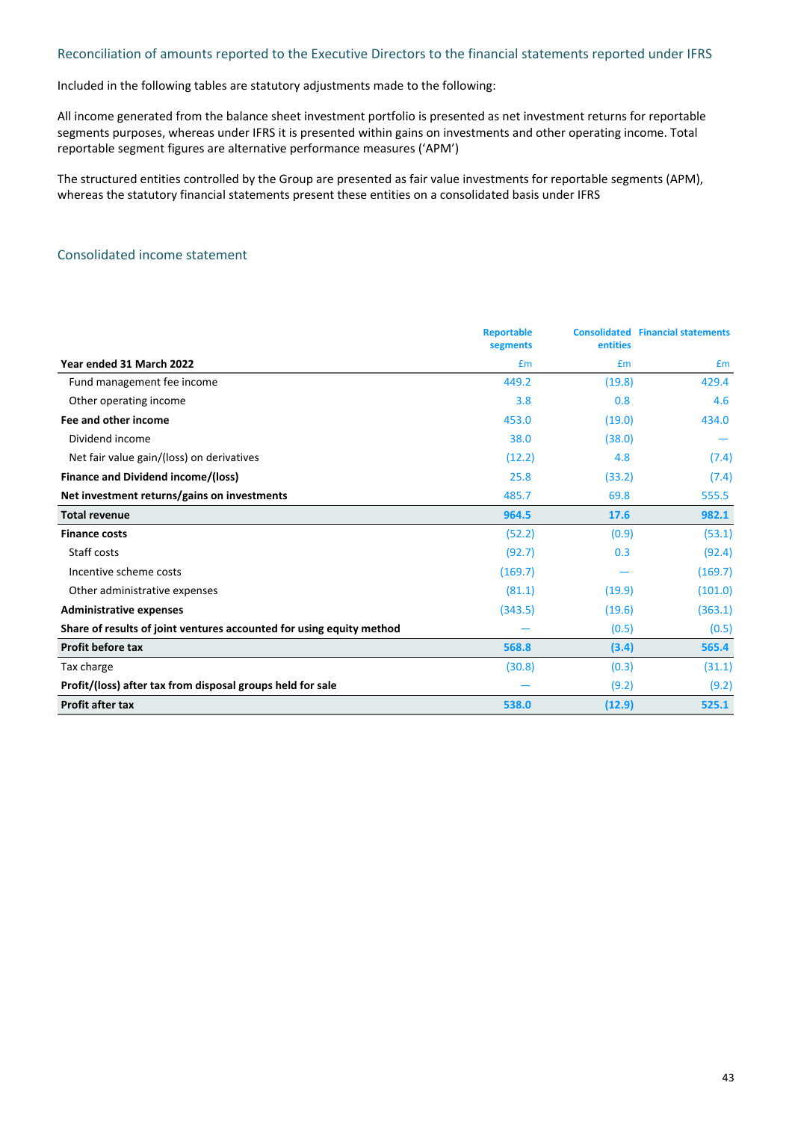# Reconciliation of amounts reported to the Executive Directors to the financial statements reported under IFRS

Included in the following tables are statutory adjustments made to the following:

All income generated from the balance sheet investment portfolio is presented as net investment returns for reportable segments purposes, whereas under IFRS it is presented within gains on investments and other operating income. Total reportable segment figures are alternative performance measures ('APM')

The structured entities controlled by the Group are presented as fair value investments for reportable segments (APM), whereas the statutory financial statements present these entities on a consolidated basis under IFRS

# Consolidated income statement

|                                                                      | <b>Reportable</b><br>segments | entities | <b>Consolidated Financial statements</b> |
|----------------------------------------------------------------------|-------------------------------|----------|------------------------------------------|
| Year ended 31 March 2022                                             | £m                            | Em       | £m                                       |
| Fund management fee income                                           | 449.2                         | (19.8)   | 429.4                                    |
| Other operating income                                               | 3.8                           | 0.8      | 4.6                                      |
| Fee and other income                                                 | 453.0                         | (19.0)   | 434.0                                    |
| Dividend income                                                      | 38.0                          | (38.0)   |                                          |
| Net fair value gain/(loss) on derivatives                            | (12.2)                        | 4.8      | (7.4)                                    |
| <b>Finance and Dividend income/(loss)</b>                            | 25.8                          | (33.2)   | (7.4)                                    |
| Net investment returns/gains on investments                          | 485.7                         | 69.8     | 555.5                                    |
| <b>Total revenue</b>                                                 | 964.5                         | 17.6     | 982.1                                    |
| <b>Finance costs</b>                                                 | (52.2)                        | (0.9)    | (53.1)                                   |
| Staff costs                                                          | (92.7)                        | 0.3      | (92.4)                                   |
| Incentive scheme costs                                               | (169.7)                       |          | (169.7)                                  |
| Other administrative expenses                                        | (81.1)                        | (19.9)   | (101.0)                                  |
| <b>Administrative expenses</b>                                       | (343.5)                       | (19.6)   | (363.1)                                  |
| Share of results of joint ventures accounted for using equity method |                               | (0.5)    | (0.5)                                    |
| Profit before tax                                                    | 568.8                         | (3.4)    | 565.4                                    |
| Tax charge                                                           | (30.8)                        | (0.3)    | (31.1)                                   |
| Profit/(loss) after tax from disposal groups held for sale           |                               | (9.2)    | (9.2)                                    |
| <b>Profit after tax</b>                                              | 538.0                         | (12.9)   | 525.1                                    |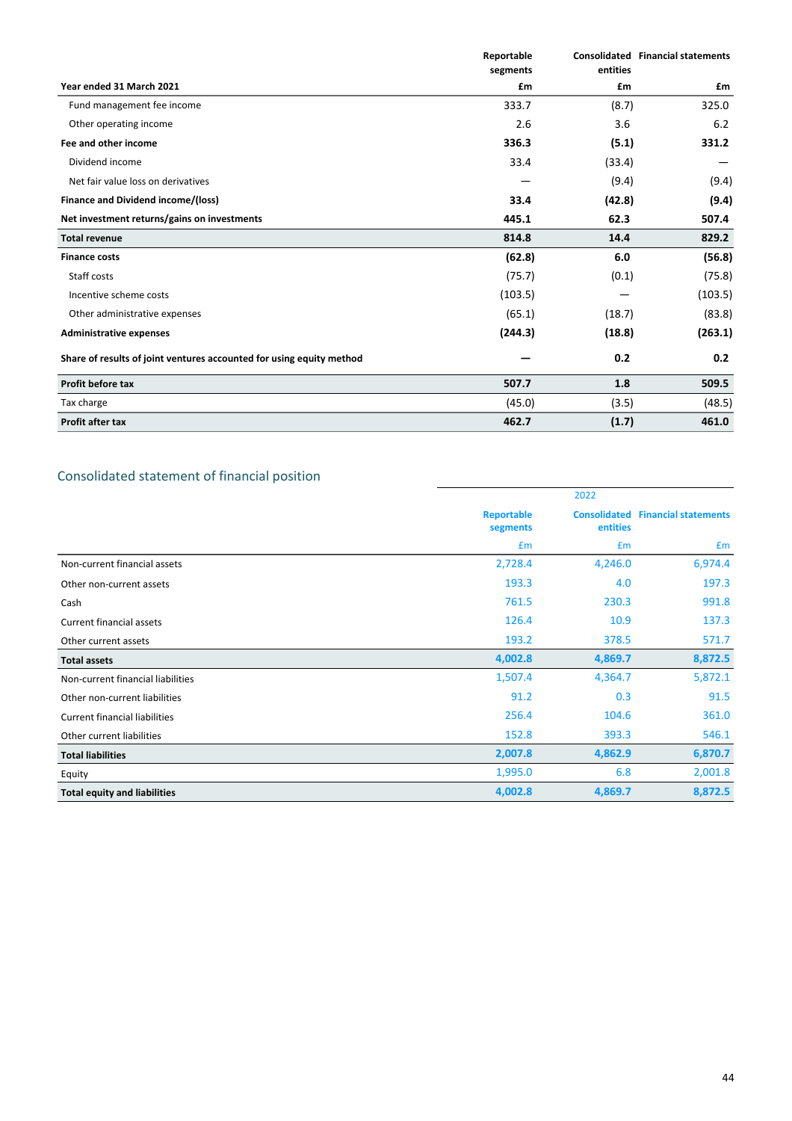|                                                                      | Reportable<br>segments | entities | <b>Consolidated Financial statements</b> |
|----------------------------------------------------------------------|------------------------|----------|------------------------------------------|
| Year ended 31 March 2021                                             | £m                     | £m       | £m                                       |
| Fund management fee income                                           | 333.7                  | (8.7)    | 325.0                                    |
| Other operating income                                               | 2.6                    | 3.6      | 6.2                                      |
| Fee and other income                                                 | 336.3                  | (5.1)    | 331.2                                    |
| Dividend income                                                      | 33.4                   | (33.4)   |                                          |
| Net fair value loss on derivatives                                   |                        | (9.4)    | (9.4)                                    |
| Finance and Dividend income/(loss)                                   | 33.4                   | (42.8)   | (9.4)                                    |
| Net investment returns/gains on investments                          | 445.1                  | 62.3     | 507.4                                    |
| <b>Total revenue</b>                                                 | 814.8                  | 14.4     | 829.2                                    |
| <b>Finance costs</b>                                                 | (62.8)                 | 6.0      | (56.8)                                   |
| Staff costs                                                          | (75.7)                 | (0.1)    | (75.8)                                   |
| Incentive scheme costs                                               | (103.5)                |          | (103.5)                                  |
| Other administrative expenses                                        | (65.1)                 | (18.7)   | (83.8)                                   |
| <b>Administrative expenses</b>                                       | (244.3)                | (18.8)   | (263.1)                                  |
| Share of results of joint ventures accounted for using equity method |                        | 0.2      | 0.2                                      |
| Profit before tax                                                    | 507.7                  | 1.8      | 509.5                                    |
| Tax charge                                                           | (45.0)                 | (3.5)    | (48.5)                                   |
| Profit after tax                                                     | 462.7                  | (1.7)    | 461.0                                    |

# Consolidated statement of financial position

|                                      | 2022                          |          |                                          |  |
|--------------------------------------|-------------------------------|----------|------------------------------------------|--|
|                                      | <b>Reportable</b><br>segments | entities | <b>Consolidated Financial statements</b> |  |
|                                      | £m                            | £m       | Em                                       |  |
| Non-current financial assets         | 2,728.4                       | 4,246.0  | 6,974.4                                  |  |
| Other non-current assets             | 193.3                         | 4.0      | 197.3                                    |  |
| Cash                                 | 761.5                         | 230.3    | 991.8                                    |  |
| Current financial assets             | 126.4                         | 10.9     | 137.3                                    |  |
| Other current assets                 | 193.2                         | 378.5    | 571.7                                    |  |
| <b>Total assets</b>                  | 4,002.8                       | 4,869.7  | 8,872.5                                  |  |
| Non-current financial liabilities    | 1,507.4                       | 4,364.7  | 5,872.1                                  |  |
| Other non-current liabilities        | 91.2                          | 0.3      | 91.5                                     |  |
| <b>Current financial liabilities</b> | 256.4                         | 104.6    | 361.0                                    |  |
| Other current liabilities            | 152.8                         | 393.3    | 546.1                                    |  |
| <b>Total liabilities</b>             | 2,007.8                       | 4,862.9  | 6,870.7                                  |  |
| Equity                               | 1,995.0                       | 6.8      | 2,001.8                                  |  |
| <b>Total equity and liabilities</b>  | 4,002.8                       | 4,869.7  | 8,872.5                                  |  |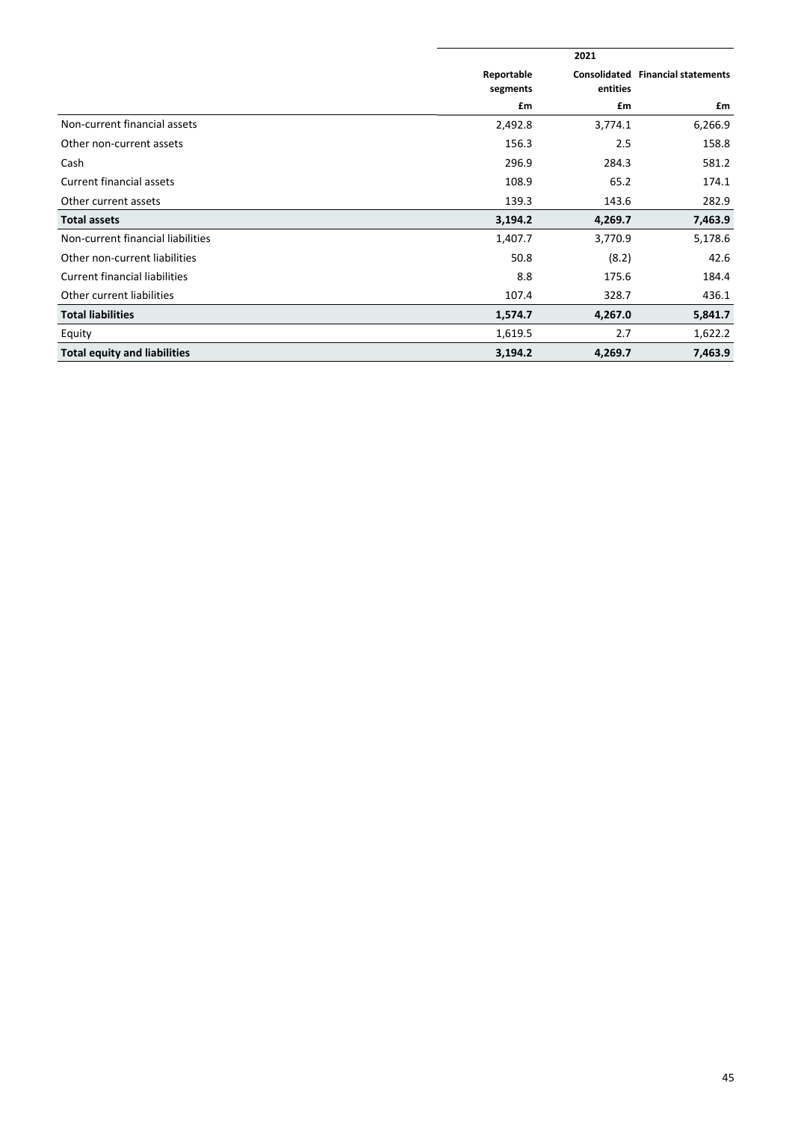|                                      |                        | 2021                     |                             |  |  |
|--------------------------------------|------------------------|--------------------------|-----------------------------|--|--|
|                                      | Reportable<br>segments | Consolidated<br>entities | <b>Financial statements</b> |  |  |
|                                      | £m                     | £m                       | £m                          |  |  |
| Non-current financial assets         | 2,492.8                | 3,774.1                  | 6,266.9                     |  |  |
| Other non-current assets             | 156.3                  | 2.5                      | 158.8                       |  |  |
| Cash                                 | 296.9                  | 284.3                    | 581.2                       |  |  |
| Current financial assets             | 108.9                  | 65.2                     | 174.1                       |  |  |
| Other current assets                 | 139.3                  | 143.6                    | 282.9                       |  |  |
| <b>Total assets</b>                  | 3,194.2                | 4,269.7                  | 7,463.9                     |  |  |
| Non-current financial liabilities    | 1,407.7                | 3,770.9                  | 5,178.6                     |  |  |
| Other non-current liabilities        | 50.8                   | (8.2)                    | 42.6                        |  |  |
| <b>Current financial liabilities</b> | 8.8                    | 175.6                    | 184.4                       |  |  |
| Other current liabilities            | 107.4                  | 328.7                    | 436.1                       |  |  |
| <b>Total liabilities</b>             | 1,574.7                | 4,267.0                  | 5,841.7                     |  |  |
| Equity                               | 1,619.5                | 2.7                      | 1,622.2                     |  |  |
| <b>Total equity and liabilities</b>  | 3,194.2                | 4,269.7                  | 7,463.9                     |  |  |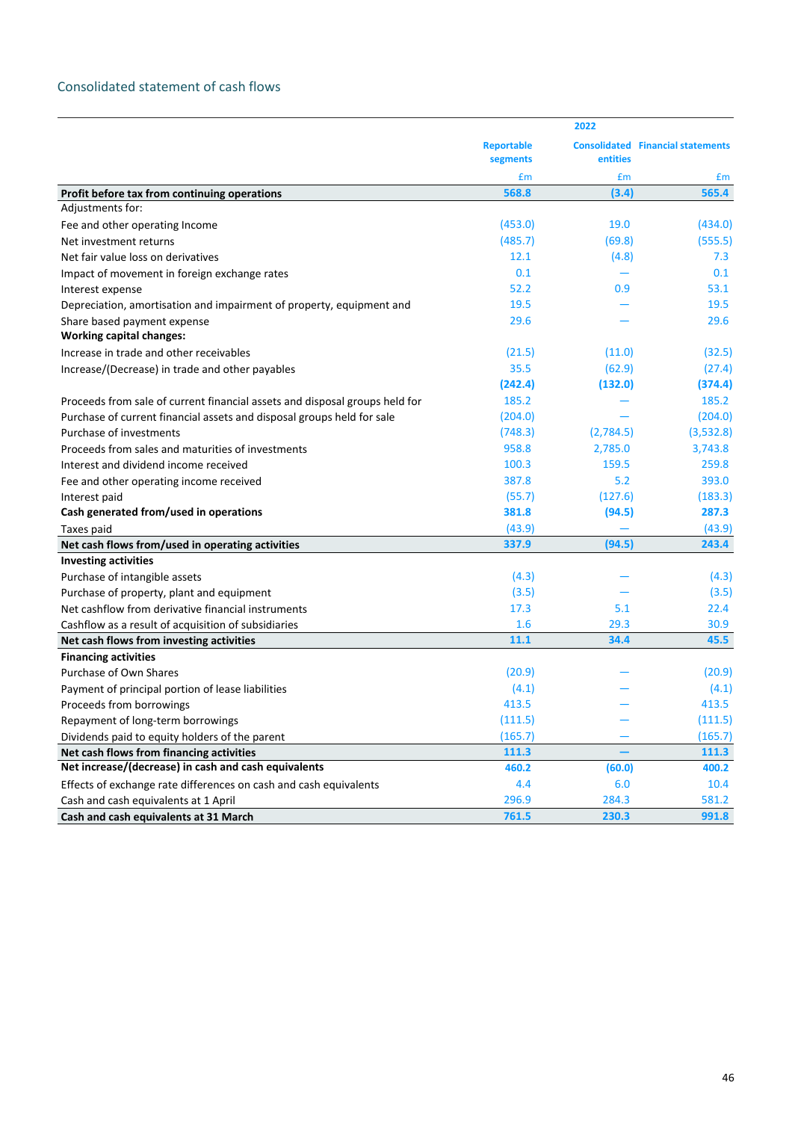# Consolidated statement of cash flows

|                                                                             |                               | 2022      |                                          |  |
|-----------------------------------------------------------------------------|-------------------------------|-----------|------------------------------------------|--|
|                                                                             | <b>Reportable</b><br>segments | entities  | <b>Consolidated Financial statements</b> |  |
|                                                                             | £m                            | £m        | £m                                       |  |
| Profit before tax from continuing operations                                | 568.8                         | (3.4)     | 565.4                                    |  |
| Adjustments for:                                                            |                               |           |                                          |  |
| Fee and other operating Income                                              | (453.0)                       | 19.0      | (434.0)                                  |  |
| Net investment returns                                                      | (485.7)                       | (69.8)    | (555.5)                                  |  |
| Net fair value loss on derivatives                                          | 12.1                          | (4.8)     | 7.3                                      |  |
| Impact of movement in foreign exchange rates                                | 0.1                           |           | 0.1                                      |  |
| Interest expense                                                            | 52.2                          | 0.9       | 53.1                                     |  |
| Depreciation, amortisation and impairment of property, equipment and        | 19.5                          |           | 19.5                                     |  |
| Share based payment expense<br><b>Working capital changes:</b>              | 29.6                          |           | 29.6                                     |  |
| Increase in trade and other receivables                                     | (21.5)                        | (11.0)    | (32.5)                                   |  |
| Increase/(Decrease) in trade and other payables                             | 35.5                          | (62.9)    | (27.4)                                   |  |
|                                                                             | (242.4)                       | (132.0)   | (374.4)                                  |  |
| Proceeds from sale of current financial assets and disposal groups held for | 185.2                         |           | 185.2                                    |  |
| Purchase of current financial assets and disposal groups held for sale      | (204.0)                       |           | (204.0)                                  |  |
| Purchase of investments                                                     | (748.3)                       | (2,784.5) | (3,532.8)                                |  |
| Proceeds from sales and maturities of investments                           | 958.8                         | 2,785.0   | 3,743.8                                  |  |
| Interest and dividend income received                                       | 100.3                         | 159.5     | 259.8                                    |  |
| Fee and other operating income received                                     | 387.8                         | 5.2       | 393.0                                    |  |
| Interest paid                                                               | (55.7)                        | (127.6)   | (183.3)                                  |  |
| Cash generated from/used in operations                                      | 381.8                         | (94.5)    | 287.3                                    |  |
| Taxes paid                                                                  | (43.9)                        |           | (43.9)                                   |  |
| Net cash flows from/used in operating activities                            | 337.9                         | (94.5)    | 243.4                                    |  |
| <b>Investing activities</b>                                                 |                               |           |                                          |  |
| Purchase of intangible assets                                               | (4.3)                         |           | (4.3)                                    |  |
| Purchase of property, plant and equipment                                   | (3.5)                         |           | (3.5)                                    |  |
| Net cashflow from derivative financial instruments                          | 17.3                          | 5.1       | 22.4                                     |  |
| Cashflow as a result of acquisition of subsidiaries                         | 1.6                           | 29.3      | 30.9                                     |  |
| Net cash flows from investing activities                                    | 11.1                          | 34.4      | 45.5                                     |  |
| <b>Financing activities</b>                                                 |                               |           |                                          |  |
| Purchase of Own Shares                                                      | (20.9)                        |           | (20.9)                                   |  |
| Payment of principal portion of lease liabilities                           | (4.1)                         |           | (4.1)                                    |  |
| Proceeds from borrowings                                                    | 413.5                         |           | 413.5                                    |  |
| Repayment of long-term borrowings                                           | (111.5)                       |           | (111.5)                                  |  |
| Dividends paid to equity holders of the parent                              | (165.7)                       |           | (165.7)                                  |  |
| Net cash flows from financing activities                                    | 111.3                         |           | 111.3                                    |  |
| Net increase/(decrease) in cash and cash equivalents                        | 460.2                         | (60.0)    | 400.2                                    |  |
| Effects of exchange rate differences on cash and cash equivalents           | 4.4                           | 6.0       | 10.4                                     |  |
| Cash and cash equivalents at 1 April                                        | 296.9                         | 284.3     | 581.2                                    |  |
| Cash and cash equivalents at 31 March                                       | 761.5                         | 230.3     | 991.8                                    |  |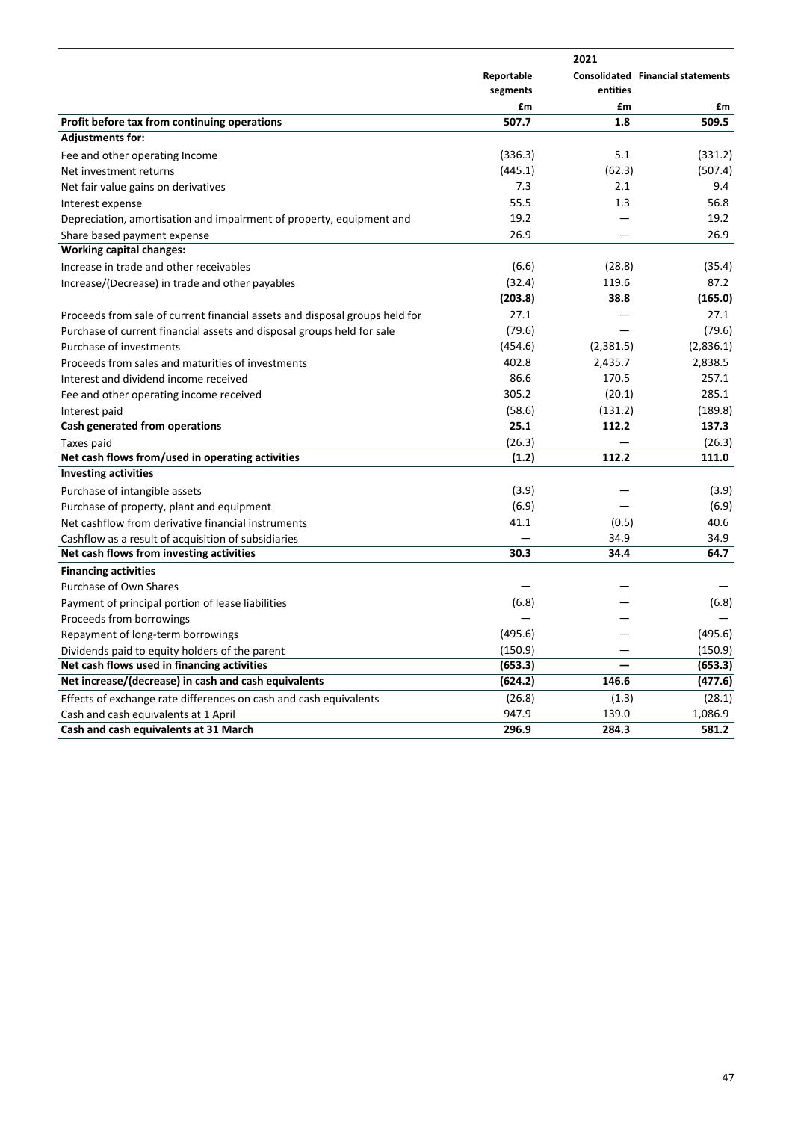|                                                                             | Reportable<br>segments | entities  | <b>Consolidated Financial statements</b> |
|-----------------------------------------------------------------------------|------------------------|-----------|------------------------------------------|
|                                                                             | £m                     | £m        | £m                                       |
| Profit before tax from continuing operations                                | 507.7                  | 1.8       | 509.5                                    |
| <b>Adjustments for:</b>                                                     |                        |           |                                          |
| Fee and other operating Income                                              | (336.3)                | 5.1       | (331.2)                                  |
| Net investment returns                                                      | (445.1)                | (62.3)    | (507.4)                                  |
| Net fair value gains on derivatives                                         | 7.3                    | 2.1       | 9.4                                      |
| Interest expense                                                            | 55.5                   | 1.3       | 56.8                                     |
| Depreciation, amortisation and impairment of property, equipment and        | 19.2                   |           | 19.2                                     |
| Share based payment expense                                                 | 26.9                   |           | 26.9                                     |
| <b>Working capital changes:</b>                                             |                        |           |                                          |
| Increase in trade and other receivables                                     | (6.6)                  | (28.8)    | (35.4)                                   |
| Increase/(Decrease) in trade and other payables                             | (32.4)                 | 119.6     | 87.2                                     |
|                                                                             | (203.8)                | 38.8      | (165.0)                                  |
| Proceeds from sale of current financial assets and disposal groups held for | 27.1                   |           | 27.1                                     |
| Purchase of current financial assets and disposal groups held for sale      | (79.6)                 |           | (79.6)                                   |
| Purchase of investments                                                     | (454.6)                | (2,381.5) | (2,836.1)                                |
| Proceeds from sales and maturities of investments                           | 402.8                  | 2,435.7   | 2,838.5                                  |
| Interest and dividend income received                                       | 86.6                   | 170.5     | 257.1                                    |
| Fee and other operating income received                                     | 305.2                  | (20.1)    | 285.1                                    |
| Interest paid                                                               | (58.6)                 | (131.2)   | (189.8)                                  |
| Cash generated from operations                                              | 25.1                   | 112.2     | 137.3                                    |
| Taxes paid                                                                  | (26.3)                 |           | (26.3)                                   |
| Net cash flows from/used in operating activities                            | (1.2)                  | 112.2     | 111.0                                    |
| <b>Investing activities</b>                                                 |                        |           |                                          |
| Purchase of intangible assets                                               | (3.9)                  |           | (3.9)                                    |
| Purchase of property, plant and equipment                                   | (6.9)                  |           | (6.9)                                    |
| Net cashflow from derivative financial instruments                          | 41.1                   | (0.5)     | 40.6                                     |
| Cashflow as a result of acquisition of subsidiaries                         |                        | 34.9      | 34.9                                     |
| Net cash flows from investing activities                                    | 30.3                   | 34.4      | 64.7                                     |
| <b>Financing activities</b>                                                 |                        |           |                                          |
| Purchase of Own Shares                                                      |                        |           |                                          |
| Payment of principal portion of lease liabilities                           | (6.8)                  |           | (6.8)                                    |
| Proceeds from borrowings                                                    |                        |           |                                          |
| Repayment of long-term borrowings                                           | (495.6)                |           | (495.6)                                  |
| Dividends paid to equity holders of the parent                              | (150.9)                |           | (150.9)                                  |
| Net cash flows used in financing activities                                 | (653.3)                |           | (653.3)                                  |
| Net increase/(decrease) in cash and cash equivalents                        | (624.2)                | 146.6     | (477.6)                                  |
| Effects of exchange rate differences on cash and cash equivalents           | (26.8)                 | (1.3)     | (28.1)                                   |
| Cash and cash equivalents at 1 April                                        | 947.9                  | 139.0     | 1,086.9                                  |
| Cash and cash equivalents at 31 March                                       | 296.9                  | 284.3     | 581.2                                    |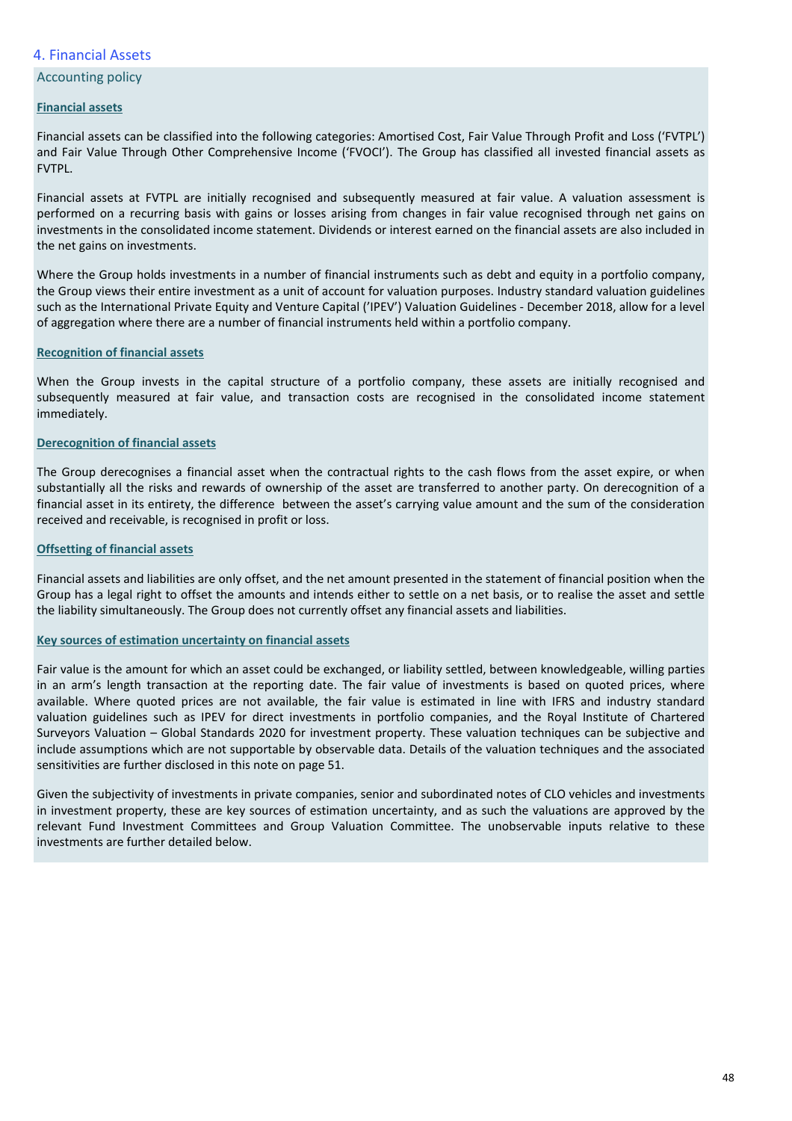# 4. Financial Assets

# **Accounting policy**

## **Financial assets**

Financial assets can be classified into the following categories: Amortised Cost, Fair Value Through Profit and Loss ('FVTPL') and Fair Value Through Other Comprehensive Income ('FVOCI'). The Group has classified all invested financial assets as FVTPL.

Financial assets at FVTPL are initially recognised and subsequently measured at fair value. A valuation assessment is performed on a recurring basis with gains or losses arising from changes in fair value recognised through net gains on investments in the consolidated income statement. Dividends or interest earned on the financial assets are also included in the net gains on investments.

Where the Group holds investments in a number of financial instruments such as debt and equity in a portfolio company, the Group views their entire investment as a unit of account for valuation purposes. Industry standard valuation guidelines such as the International Private Equity and Venture Capital ('IPEV') Valuation Guidelines - December 2018, allow for a level of aggregation where there are a number of financial instruments held within a portfolio company.

## **Recognition of financial assets**

When the Group invests in the capital structure of a portfolio company, these assets are initially recognised and subsequently measured at fair value, and transaction costs are recognised in the consolidated income statement immediately. 

# **Derecognition of financial assets**

The Group derecognises a financial asset when the contractual rights to the cash flows from the asset expire, or when substantially all the risks and rewards of ownership of the asset are transferred to another party. On derecognition of a financial asset in its entirety, the difference between the asset's carrying value amount and the sum of the consideration received and receivable, is recognised in profit or loss.

### **Offsetting of financial assets**

Financial assets and liabilities are only offset, and the net amount presented in the statement of financial position when the Group has a legal right to offset the amounts and intends either to settle on a net basis, or to realise the asset and settle the liability simultaneously. The Group does not currently offset any financial assets and liabilities.

## **Key sources of estimation uncertainty on financial assets**

Fair value is the amount for which an asset could be exchanged, or liability settled, between knowledgeable, willing parties in an arm's length transaction at the reporting date. The fair value of investments is based on quoted prices, where available. Where quoted prices are not available, the fair value is estimated in line with IFRS and industry standard valuation guidelines such as IPEV for direct investments in portfolio companies, and the Royal Institute of Chartered Surveyors Valuation – Global Standards 2020 for investment property. These valuation techniques can be subjective and include assumptions which are not supportable by observable data. Details of the valuation techniques and the associated sensitivities are further disclosed in this note on page 51.

Given the subjectivity of investments in private companies, senior and subordinated notes of CLO vehicles and investments in investment property, these are key sources of estimation uncertainty, and as such the valuations are approved by the relevant Fund Investment Committees and Group Valuation Committee. The unobservable inputs relative to these investments are further detailed below.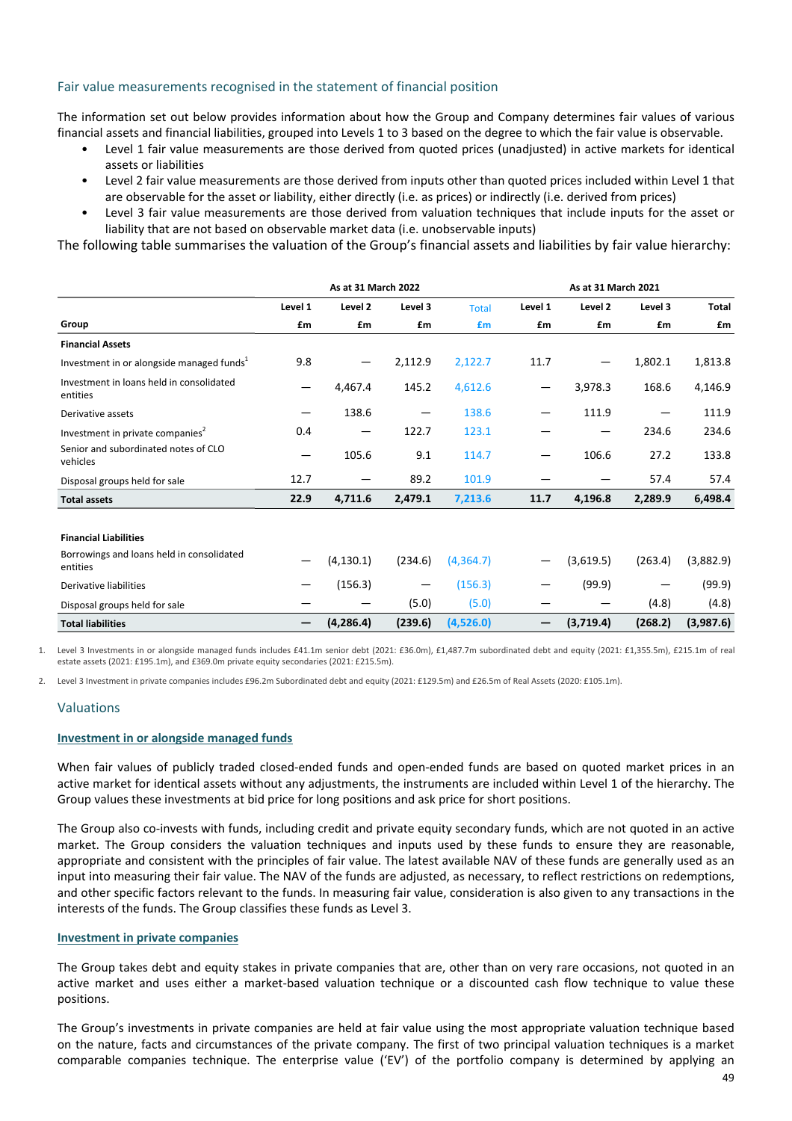# Fair value measurements recognised in the statement of financial position

The information set out below provides information about how the Group and Company determines fair values of various financial assets and financial liabilities, grouped into Levels 1 to 3 based on the degree to which the fair value is observable.

- Level 1 fair value measurements are those derived from quoted prices (unadjusted) in active markets for identical assets or liabilities
- Level 2 fair value measurements are those derived from inputs other than quoted prices included within Level 1 that are observable for the asset or liability, either directly (i.e. as prices) or indirectly (i.e. derived from prices)
- Level 3 fair value measurements are those derived from valuation techniques that include inputs for the asset or liability that are not based on observable market data (i.e. unobservable inputs)

The following table summarises the valuation of the Group's financial assets and liabilities by fair value hierarchy:

|                                                       |         | As at 31 March 2022 |         |              | As at 31 March 2021 |           |         |              |
|-------------------------------------------------------|---------|---------------------|---------|--------------|---------------------|-----------|---------|--------------|
|                                                       | Level 1 | Level 2             | Level 3 | <b>Total</b> | Level 1             | Level 2   | Level 3 | <b>Total</b> |
| Group                                                 | £m      | £m                  | £m      | £m           | £m                  | £m        | £m      | £m           |
| <b>Financial Assets</b>                               |         |                     |         |              |                     |           |         |              |
| Investment in or alongside managed funds <sup>1</sup> | 9.8     |                     | 2,112.9 | 2,122.7      | 11.7                | —         | 1,802.1 | 1,813.8      |
| Investment in loans held in consolidated<br>entities  | —       | 4,467.4             | 145.2   | 4,612.6      | —                   | 3,978.3   | 168.6   | 4,146.9      |
| Derivative assets                                     | —       | 138.6               |         | 138.6        | -                   | 111.9     |         | 111.9        |
| Investment in private companies <sup>2</sup>          | 0.4     | —                   | 122.7   | 123.1        |                     | —         | 234.6   | 234.6        |
| Senior and subordinated notes of CLO<br>vehicles      | —       | 105.6               | 9.1     | 114.7        | -                   | 106.6     | 27.2    | 133.8        |
| Disposal groups held for sale                         | 12.7    |                     | 89.2    | 101.9        |                     |           | 57.4    | 57.4         |
| <b>Total assets</b>                                   | 22.9    | 4,711.6             | 2,479.1 | 7,213.6      | 11.7                | 4,196.8   | 2,289.9 | 6,498.4      |
|                                                       |         |                     |         |              |                     |           |         |              |
| <b>Financial Liabilities</b>                          |         |                     |         |              |                     |           |         |              |
| Borrowings and loans held in consolidated<br>entities |         | (4, 130.1)          | (234.6) | (4,364.7)    |                     | (3,619.5) | (263.4) | (3,882.9)    |
| Derivative liabilities                                |         | (156.3)             | —       | (156.3)      |                     | (99.9)    |         | (99.9)       |
| Disposal groups held for sale                         |         |                     | (5.0)   | (5.0)        |                     |           | (4.8)   | (4.8)        |
| <b>Total liabilities</b>                              |         | (4, 286.4)          | (239.6) | (4,526.0)    |                     | (3,719.4) | (268.2) | (3,987.6)    |

Level 3 Investments in or alongside managed funds includes £41.1m senior debt (2021: £36.0m), £1,487.7m subordinated debt and equity (2021: £1,355.5m), £215.1m of real estate assets (2021: £195.1m), and £369.0m private equity secondaries (2021: £215.5m).

2. Level 3 Investment in private companies includes £96.2m Subordinated debt and equity (2021: £129.5m) and £26.5m of Real Assets (2020: £105.1m).

## Valuations

#### **Investment in or alongside managed funds**

When fair values of publicly traded closed-ended funds and open-ended funds are based on quoted market prices in an active market for identical assets without any adjustments, the instruments are included within Level 1 of the hierarchy. The Group values these investments at bid price for long positions and ask price for short positions.

The Group also co-invests with funds, including credit and private equity secondary funds, which are not quoted in an active market. The Group considers the valuation techniques and inputs used by these funds to ensure they are reasonable, appropriate and consistent with the principles of fair value. The latest available NAV of these funds are generally used as an input into measuring their fair value. The NAV of the funds are adjusted, as necessary, to reflect restrictions on redemptions, and other specific factors relevant to the funds. In measuring fair value, consideration is also given to any transactions in the interests of the funds. The Group classifies these funds as Level 3.

### **Investment in private companies**

The Group takes debt and equity stakes in private companies that are, other than on very rare occasions, not quoted in an active market and uses either a market-based valuation technique or a discounted cash flow technique to value these positions. 

The Group's investments in private companies are held at fair value using the most appropriate valuation technique based on the nature, facts and circumstances of the private company. The first of two principal valuation techniques is a market comparable companies technique. The enterprise value ('EV') of the portfolio company is determined by applying an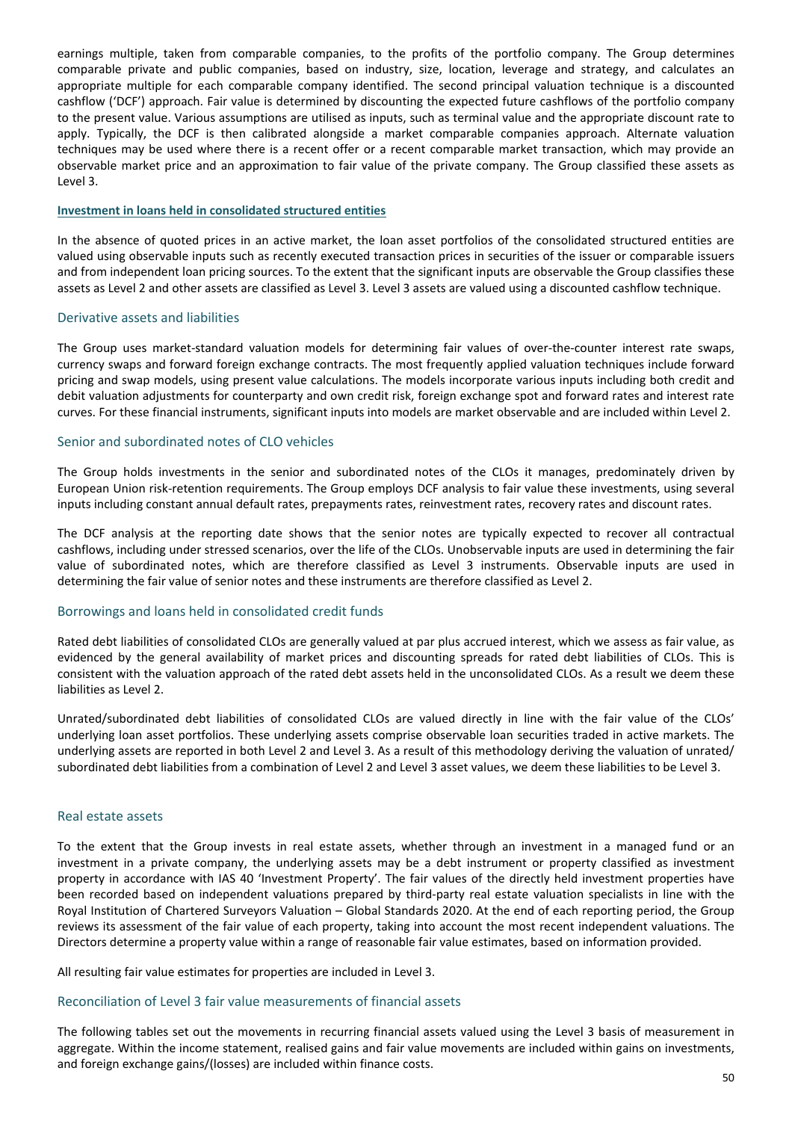earnings multiple, taken from comparable companies, to the profits of the portfolio company. The Group determines comparable private and public companies, based on industry, size, location, leverage and strategy, and calculates an appropriate multiple for each comparable company identified. The second principal valuation technique is a discounted cashflow ('DCF') approach. Fair value is determined by discounting the expected future cashflows of the portfolio company to the present value. Various assumptions are utilised as inputs, such as terminal value and the appropriate discount rate to apply. Typically, the DCF is then calibrated alongside a market comparable companies approach. Alternate valuation techniques may be used where there is a recent offer or a recent comparable market transaction, which may provide an observable market price and an approximation to fair value of the private company. The Group classified these assets as Level 3.

### **Investment in loans held in consolidated structured entities**

In the absence of quoted prices in an active market, the loan asset portfolios of the consolidated structured entities are valued using observable inputs such as recently executed transaction prices in securities of the issuer or comparable issuers and from independent loan pricing sources. To the extent that the significant inputs are observable the Group classifies these assets as Level 2 and other assets are classified as Level 3. Level 3 assets are valued using a discounted cashflow technique.

## Derivative assets and liabilities

The Group uses market-standard valuation models for determining fair values of over-the-counter interest rate swaps, currency swaps and forward foreign exchange contracts. The most frequently applied valuation techniques include forward pricing and swap models, using present value calculations. The models incorporate various inputs including both credit and debit valuation adjustments for counterparty and own credit risk, foreign exchange spot and forward rates and interest rate curves. For these financial instruments, significant inputs into models are market observable and are included within Level 2.

## Senior and subordinated notes of CLO vehicles

The Group holds investments in the senior and subordinated notes of the CLOs it manages, predominately driven by European Union risk-retention requirements. The Group employs DCF analysis to fair value these investments, using several inputs including constant annual default rates, prepayments rates, reinvestment rates, recovery rates and discount rates.

The DCF analysis at the reporting date shows that the senior notes are typically expected to recover all contractual cashflows, including under stressed scenarios, over the life of the CLOs. Unobservable inputs are used in determining the fair value of subordinated notes, which are therefore classified as Level 3 instruments. Observable inputs are used in determining the fair value of senior notes and these instruments are therefore classified as Level 2.

## Borrowings and loans held in consolidated credit funds

Rated debt liabilities of consolidated CLOs are generally valued at par plus accrued interest, which we assess as fair value, as evidenced by the general availability of market prices and discounting spreads for rated debt liabilities of CLOs. This is consistent with the valuation approach of the rated debt assets held in the unconsolidated CLOs. As a result we deem these liabilities as Level 2.

Unrated/subordinated debt liabilities of consolidated CLOs are valued directly in line with the fair value of the CLOs' underlying loan asset portfolios. These underlying assets comprise observable loan securities traded in active markets. The underlying assets are reported in both Level 2 and Level 3. As a result of this methodology deriving the valuation of unrated/ subordinated debt liabilities from a combination of Level 2 and Level 3 asset values, we deem these liabilities to be Level 3.

#### Real estate assets

To the extent that the Group invests in real estate assets, whether through an investment in a managed fund or an investment in a private company, the underlying assets may be a debt instrument or property classified as investment property in accordance with IAS 40 'Investment Property'. The fair values of the directly held investment properties have been recorded based on independent valuations prepared by third-party real estate valuation specialists in line with the Royal Institution of Chartered Surveyors Valuation - Global Standards 2020. At the end of each reporting period, the Group reviews its assessment of the fair value of each property, taking into account the most recent independent valuations. The Directors determine a property value within a range of reasonable fair value estimates, based on information provided.

All resulting fair value estimates for properties are included in Level 3.

### Reconciliation of Level 3 fair value measurements of financial assets

The following tables set out the movements in recurring financial assets valued using the Level 3 basis of measurement in aggregate. Within the income statement, realised gains and fair value movements are included within gains on investments, and foreign exchange gains/(losses) are included within finance costs.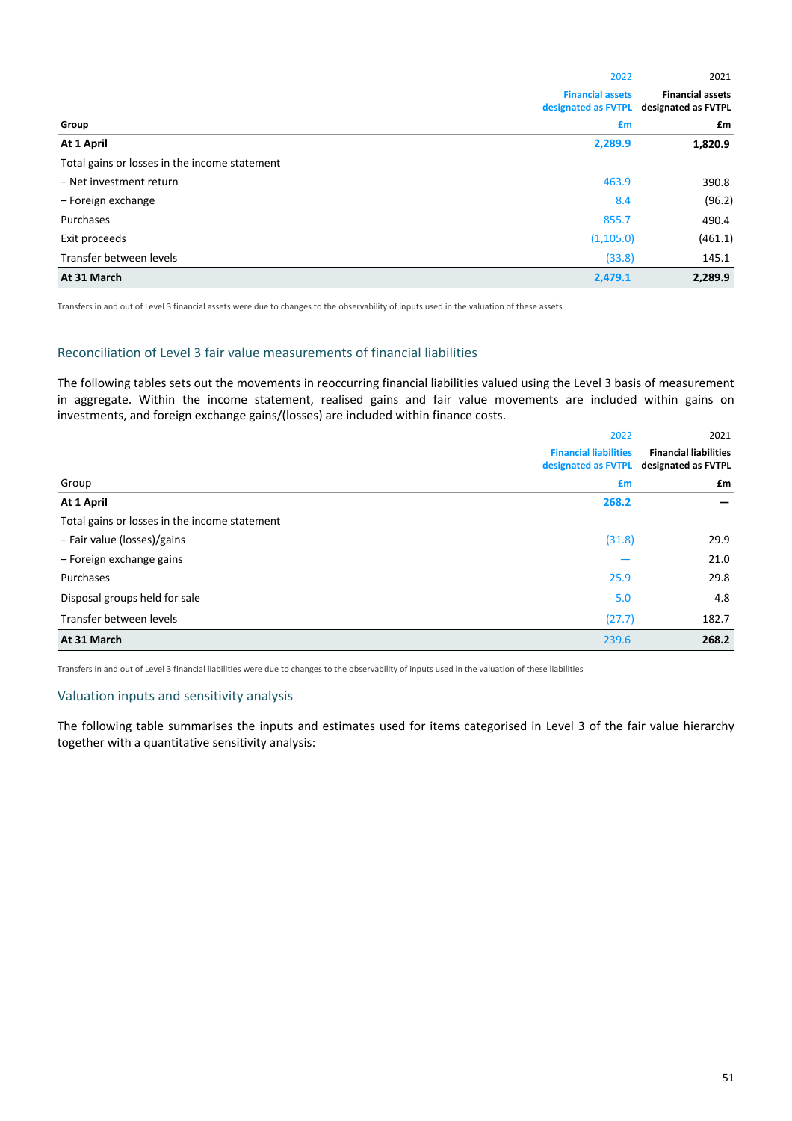|                                               | 2022                                           | 2021                                           |
|-----------------------------------------------|------------------------------------------------|------------------------------------------------|
|                                               | <b>Financial assets</b><br>designated as FVTPL | <b>Financial assets</b><br>designated as FVTPL |
| Group                                         | £m                                             | £m                                             |
| At 1 April                                    | 2,289.9                                        | 1,820.9                                        |
| Total gains or losses in the income statement |                                                |                                                |
| - Net investment return                       | 463.9                                          | 390.8                                          |
| - Foreign exchange                            | 8.4                                            | (96.2)                                         |
| Purchases                                     | 855.7                                          | 490.4                                          |
| Exit proceeds                                 | (1, 105.0)                                     | (461.1)                                        |
| Transfer between levels                       | (33.8)                                         | 145.1                                          |
| At 31 March                                   | 2,479.1                                        | 2,289.9                                        |

Transfers in and out of Level 3 financial assets were due to changes to the observability of inputs used in the valuation of these assets

### Reconciliation of Level 3 fair value measurements of financial liabilities

The following tables sets out the movements in reoccurring financial liabilities valued using the Level 3 basis of measurement in aggregate. Within the income statement, realised gains and fair value movements are included within gains on investments, and foreign exchange gains/(losses) are included within finance costs.

|                                               | 2022                                                | 2021                                                |
|-----------------------------------------------|-----------------------------------------------------|-----------------------------------------------------|
|                                               | <b>Financial liabilities</b><br>designated as FVTPL | <b>Financial liabilities</b><br>designated as FVTPL |
| Group                                         | £m                                                  | £m                                                  |
| At 1 April                                    | 268.2                                               |                                                     |
| Total gains or losses in the income statement |                                                     |                                                     |
| - Fair value (losses)/gains                   | (31.8)                                              | 29.9                                                |
| - Foreign exchange gains                      |                                                     | 21.0                                                |
| Purchases                                     | 25.9                                                | 29.8                                                |
| Disposal groups held for sale                 | 5.0                                                 | 4.8                                                 |
| Transfer between levels                       | (27.7)                                              | 182.7                                               |
| At 31 March                                   | 239.6                                               | 268.2                                               |

Transfers in and out of Level 3 financial liabilities were due to changes to the observability of inputs used in the valuation of these liabilities

# Valuation inputs and sensitivity analysis

The following table summarises the inputs and estimates used for items categorised in Level 3 of the fair value hierarchy together with a quantitative sensitivity analysis: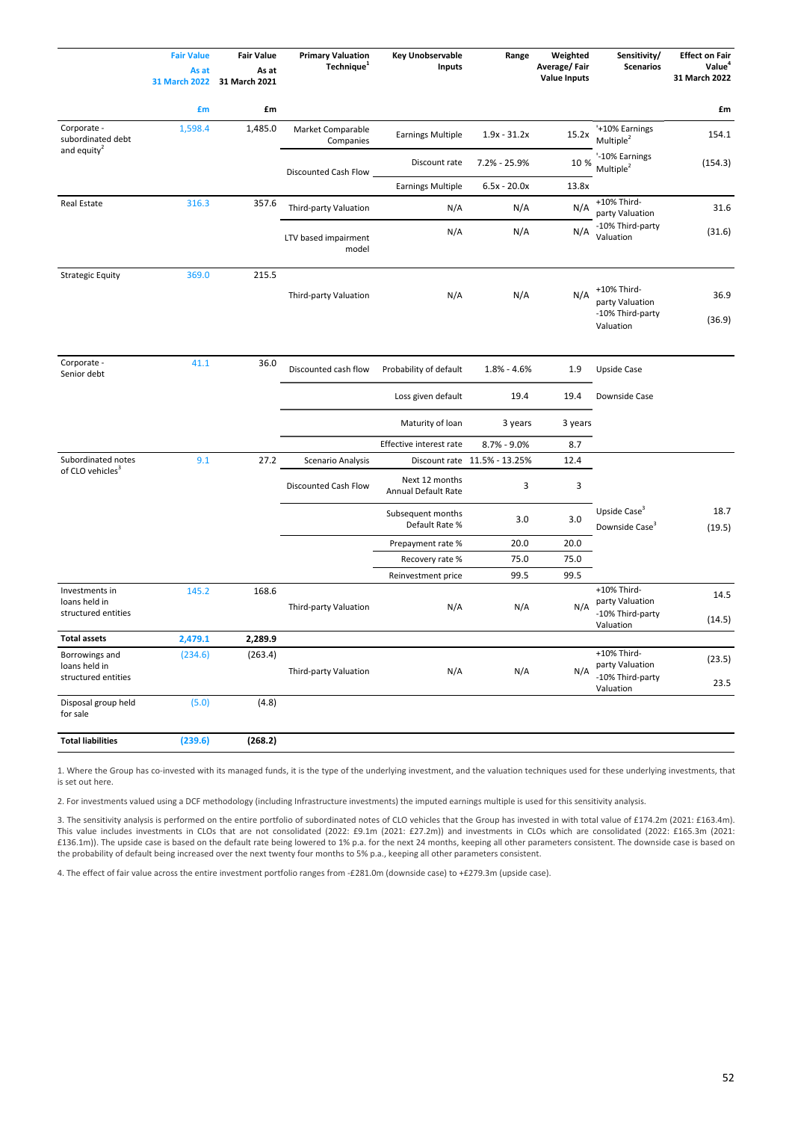|                                                        | <b>Fair Value</b><br>As at<br><b>31 March 2022</b> | <b>Fair Value</b><br>As at<br>31 March 2021 | <b>Primary Valuation</b><br>Technique <sup>1</sup> | <b>Key Unobservable</b><br><b>Inputs</b> | Range                        | Weighted<br>Average/Fair<br><b>Value Inputs</b> | Sensitivity/<br><b>Scenarios</b>                                | <b>Effect on Fair</b><br>Value <sup>4</sup><br>31 March 2022 |
|--------------------------------------------------------|----------------------------------------------------|---------------------------------------------|----------------------------------------------------|------------------------------------------|------------------------------|-------------------------------------------------|-----------------------------------------------------------------|--------------------------------------------------------------|
|                                                        | £m                                                 | £m                                          |                                                    |                                          |                              |                                                 |                                                                 | £m                                                           |
| Corporate -<br>subordinated debt                       | 1,598.4                                            | 1,485.0                                     | Market Comparable<br>Companies                     | <b>Earnings Multiple</b>                 | $1.9x - 31.2x$               | 15.2x                                           | '+10% Earnings<br>Multiple <sup>2</sup>                         | 154.1                                                        |
| and equity <sup>2</sup>                                |                                                    |                                             | Discounted Cash Flow                               | Discount rate                            | 7.2% - 25.9%                 | 10 %                                            | '-10% Earnings<br>Multiple <sup>2</sup>                         | (154.3)                                                      |
|                                                        |                                                    |                                             |                                                    | <b>Earnings Multiple</b>                 | $6.5x - 20.0x$               | 13.8x                                           |                                                                 |                                                              |
| <b>Real Estate</b>                                     | 316.3                                              | 357.6                                       | Third-party Valuation                              | N/A                                      | N/A                          | N/A                                             | +10% Third-<br>party Valuation                                  | 31.6                                                         |
|                                                        |                                                    |                                             | LTV based impairment<br>model                      | N/A                                      | N/A                          | N/A                                             | -10% Third-party<br>Valuation                                   | (31.6)                                                       |
| <b>Strategic Equity</b>                                | 369.0                                              | 215.5                                       |                                                    |                                          |                              |                                                 |                                                                 |                                                              |
|                                                        |                                                    |                                             | Third-party Valuation                              | N/A                                      | N/A                          | N/A                                             | +10% Third-<br>party Valuation<br>-10% Third-party<br>Valuation | 36.9<br>(36.9)                                               |
| Corporate -<br>Senior debt                             | 41.1                                               | 36.0                                        | Discounted cash flow                               | Probability of default                   | $1.8\% - 4.6\%$              | 1.9                                             | <b>Upside Case</b>                                              |                                                              |
|                                                        |                                                    |                                             |                                                    | Loss given default                       | 19.4                         | 19.4                                            | Downside Case                                                   |                                                              |
|                                                        |                                                    |                                             |                                                    | Maturity of loan                         | 3 years                      | 3 years                                         |                                                                 |                                                              |
|                                                        |                                                    |                                             |                                                    | Effective interest rate                  | $8.7% - 9.0%$                | 8.7                                             |                                                                 |                                                              |
| Subordinated notes                                     | 9.1                                                | 27.2                                        | Scenario Analysis                                  |                                          | Discount rate 11.5% - 13.25% | 12.4                                            |                                                                 |                                                              |
| of CLO vehicles <sup>3</sup>                           |                                                    |                                             | Discounted Cash Flow                               | Next 12 months<br>Annual Default Rate    | 3                            | 3                                               |                                                                 |                                                              |
|                                                        |                                                    |                                             |                                                    | Subsequent months<br>Default Rate %      | 3.0                          | 3.0                                             | Upside Case $3$<br>Downside Case <sup>3</sup>                   | 18.7<br>(19.5)                                               |
|                                                        |                                                    |                                             |                                                    | Prepayment rate %                        | 20.0                         | 20.0                                            |                                                                 |                                                              |
|                                                        |                                                    |                                             |                                                    | Recovery rate %                          | 75.0                         | 75.0                                            |                                                                 |                                                              |
|                                                        |                                                    |                                             |                                                    | Reinvestment price                       | 99.5                         | 99.5                                            |                                                                 |                                                              |
| Investments in<br>loans held in<br>structured entities | 145.2                                              | 168.6                                       | Third-party Valuation                              | N/A                                      | N/A                          | N/A                                             | +10% Third-<br>party Valuation<br>-10% Third-party<br>Valuation | 14.5<br>(14.5)                                               |
| <b>Total assets</b>                                    | 2,479.1                                            | 2,289.9                                     |                                                    |                                          |                              |                                                 |                                                                 |                                                              |
| Borrowings and<br>loans held in                        | (234.6)                                            | (263.4)                                     | Third-party Valuation                              | N/A                                      | N/A                          | N/A                                             | +10% Third-<br>party Valuation                                  | (23.5)                                                       |
| structured entities                                    |                                                    |                                             |                                                    |                                          |                              |                                                 | -10% Third-party<br>Valuation                                   | 23.5                                                         |
| Disposal group held<br>for sale                        | (5.0)                                              | (4.8)                                       |                                                    |                                          |                              |                                                 |                                                                 |                                                              |
| <b>Total liabilities</b>                               | (239.6)                                            | (268.2)                                     |                                                    |                                          |                              |                                                 |                                                                 |                                                              |

1. Where the Group has co-invested with its managed funds, it is the type of the underlying investment, and the valuation techniques used for these underlying investments, that is set out here.

2. For investments valued using a DCF methodology (including Infrastructure investments) the imputed earnings multiple is used for this sensitivity analysis.

3. The sensitivity analysis is performed on the entire portfolio of subordinated notes of CLO vehicles that the Group has invested in with total value of £174.2m (2021: £163.4m). This value includes investments in CLOs that are not consolidated (2022: £9.1m (2021: £27.2m)) and investments in CLOs which are consolidated (2022: £165.3m (2021: £136.1m)). The upside case is based on the default rate being lowered to 1% p.a. for the next 24 months, keeping all other parameters consistent. The downside case is based on the probability of default being increased over the next twenty four months to 5% p.a., keeping all other parameters consistent.

4. The effect of fair value across the entire investment portfolio ranges from -£281.0m (downside case) to +£279.3m (upside case).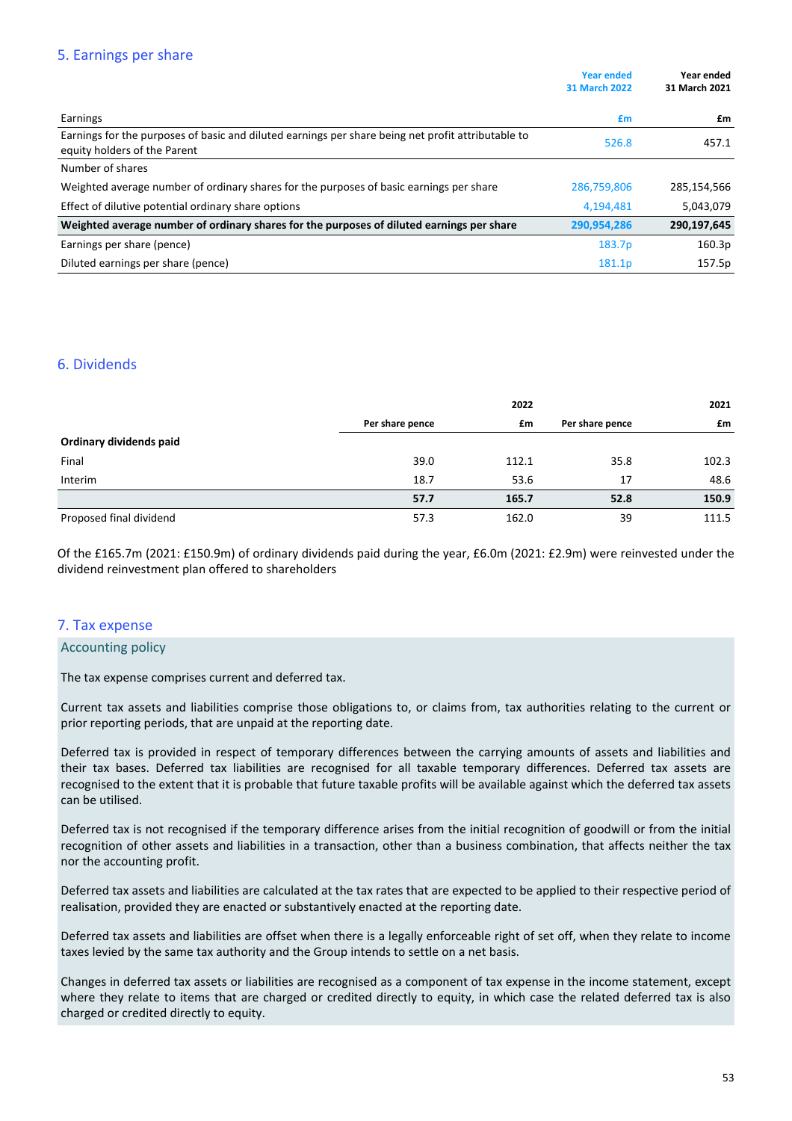# 5. Earnings per share

|                                                                                                                                    | <b>Year ended</b><br><b>31 March 2022</b> | Year ended<br>31 March 2021 |
|------------------------------------------------------------------------------------------------------------------------------------|-------------------------------------------|-----------------------------|
| Earnings                                                                                                                           | £m                                        | £m                          |
| Earnings for the purposes of basic and diluted earnings per share being net profit attributable to<br>equity holders of the Parent | 526.8                                     | 457.1                       |
| Number of shares                                                                                                                   |                                           |                             |
| Weighted average number of ordinary shares for the purposes of basic earnings per share                                            | 286,759,806                               | 285,154,566                 |
| Effect of dilutive potential ordinary share options                                                                                | 4,194,481                                 | 5,043,079                   |
| Weighted average number of ordinary shares for the purposes of diluted earnings per share                                          | 290,954,286                               | 290,197,645                 |
| Earnings per share (pence)                                                                                                         | 183.7p                                    | 160.3p                      |
| Diluted earnings per share (pence)                                                                                                 | 181.1p                                    | 157.5p                      |

# 6. Dividends

|                         |                 | 2022  |                 | 2021  |
|-------------------------|-----------------|-------|-----------------|-------|
|                         | Per share pence | £m    | Per share pence | £m    |
| Ordinary dividends paid |                 |       |                 |       |
| Final                   | 39.0            | 112.1 | 35.8            | 102.3 |
| Interim                 | 18.7            | 53.6  | 17              | 48.6  |
|                         | 57.7            | 165.7 | 52.8            | 150.9 |
| Proposed final dividend | 57.3            | 162.0 | 39              | 111.5 |

Of the £165.7m (2021: £150.9m) of ordinary dividends paid during the year, £6.0m (2021: £2.9m) were reinvested under the dividend reinvestment plan offered to shareholders

# 7. Tax expense

## **Accounting policy**

The tax expense comprises current and deferred tax.

Current tax assets and liabilities comprise those obligations to, or claims from, tax authorities relating to the current or prior reporting periods, that are unpaid at the reporting date.

Deferred tax is provided in respect of temporary differences between the carrying amounts of assets and liabilities and their tax bases. Deferred tax liabilities are recognised for all taxable temporary differences. Deferred tax assets are recognised to the extent that it is probable that future taxable profits will be available against which the deferred tax assets can be utilised.

Deferred tax is not recognised if the temporary difference arises from the initial recognition of goodwill or from the initial recognition of other assets and liabilities in a transaction, other than a business combination, that affects neither the tax nor the accounting profit.

Deferred tax assets and liabilities are calculated at the tax rates that are expected to be applied to their respective period of realisation, provided they are enacted or substantively enacted at the reporting date.

Deferred tax assets and liabilities are offset when there is a legally enforceable right of set off, when they relate to income taxes levied by the same tax authority and the Group intends to settle on a net basis.

Changes in deferred tax assets or liabilities are recognised as a component of tax expense in the income statement, except where they relate to items that are charged or credited directly to equity, in which case the related deferred tax is also charged or credited directly to equity.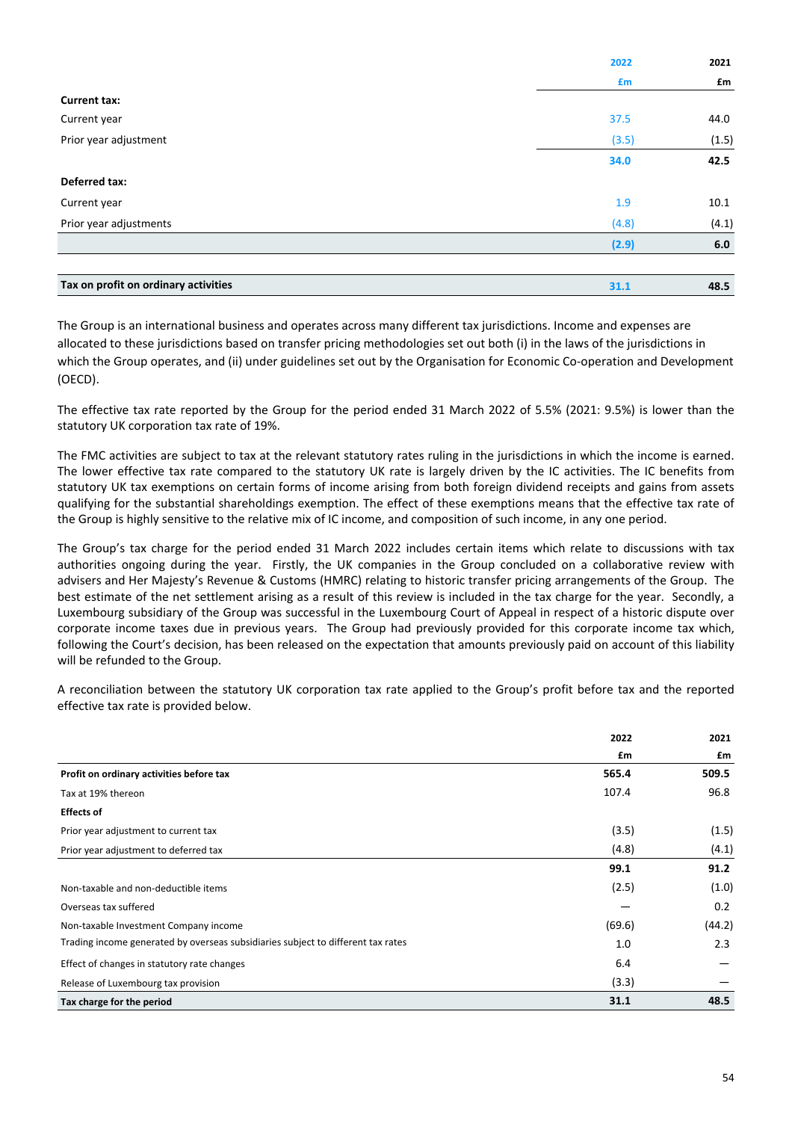|                                      | 2022  | 2021  |
|--------------------------------------|-------|-------|
|                                      | £m    | £m    |
| <b>Current tax:</b>                  |       |       |
| Current year                         | 37.5  | 44.0  |
| Prior year adjustment                | (3.5) | (1.5) |
|                                      | 34.0  | 42.5  |
| Deferred tax:                        |       |       |
| Current year                         | 1.9   | 10.1  |
| Prior year adjustments               | (4.8) | (4.1) |
|                                      | (2.9) | 6.0   |
|                                      |       |       |
| Tax on profit on ordinary activities | 31.1  | 48.5  |

The Group is an international business and operates across many different tax jurisdictions. Income and expenses are allocated to these jurisdictions based on transfer pricing methodologies set out both (i) in the laws of the jurisdictions in which the Group operates, and (ii) under guidelines set out by the Organisation for Economic Co-operation and Development (OECD).

The effective tax rate reported by the Group for the period ended 31 March 2022 of 5.5% (2021: 9.5%) is lower than the statutory UK corporation tax rate of 19%.

The FMC activities are subject to tax at the relevant statutory rates ruling in the jurisdictions in which the income is earned. The lower effective tax rate compared to the statutory UK rate is largely driven by the IC activities. The IC benefits from statutory UK tax exemptions on certain forms of income arising from both foreign dividend receipts and gains from assets qualifying for the substantial shareholdings exemption. The effect of these exemptions means that the effective tax rate of the Group is highly sensitive to the relative mix of IC income, and composition of such income, in any one period.

The Group's tax charge for the period ended 31 March 2022 includes certain items which relate to discussions with tax authorities ongoing during the year. Firstly, the UK companies in the Group concluded on a collaborative review with advisers and Her Majesty's Revenue & Customs (HMRC) relating to historic transfer pricing arrangements of the Group. The best estimate of the net settlement arising as a result of this review is included in the tax charge for the year. Secondly, a Luxembourg subsidiary of the Group was successful in the Luxembourg Court of Appeal in respect of a historic dispute over corporate income taxes due in previous years. The Group had previously provided for this corporate income tax which, following the Court's decision, has been released on the expectation that amounts previously paid on account of this liability will be refunded to the Group.

A reconciliation between the statutory UK corporation tax rate applied to the Group's profit before tax and the reported effective tax rate is provided below.

|                                                                                  | 2022   | 2021   |
|----------------------------------------------------------------------------------|--------|--------|
|                                                                                  | £m     | £m     |
| Profit on ordinary activities before tax                                         | 565.4  | 509.5  |
| Tax at 19% thereon                                                               | 107.4  | 96.8   |
| <b>Effects of</b>                                                                |        |        |
| Prior year adjustment to current tax                                             | (3.5)  | (1.5)  |
| Prior year adjustment to deferred tax                                            | (4.8)  | (4.1)  |
|                                                                                  | 99.1   | 91.2   |
| Non-taxable and non-deductible items                                             | (2.5)  | (1.0)  |
| Overseas tax suffered                                                            |        | 0.2    |
| Non-taxable Investment Company income                                            | (69.6) | (44.2) |
| Trading income generated by overseas subsidiaries subject to different tax rates | 1.0    | 2.3    |
| Effect of changes in statutory rate changes                                      | 6.4    |        |
| Release of Luxembourg tax provision                                              | (3.3)  |        |
| Tax charge for the period                                                        | 31.1   | 48.5   |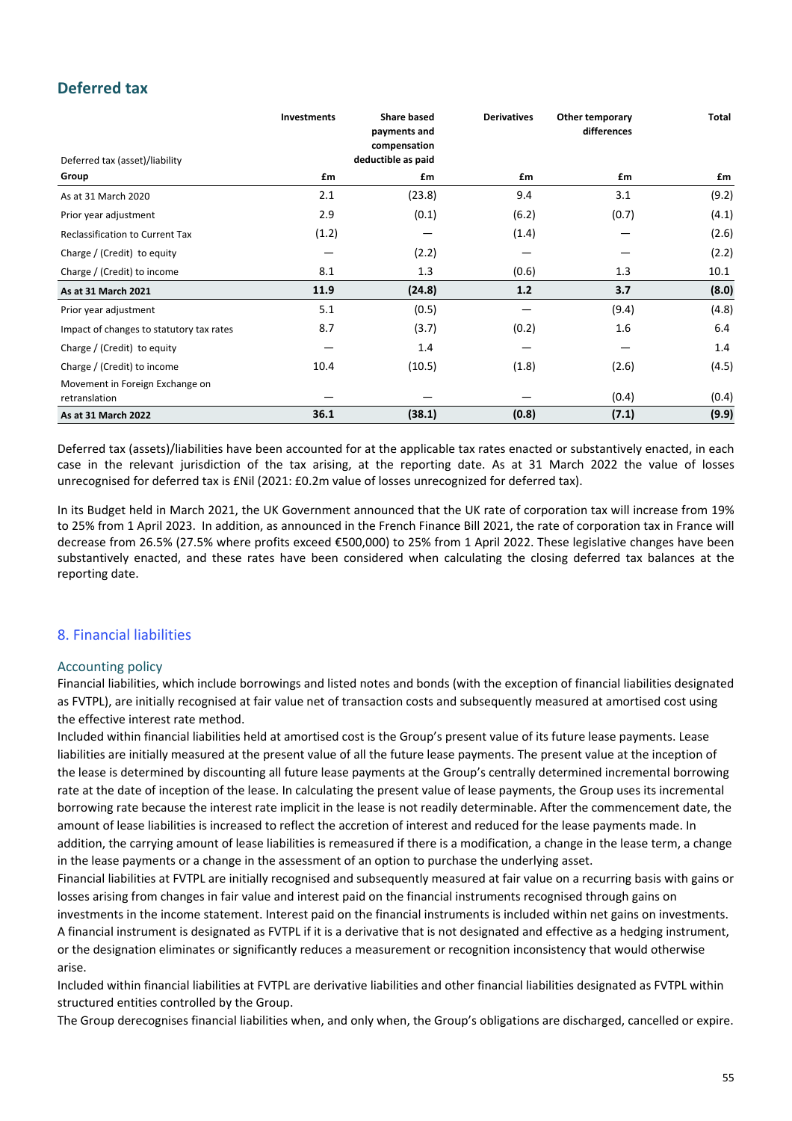# **Deferred tax**

|                                                  | Investments | <b>Share based</b><br>payments and | <b>Derivatives</b> | Other temporary<br>differences | Total |
|--------------------------------------------------|-------------|------------------------------------|--------------------|--------------------------------|-------|
| Deferred tax (asset)/liability                   |             | compensation<br>deductible as paid |                    |                                |       |
| Group                                            | £m          | £m                                 | £m                 | £m                             | £m    |
| As at 31 March 2020                              | 2.1         | (23.8)                             | 9.4                | 3.1                            | (9.2) |
| Prior year adjustment                            | 2.9         | (0.1)                              | (6.2)              | (0.7)                          | (4.1) |
| <b>Reclassification to Current Tax</b>           | (1.2)       |                                    | (1.4)              |                                | (2.6) |
| Charge / (Credit) to equity                      |             | (2.2)                              |                    |                                | (2.2) |
| Charge / (Credit) to income                      | 8.1         | 1.3                                | (0.6)              | 1.3                            | 10.1  |
| As at 31 March 2021                              | 11.9        | (24.8)                             | 1.2                | 3.7                            | (8.0) |
| Prior year adjustment                            | 5.1         | (0.5)                              |                    | (9.4)                          | (4.8) |
| Impact of changes to statutory tax rates         | 8.7         | (3.7)                              | (0.2)              | 1.6                            | 6.4   |
| Charge / (Credit) to equity                      |             | 1.4                                |                    |                                | 1.4   |
| Charge / (Credit) to income                      | 10.4        | (10.5)                             | (1.8)              | (2.6)                          | (4.5) |
| Movement in Foreign Exchange on<br>retranslation |             |                                    |                    | (0.4)                          | (0.4) |
| As at 31 March 2022                              | 36.1        | (38.1)                             | (0.8)              | (7.1)                          | (9.9) |

Deferred tax (assets)/liabilities have been accounted for at the applicable tax rates enacted or substantively enacted, in each case in the relevant jurisdiction of the tax arising, at the reporting date. As at 31 March 2022 the value of losses unrecognised for deferred tax is £Nil (2021: £0.2m value of losses unrecognized for deferred tax).

In its Budget held in March 2021, the UK Government announced that the UK rate of corporation tax will increase from 19% to 25% from 1 April 2023. In addition, as announced in the French Finance Bill 2021, the rate of corporation tax in France will decrease from 26.5% (27.5% where profits exceed €500,000) to 25% from 1 April 2022. These legislative changes have been substantively enacted, and these rates have been considered when calculating the closing deferred tax balances at the reporting date.

# 8. Financial liabilities

# Accounting policy

Financial liabilities, which include borrowings and listed notes and bonds (with the exception of financial liabilities designated as FVTPL), are initially recognised at fair value net of transaction costs and subsequently measured at amortised cost using the effective interest rate method.

Included within financial liabilities held at amortised cost is the Group's present value of its future lease payments. Lease liabilities are initially measured at the present value of all the future lease payments. The present value at the inception of the lease is determined by discounting all future lease payments at the Group's centrally determined incremental borrowing rate at the date of inception of the lease. In calculating the present value of lease payments, the Group uses its incremental borrowing rate because the interest rate implicit in the lease is not readily determinable. After the commencement date, the amount of lease liabilities is increased to reflect the accretion of interest and reduced for the lease payments made. In addition, the carrying amount of lease liabilities is remeasured if there is a modification, a change in the lease term, a change in the lease payments or a change in the assessment of an option to purchase the underlying asset.

Financial liabilities at FVTPL are initially recognised and subsequently measured at fair value on a recurring basis with gains or losses arising from changes in fair value and interest paid on the financial instruments recognised through gains on

investments in the income statement. Interest paid on the financial instruments is included within net gains on investments. A financial instrument is designated as FVTPL if it is a derivative that is not designated and effective as a hedging instrument, or the designation eliminates or significantly reduces a measurement or recognition inconsistency that would otherwise arise.

Included within financial liabilities at FVTPL are derivative liabilities and other financial liabilities designated as FVTPL within structured entities controlled by the Group.

The Group derecognises financial liabilities when, and only when, the Group's obligations are discharged, cancelled or expire.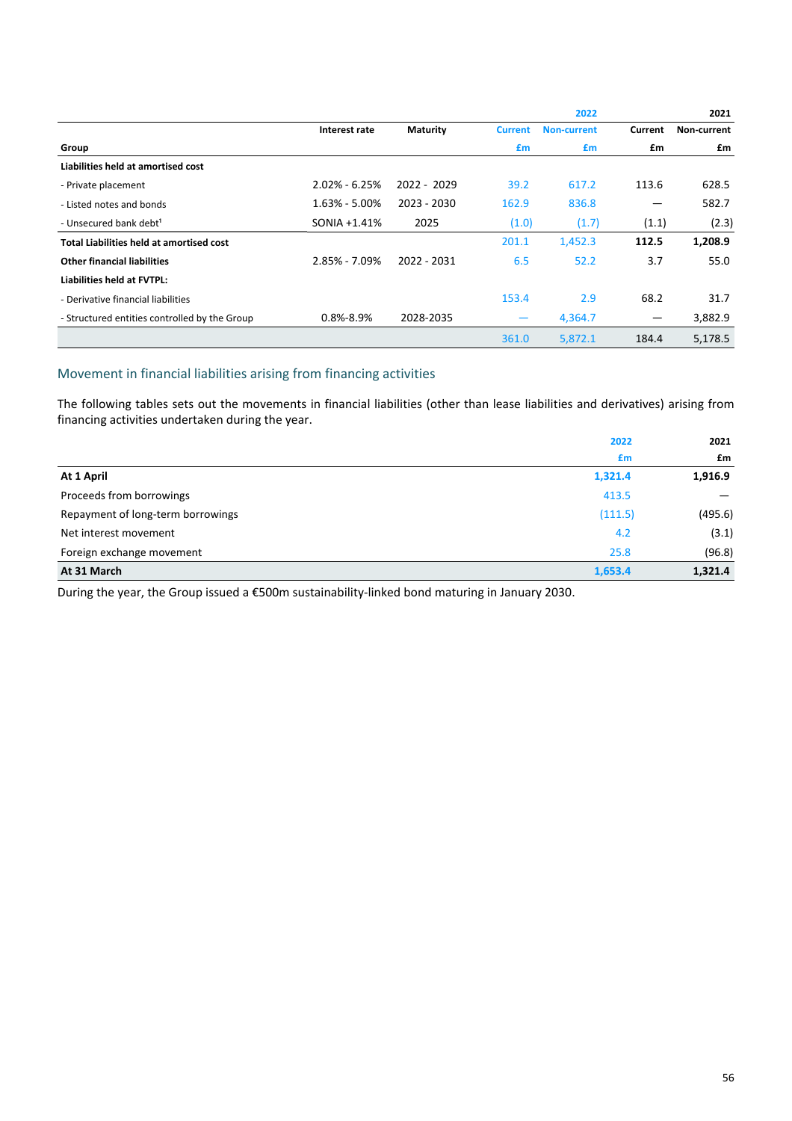|                                               |                   |                 |                          | 2022               |                          | 2021        |
|-----------------------------------------------|-------------------|-----------------|--------------------------|--------------------|--------------------------|-------------|
|                                               | Interest rate     | <b>Maturity</b> | <b>Current</b>           | <b>Non-current</b> | Current                  | Non-current |
| Group                                         |                   |                 | £m                       | £m                 | £m                       | £m          |
| Liabilities held at amortised cost            |                   |                 |                          |                    |                          |             |
| - Private placement                           | $2.02\% - 6.25\%$ | 2022 - 2029     | 39.2                     | 617.2              | 113.6                    | 628.5       |
| - Listed notes and bonds                      | $1.63\% - 5.00\%$ | 2023 - 2030     | 162.9                    | 836.8              | —                        | 582.7       |
| - Unsecured bank debt <sup>1</sup>            | SONIA +1.41%      | 2025            | (1.0)                    | (1.7)              | (1.1)                    | (2.3)       |
| Total Liabilities held at amortised cost      |                   |                 | 201.1                    | 1,452.3            | 112.5                    | 1,208.9     |
| <b>Other financial liabilities</b>            | $2.85\% - 7.09\%$ | 2022 - 2031     | 6.5                      | 52.2               | 3.7                      | 55.0        |
| Liabilities held at FVTPL:                    |                   |                 |                          |                    |                          |             |
| - Derivative financial liabilities            |                   |                 | 153.4                    | 2.9                | 68.2                     | 31.7        |
| - Structured entities controlled by the Group | $0.8\% - 8.9\%$   | 2028-2035       | $\overline{\phantom{0}}$ | 4,364.7            | $\overline{\phantom{m}}$ | 3,882.9     |
|                                               |                   |                 | 361.0                    | 5,872.1            | 184.4                    | 5,178.5     |

# Movement in financial liabilities arising from financing activities

The following tables sets out the movements in financial liabilities (other than lease liabilities and derivatives) arising from financing activities undertaken during the year.

|                                   | 2022    | 2021    |
|-----------------------------------|---------|---------|
|                                   | £m      | £m      |
| At 1 April                        | 1,321.4 | 1,916.9 |
| Proceeds from borrowings          | 413.5   |         |
| Repayment of long-term borrowings | (111.5) | (495.6) |
| Net interest movement             | 4.2     | (3.1)   |
| Foreign exchange movement         | 25.8    | (96.8)  |
| At 31 March                       | 1,653.4 | 1,321.4 |

During the year, the Group issued a €500m sustainability-linked bond maturing in January 2030.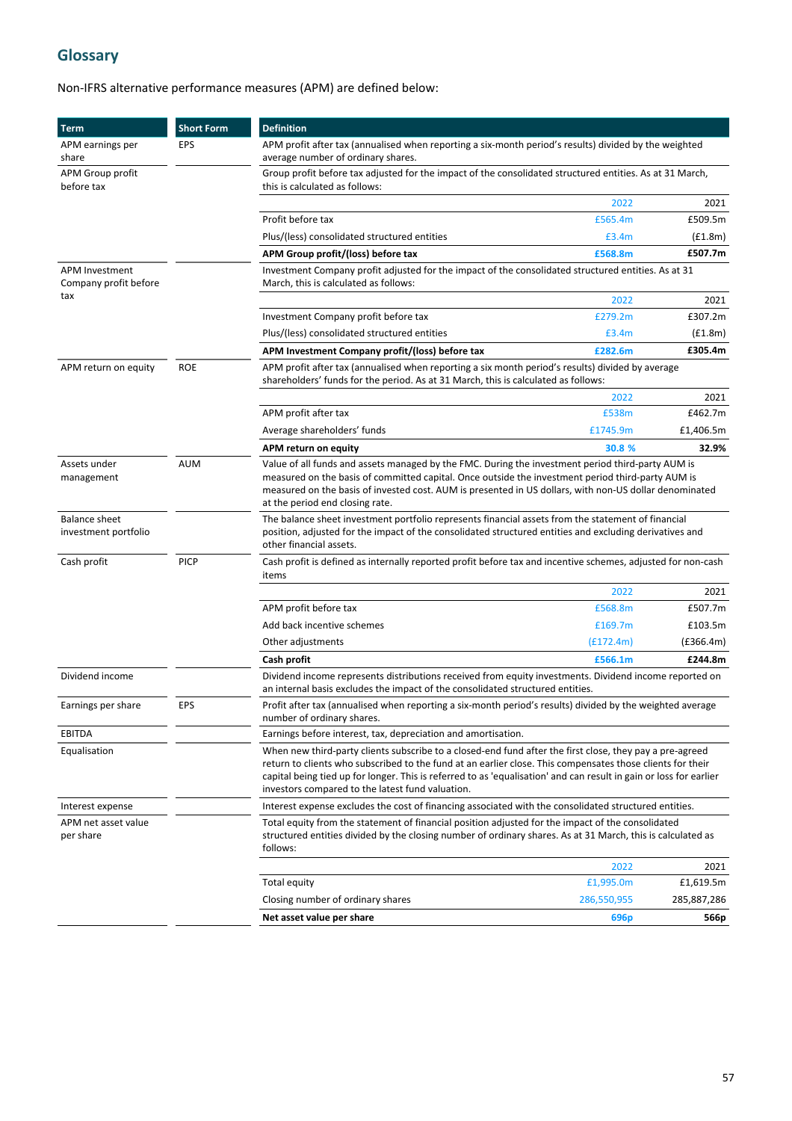# **Glossary**

# Non-IFRS alternative performance measures (APM) are defined below:

| <b>Term</b>                                    | <b>Short Form</b>                                                                                                                    | <b>Definition</b>                                                                                                                                                                                                                                                                                                                                                                                |                  |             |
|------------------------------------------------|--------------------------------------------------------------------------------------------------------------------------------------|--------------------------------------------------------------------------------------------------------------------------------------------------------------------------------------------------------------------------------------------------------------------------------------------------------------------------------------------------------------------------------------------------|------------------|-------------|
| APM earnings per<br>share                      | EPS                                                                                                                                  | APM profit after tax (annualised when reporting a six-month period's results) divided by the weighted<br>average number of ordinary shares.                                                                                                                                                                                                                                                      |                  |             |
| APM Group profit<br>before tax                 |                                                                                                                                      | Group profit before tax adjusted for the impact of the consolidated structured entities. As at 31 March,<br>this is calculated as follows:                                                                                                                                                                                                                                                       |                  |             |
|                                                |                                                                                                                                      |                                                                                                                                                                                                                                                                                                                                                                                                  | 2022             | 2021        |
|                                                |                                                                                                                                      | Profit before tax                                                                                                                                                                                                                                                                                                                                                                                | £565.4m          | £509.5m     |
|                                                |                                                                                                                                      | Plus/(less) consolidated structured entities                                                                                                                                                                                                                                                                                                                                                     | £3.4m            | (f1.8m)     |
|                                                |                                                                                                                                      | APM Group profit/(loss) before tax                                                                                                                                                                                                                                                                                                                                                               | £568.8m          | £507.7m     |
| <b>APM Investment</b><br>Company profit before |                                                                                                                                      | Investment Company profit adjusted for the impact of the consolidated structured entities. As at 31<br>March, this is calculated as follows:                                                                                                                                                                                                                                                     |                  |             |
| tax                                            |                                                                                                                                      |                                                                                                                                                                                                                                                                                                                                                                                                  | 2022             | 2021        |
|                                                |                                                                                                                                      | Investment Company profit before tax                                                                                                                                                                                                                                                                                                                                                             | £279.2m          | £307.2m     |
|                                                |                                                                                                                                      | Plus/(less) consolidated structured entities                                                                                                                                                                                                                                                                                                                                                     | £3.4m            | (f1.8m)     |
|                                                |                                                                                                                                      | APM Investment Company profit/(loss) before tax                                                                                                                                                                                                                                                                                                                                                  | £282.6m          | £305.4m     |
| APM return on equity                           | <b>ROE</b>                                                                                                                           | APM profit after tax (annualised when reporting a six month period's results) divided by average<br>shareholders' funds for the period. As at 31 March, this is calculated as follows:                                                                                                                                                                                                           |                  |             |
|                                                |                                                                                                                                      |                                                                                                                                                                                                                                                                                                                                                                                                  | 2022             | 2021        |
|                                                |                                                                                                                                      | APM profit after tax                                                                                                                                                                                                                                                                                                                                                                             | £538m            | £462.7m     |
|                                                |                                                                                                                                      | Average shareholders' funds                                                                                                                                                                                                                                                                                                                                                                      | £1745.9m         | £1,406.5m   |
|                                                |                                                                                                                                      | APM return on equity                                                                                                                                                                                                                                                                                                                                                                             | 30.8 %           | 32.9%       |
| Assets under<br>management                     | <b>AUM</b>                                                                                                                           | Value of all funds and assets managed by the FMC. During the investment period third-party AUM is<br>measured on the basis of committed capital. Once outside the investment period third-party AUM is<br>measured on the basis of invested cost. AUM is presented in US dollars, with non-US dollar denominated<br>at the period end closing rate.                                              |                  |             |
| <b>Balance sheet</b><br>investment portfolio   |                                                                                                                                      | The balance sheet investment portfolio represents financial assets from the statement of financial<br>position, adjusted for the impact of the consolidated structured entities and excluding derivatives and<br>other financial assets.                                                                                                                                                         |                  |             |
| Cash profit                                    | <b>PICP</b><br>Cash profit is defined as internally reported profit before tax and incentive schemes, adjusted for non-cash<br>items |                                                                                                                                                                                                                                                                                                                                                                                                  |                  |             |
|                                                |                                                                                                                                      |                                                                                                                                                                                                                                                                                                                                                                                                  | 2022             | 2021        |
|                                                |                                                                                                                                      | APM profit before tax                                                                                                                                                                                                                                                                                                                                                                            | £568.8m          | £507.7m     |
|                                                |                                                                                                                                      | Add back incentive schemes                                                                                                                                                                                                                                                                                                                                                                       | £169.7m          | £103.5m     |
|                                                |                                                                                                                                      | Other adjustments                                                                                                                                                                                                                                                                                                                                                                                | (f172.4m)        | (E366.4m)   |
|                                                |                                                                                                                                      | Cash profit                                                                                                                                                                                                                                                                                                                                                                                      | £566.1m          | £244.8m     |
| Dividend income                                |                                                                                                                                      | Dividend income represents distributions received from equity investments. Dividend income reported on<br>an internal basis excludes the impact of the consolidated structured entities.                                                                                                                                                                                                         |                  |             |
| Earnings per share                             | EPS                                                                                                                                  | Profit after tax (annualised when reporting a six-month period's results) divided by the weighted average<br>number of ordinary shares.                                                                                                                                                                                                                                                          |                  |             |
| <b>EBITDA</b>                                  |                                                                                                                                      | Earnings before interest, tax, depreciation and amortisation.                                                                                                                                                                                                                                                                                                                                    |                  |             |
| Equalisation                                   |                                                                                                                                      | When new third-party clients subscribe to a closed-end fund after the first close, they pay a pre-agreed<br>return to clients who subscribed to the fund at an earlier close. This compensates those clients for their<br>capital being tied up for longer. This is referred to as 'equalisation' and can result in gain or loss for earlier<br>investors compared to the latest fund valuation. |                  |             |
| Interest expense                               |                                                                                                                                      | Interest expense excludes the cost of financing associated with the consolidated structured entities.                                                                                                                                                                                                                                                                                            |                  |             |
| APM net asset value<br>per share               |                                                                                                                                      | Total equity from the statement of financial position adjusted for the impact of the consolidated<br>structured entities divided by the closing number of ordinary shares. As at 31 March, this is calculated as<br>follows:                                                                                                                                                                     |                  |             |
|                                                |                                                                                                                                      |                                                                                                                                                                                                                                                                                                                                                                                                  | 2022             | 2021        |
|                                                |                                                                                                                                      | Total equity                                                                                                                                                                                                                                                                                                                                                                                     | £1,995.0m        | £1,619.5m   |
|                                                |                                                                                                                                      | Closing number of ordinary shares                                                                                                                                                                                                                                                                                                                                                                | 286,550,955      | 285,887,286 |
|                                                |                                                                                                                                      | Net asset value per share                                                                                                                                                                                                                                                                                                                                                                        | 696 <sub>p</sub> | 566p        |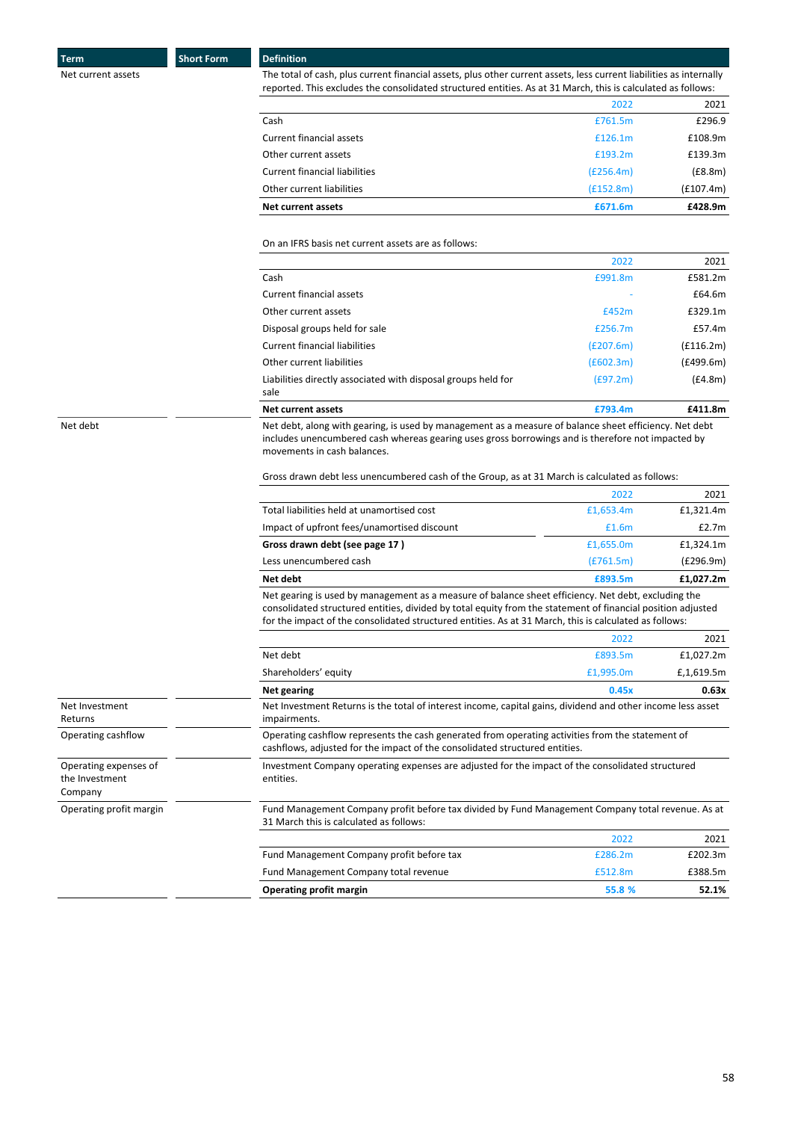**Term Short Form Definition** 

Net current assets examples the total of cash, plus current financial assets, plus other current assets, less current liabilities as internally reported. This excludes the consolidated structured entities. As at 31 March, this is calculated as follows:

| <b>Net current assets</b>            | £671.6m   | £428.9m   |
|--------------------------------------|-----------|-----------|
| Other current liabilities            | (f152.8m) | (E107.4m) |
| <b>Current financial liabilities</b> | (E256.4m) | (E8.8m)   |
| Other current assets                 | £193.2m   | £139.3m   |
| Current financial assets             | £126.1m   | £108.9m   |
| Cash                                 | £761.5m   | £296.9    |
|                                      | 2022      | 2021      |

On an IFRS basis net current assets are as follows:

|                                                                       | 2022      | 2021      |
|-----------------------------------------------------------------------|-----------|-----------|
| Cash                                                                  | £991.8m   | £581.2m   |
| Current financial assets                                              |           | £64.6m    |
| Other current assets                                                  | £452m     | £329.1m   |
| Disposal groups held for sale                                         | £256.7m   | £57.4m    |
| Current financial liabilities                                         | (E207.6m) | (f116.2m) |
| Other current liabilities                                             | (f602.3m) | (E499.6m) |
| Liabilities directly associated with disposal groups held for<br>sale | (E97.2m)  | (E4.8m)   |
| <b>Net current assets</b>                                             | £793.4m   | £411.8m   |

Net debt metal of the Met debt, along with gearing, is used by management as a measure of balance sheet efficiency. Net debt includes unencumbered cash whereas gearing uses gross borrowings and is therefore not impacted by movements in cash balances.

Gross drawn debt less unencumbered cash of the Group, as at 31 March is calculated as follows:

| Shareholders' equity                                                                                                                                                                                                  | 2022<br>£893.5m<br>£1,995.0m | 2021<br>£1,027.2m<br>E, 1, 619.5m |
|-----------------------------------------------------------------------------------------------------------------------------------------------------------------------------------------------------------------------|------------------------------|-----------------------------------|
| Net debt                                                                                                                                                                                                              |                              |                                   |
|                                                                                                                                                                                                                       |                              |                                   |
| consolidated structured entities, divided by total equity from the statement of financial position adjusted<br>for the impact of the consolidated structured entities. As at 31 March, this is calculated as follows: |                              |                                   |
| Net gearing is used by management as a measure of balance sheet efficiency. Net debt, excluding the                                                                                                                   |                              |                                   |
| Net debt                                                                                                                                                                                                              | £893.5m                      | £1,027.2m                         |
| Less unencumbered cash                                                                                                                                                                                                | (E761.5m)                    | (E296.9m)                         |
| Gross drawn debt (see page 17)                                                                                                                                                                                        | £1,655.0m                    | £1,324.1m                         |
| Impact of upfront fees/unamortised discount                                                                                                                                                                           | £1.6m                        | £2.7m                             |
|                                                                                                                                                                                                                       | £1,653.4m                    | £1,321.4m                         |
| Total liabilities held at unamortised cost                                                                                                                                                                            |                              |                                   |

|                                                    | <b>Net gearing</b>                                                                                                                                                              | <b>U.43X</b> | U.DJA   |  |
|----------------------------------------------------|---------------------------------------------------------------------------------------------------------------------------------------------------------------------------------|--------------|---------|--|
| Net Investment<br>Returns                          | Net Investment Returns is the total of interest income, capital gains, dividend and other income less asset<br>impairments.                                                     |              |         |  |
| Operating cashflow                                 | Operating cashflow represents the cash generated from operating activities from the statement of<br>cashflows, adjusted for the impact of the consolidated structured entities. |              |         |  |
| Operating expenses of<br>the Investment<br>Company | Investment Company operating expenses are adjusted for the impact of the consolidated structured<br>entities.                                                                   |              |         |  |
| Operating profit margin                            | Fund Management Company profit before tax divided by Fund Management Company total revenue. As at<br>31 March this is calculated as follows:                                    |              |         |  |
|                                                    |                                                                                                                                                                                 | 2022         | 2021    |  |
|                                                    | Fund Management Company profit before tax                                                                                                                                       | £286.2m      | £202.3m |  |
|                                                    | Fund Management Company total revenue                                                                                                                                           | £512.8m      | £388.5m |  |
|                                                    | Operating profit margin                                                                                                                                                         | 55.8 %       | 52.1%   |  |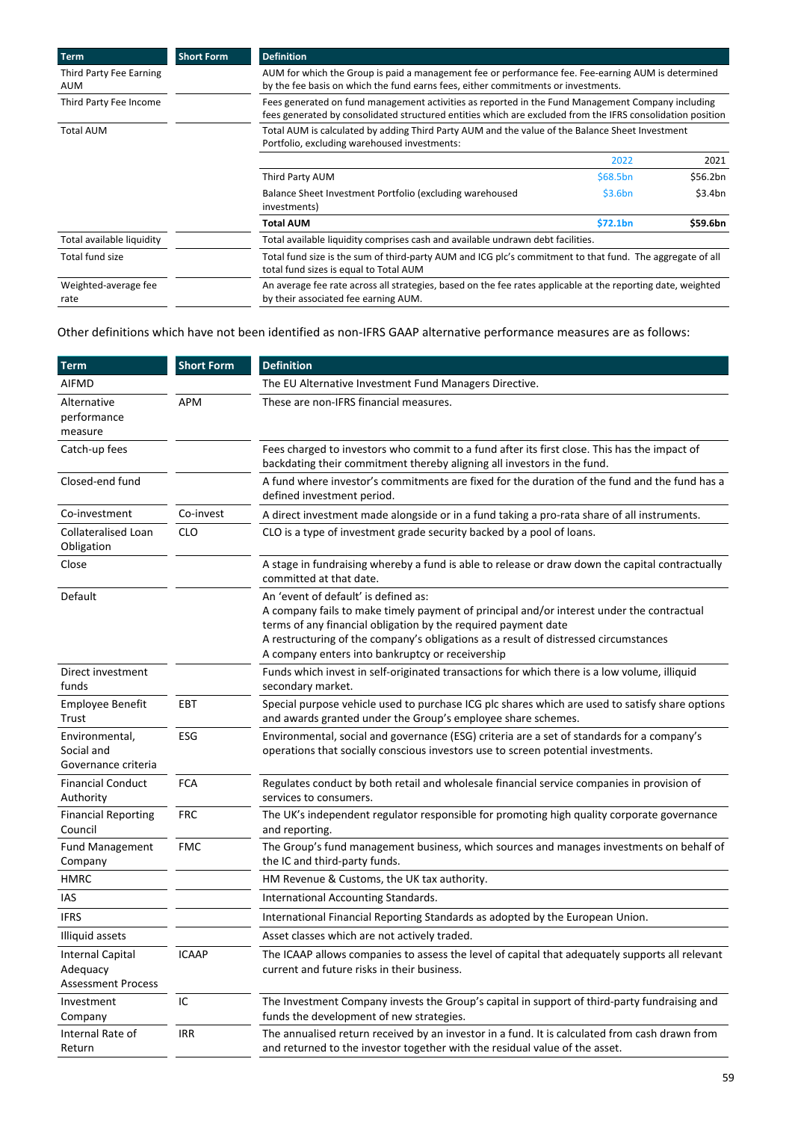| <b>Term</b>                           | <b>Short Form</b> | <b>Definition</b>                                                                                                                                                                                               |          |          |
|---------------------------------------|-------------------|-----------------------------------------------------------------------------------------------------------------------------------------------------------------------------------------------------------------|----------|----------|
| Third Party Fee Earning<br><b>AUM</b> |                   | AUM for which the Group is paid a management fee or performance fee. Fee-earning AUM is determined<br>by the fee basis on which the fund earns fees, either commitments or investments.                         |          |          |
| Third Party Fee Income                |                   | Fees generated on fund management activities as reported in the Fund Management Company including<br>fees generated by consolidated structured entities which are excluded from the IFRS consolidation position |          |          |
| <b>Total AUM</b>                      |                   | Total AUM is calculated by adding Third Party AUM and the value of the Balance Sheet Investment<br>Portfolio, excluding warehoused investments:                                                                 |          |          |
|                                       |                   |                                                                                                                                                                                                                 | 2022     | 2021     |
|                                       |                   | Third Party AUM                                                                                                                                                                                                 | \$68.5bn | \$56.2bn |
|                                       |                   | Balance Sheet Investment Portfolio (excluding warehoused<br>investments)                                                                                                                                        | \$3.6bn  | \$3.4bn  |
|                                       |                   | Total AUM                                                                                                                                                                                                       | \$72.1bn | \$59.6bn |
| Total available liquidity             |                   | Total available liquidity comprises cash and available undrawn debt facilities.                                                                                                                                 |          |          |
| Total fund size                       |                   | Total fund size is the sum of third-party AUM and ICG plc's commitment to that fund. The aggregate of all<br>total fund sizes is equal to Total AUM                                                             |          |          |
| Weighted-average fee<br>rate          |                   | An average fee rate across all strategies, based on the fee rates applicable at the reporting date, weighted<br>by their associated fee earning AUM.                                                            |          |          |

# Other definitions which have not been identified as non-IFRS GAAP alternative performance measures are as follows:

| <b>Term</b>                                                      | <b>Short Form</b> | <b>Definition</b>                                                                                                                                                                                                                                                                                                                               |
|------------------------------------------------------------------|-------------------|-------------------------------------------------------------------------------------------------------------------------------------------------------------------------------------------------------------------------------------------------------------------------------------------------------------------------------------------------|
| <b>AIFMD</b>                                                     |                   | The EU Alternative Investment Fund Managers Directive.                                                                                                                                                                                                                                                                                          |
| Alternative<br>performance<br>measure                            | <b>APM</b>        | These are non-IFRS financial measures.                                                                                                                                                                                                                                                                                                          |
| Catch-up fees                                                    |                   | Fees charged to investors who commit to a fund after its first close. This has the impact of<br>backdating their commitment thereby aligning all investors in the fund.                                                                                                                                                                         |
| Closed-end fund                                                  |                   | A fund where investor's commitments are fixed for the duration of the fund and the fund has a<br>defined investment period.                                                                                                                                                                                                                     |
| Co-investment                                                    | Co-invest         | A direct investment made alongside or in a fund taking a pro-rata share of all instruments.                                                                                                                                                                                                                                                     |
| Collateralised Loan<br>Obligation                                | <b>CLO</b>        | CLO is a type of investment grade security backed by a pool of loans.                                                                                                                                                                                                                                                                           |
| Close                                                            |                   | A stage in fundraising whereby a fund is able to release or draw down the capital contractually<br>committed at that date.                                                                                                                                                                                                                      |
| Default                                                          |                   | An 'event of default' is defined as:<br>A company fails to make timely payment of principal and/or interest under the contractual<br>terms of any financial obligation by the required payment date<br>A restructuring of the company's obligations as a result of distressed circumstances<br>A company enters into bankruptcy or receivership |
| Direct investment<br>funds                                       |                   | Funds which invest in self-originated transactions for which there is a low volume, illiquid<br>secondary market.                                                                                                                                                                                                                               |
| <b>Employee Benefit</b><br>Trust                                 | EBT               | Special purpose vehicle used to purchase ICG plc shares which are used to satisfy share options<br>and awards granted under the Group's employee share schemes.                                                                                                                                                                                 |
| Environmental,<br>Social and<br>Governance criteria              | ESG               | Environmental, social and governance (ESG) criteria are a set of standards for a company's<br>operations that socially conscious investors use to screen potential investments.                                                                                                                                                                 |
| <b>Financial Conduct</b><br>Authority                            | <b>FCA</b>        | Regulates conduct by both retail and wholesale financial service companies in provision of<br>services to consumers.                                                                                                                                                                                                                            |
| <b>Financial Reporting</b><br>Council                            | <b>FRC</b>        | The UK's independent regulator responsible for promoting high quality corporate governance<br>and reporting.                                                                                                                                                                                                                                    |
| <b>Fund Management</b><br>Company                                | <b>FMC</b>        | The Group's fund management business, which sources and manages investments on behalf of<br>the IC and third-party funds.                                                                                                                                                                                                                       |
| <b>HMRC</b>                                                      |                   | HM Revenue & Customs, the UK tax authority.                                                                                                                                                                                                                                                                                                     |
| IAS                                                              |                   | International Accounting Standards.                                                                                                                                                                                                                                                                                                             |
| <b>IFRS</b>                                                      |                   | International Financial Reporting Standards as adopted by the European Union.                                                                                                                                                                                                                                                                   |
| Illiquid assets                                                  |                   | Asset classes which are not actively traded.                                                                                                                                                                                                                                                                                                    |
| <b>Internal Capital</b><br>Adequacy<br><b>Assessment Process</b> | <b>ICAAP</b>      | The ICAAP allows companies to assess the level of capital that adequately supports all relevant<br>current and future risks in their business.                                                                                                                                                                                                  |
| Investment<br>Company                                            | $\sf IC$          | The Investment Company invests the Group's capital in support of third-party fundraising and<br>funds the development of new strategies.                                                                                                                                                                                                        |
| Internal Rate of<br>Return                                       | <b>IRR</b>        | The annualised return received by an investor in a fund. It is calculated from cash drawn from<br>and returned to the investor together with the residual value of the asset.                                                                                                                                                                   |